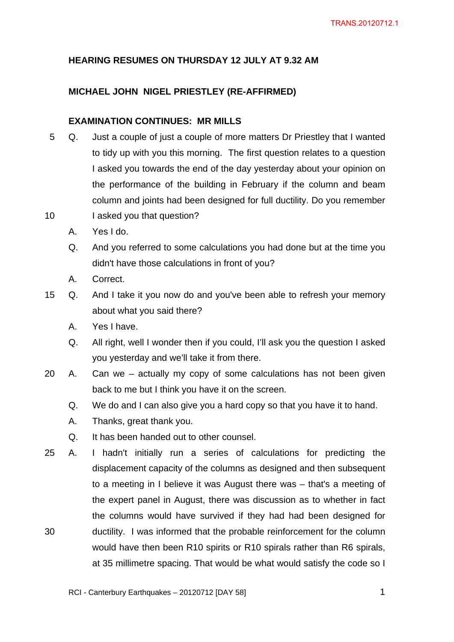## **HEARING RESUMES ON THURSDAY 12 JULY AT 9.32 AM**

### **MICHAEL JOHN NIGEL PRIESTLEY (RE-AFFIRMED)**

# **EXAMINATION CONTINUES: MR MILLS**

- 5 Q. Just a couple of just a couple of more matters Dr Priestley that I wanted to tidy up with you this morning. The first question relates to a question I asked you towards the end of the day yesterday about your opinion on the performance of the building in February if the column and beam column and joints had been designed for full ductility. Do you remember
- 10 I asked you that question?
	- A. Yes I do.
	- Q. And you referred to some calculations you had done but at the time you didn't have those calculations in front of you?
	- A. Correct.
- 15 Q. And I take it you now do and you've been able to refresh your memory about what you said there?
	- A. Yes I have.
	- Q. All right, well I wonder then if you could, I'll ask you the question I asked you yesterday and we'll take it from there.
- 20 A. Can we actually my copy of some calculations has not been given back to me but I think you have it on the screen.
	- Q. We do and I can also give you a hard copy so that you have it to hand.
	- A. Thanks, great thank you.
	- Q. It has been handed out to other counsel.
- 25 A. I hadn't initially run a series of calculations for predicting the displacement capacity of the columns as designed and then subsequent to a meeting in I believe it was August there was – that's a meeting of the expert panel in August, there was discussion as to whether in fact the columns would have survived if they had had been designed for 30 ductility. I was informed that the probable reinforcement for the column would have then been R10 spirits or R10 spirals rather than R6 spirals, at 35 millimetre spacing. That would be what would satisfy the code so I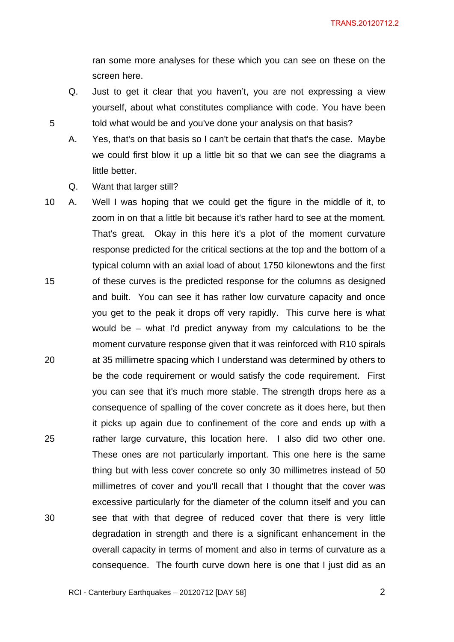ran some more analyses for these which you can see on these on the screen here.

yourself, about what constitutes compliance with code. You have been 5 told what would be and you've done your analysis on that basis?

Q. Just to get it clear that you haven't, you are not expressing a view

- A. Yes, that's on that basis so I can't be certain that that's the case. Maybe we could first blow it up a little bit so that we can see the diagrams a little better.
- Q. Want that larger still?
- 10 A. Well I was hoping that we could get the figure in the middle of it, to zoom in on that a little bit because it's rather hard to see at the moment. That's great. Okay in this here it's a plot of the moment curvature response predicted for the critical sections at the top and the bottom of a typical column with an axial load of about 1750 kilonewtons and the first 15 of these curves is the predicted response for the columns as designed and built. You can see it has rather low curvature capacity and once you get to the peak it drops off very rapidly. This curve here is what would be – what I'd predict anyway from my calculations to be the moment curvature response given that it was reinforced with R10 spirals 20 at 35 millimetre spacing which I understand was determined by others to be the code requirement or would satisfy the code requirement. First you can see that it's much more stable. The strength drops here as a consequence of spalling of the cover concrete as it does here, but then it picks up again due to confinement of the core and ends up with a 25 rather large curvature, this location here. I also did two other one. These ones are not particularly important. This one here is the same thing but with less cover concrete so only 30 millimetres instead of 50 millimetres of cover and you'll recall that I thought that the cover was excessive particularly for the diameter of the column itself and you can 30 see that with that degree of reduced cover that there is very little degradation in strength and there is a significant enhancement in the overall capacity in terms of moment and also in terms of curvature as a consequence. The fourth curve down here is one that I just did as an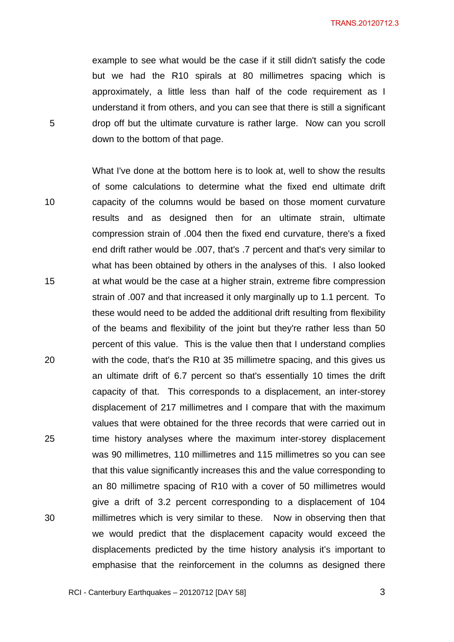example to see what would be the case if it still didn't satisfy the code but we had the R10 spirals at 80 millimetres spacing which is approximately, a little less than half of the code requirement as I understand it from others, and you can see that there is still a significant 5 drop off but the ultimate curvature is rather large. Now can you scroll down to the bottom of that page.

What I've done at the bottom here is to look at, well to show the results of some calculations to determine what the fixed end ultimate drift 10 capacity of the columns would be based on those moment curvature results and as designed then for an ultimate strain, ultimate compression strain of .004 then the fixed end curvature, there's a fixed end drift rather would be .007, that's .7 percent and that's very similar to what has been obtained by others in the analyses of this. I also looked 15 at what would be the case at a higher strain, extreme fibre compression strain of .007 and that increased it only marginally up to 1.1 percent. To these would need to be added the additional drift resulting from flexibility of the beams and flexibility of the joint but they're rather less than 50 percent of this value. This is the value then that I understand complies 20 with the code, that's the R10 at 35 millimetre spacing, and this gives us an ultimate drift of 6.7 percent so that's essentially 10 times the drift capacity of that. This corresponds to a displacement, an inter-storey displacement of 217 millimetres and I compare that with the maximum values that were obtained for the three records that were carried out in 25 time history analyses where the maximum inter-storey displacement was 90 millimetres, 110 millimetres and 115 millimetres so you can see that this value significantly increases this and the value corresponding to an 80 millimetre spacing of R10 with a cover of 50 millimetres would give a drift of 3.2 percent corresponding to a displacement of 104 30 millimetres which is very similar to these. Now in observing then that we would predict that the displacement capacity would exceed the displacements predicted by the time history analysis it's important to emphasise that the reinforcement in the columns as designed there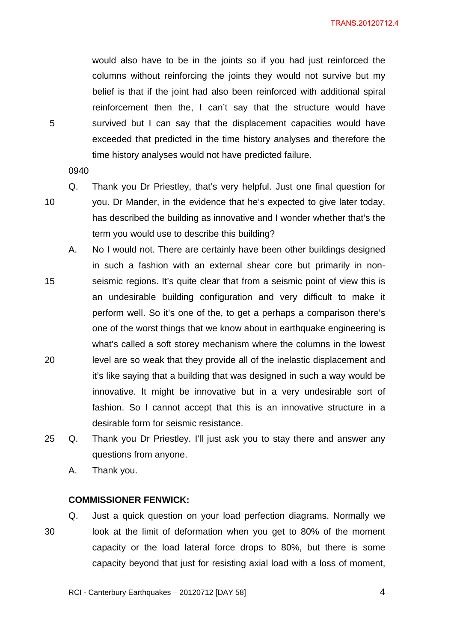would also have to be in the joints so if you had just reinforced the columns without reinforcing the joints they would not survive but my belief is that if the joint had also been reinforced with additional spiral reinforcement then the, I can't say that the structure would have 5 survived but I can say that the displacement capacities would have exceeded that predicted in the time history analyses and therefore the time history analyses would not have predicted failure.

0940

Q. Thank you Dr Priestley, that's very helpful. Just one final question for 10 you. Dr Mander, in the evidence that he's expected to give later today, has described the building as innovative and I wonder whether that's the term you would use to describe this building?

- A. No I would not. There are certainly have been other buildings designed in such a fashion with an external shear core but primarily in non-15 seismic regions. It's quite clear that from a seismic point of view this is an undesirable building configuration and very difficult to make it perform well. So it's one of the, to get a perhaps a comparison there's one of the worst things that we know about in earthquake engineering is what's called a soft storey mechanism where the columns in the lowest 20 level are so weak that they provide all of the inelastic displacement and it's like saying that a building that was designed in such a way would be innovative. It might be innovative but in a very undesirable sort of fashion. So I cannot accept that this is an innovative structure in a desirable form for seismic resistance.
- 25 Q. Thank you Dr Priestley. I'll just ask you to stay there and answer any questions from anyone.
	- A. Thank you.

#### **COMMISSIONER FENWICK:**

Q. Just a quick question on your load perfection diagrams. Normally we 30 look at the limit of deformation when you get to 80% of the moment capacity or the load lateral force drops to 80%, but there is some capacity beyond that just for resisting axial load with a loss of moment,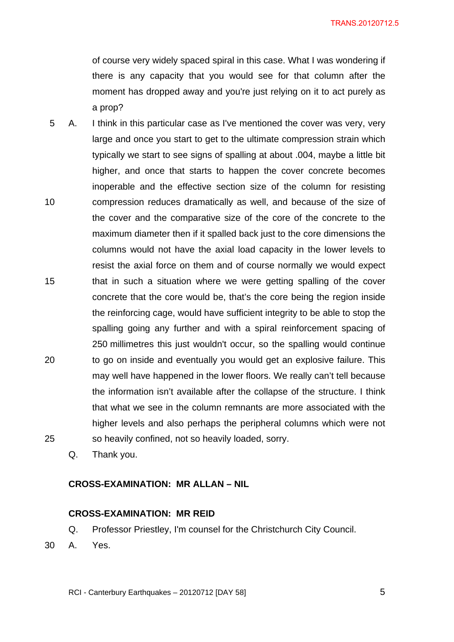of course very widely spaced spiral in this case. What I was wondering if there is any capacity that you would see for that column after the moment has dropped away and you're just relying on it to act purely as a prop?

5 A. I think in this particular case as I've mentioned the cover was very, very large and once you start to get to the ultimate compression strain which typically we start to see signs of spalling at about .004, maybe a little bit higher, and once that starts to happen the cover concrete becomes inoperable and the effective section size of the column for resisting 10 compression reduces dramatically as well, and because of the size of the cover and the comparative size of the core of the concrete to the maximum diameter then if it spalled back just to the core dimensions the columns would not have the axial load capacity in the lower levels to resist the axial force on them and of course normally we would expect 15 that in such a situation where we were getting spalling of the cover concrete that the core would be, that's the core being the region inside the reinforcing cage, would have sufficient integrity to be able to stop the spalling going any further and with a spiral reinforcement spacing of 250 millimetres this just wouldn't occur, so the spalling would continue 20 to go on inside and eventually you would get an explosive failure. This may well have happened in the lower floors. We really can't tell because the information isn't available after the collapse of the structure. I think that what we see in the column remnants are more associated with the higher levels and also perhaps the peripheral columns which were not 25 so heavily confined, not so heavily loaded, sorry.

Q. Thank you.

## **CROSS-EXAMINATION: MR ALLAN – NIL**

#### **CROSS-EXAMINATION: MR REID**

Q. Professor Priestley, I'm counsel for the Christchurch City Council.

30 A. Yes.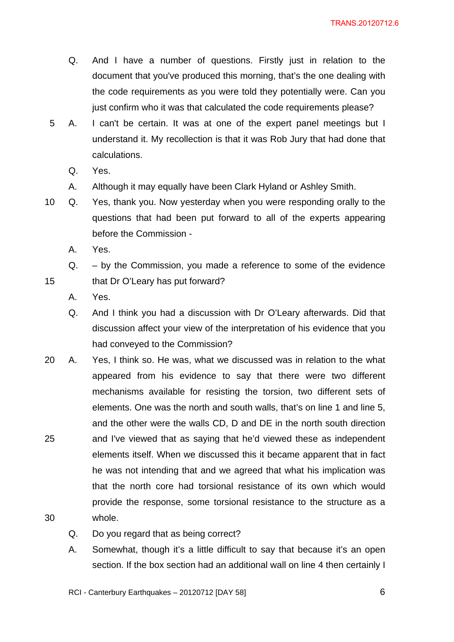- Q. And I have a number of questions. Firstly just in relation to the document that you've produced this morning, that's the one dealing with the code requirements as you were told they potentially were. Can you just confirm who it was that calculated the code requirements please?
- 5 A. I can't be certain. It was at one of the expert panel meetings but I understand it. My recollection is that it was Rob Jury that had done that calculations.
	- Q. Yes.
	- A. Although it may equally have been Clark Hyland or Ashley Smith.
- 10 Q. Yes, thank you. Now yesterday when you were responding orally to the questions that had been put forward to all of the experts appearing before the Commission -
	- A. Yes.

Q. – by the Commission, you made a reference to some of the evidence 15 that Dr O'Leary has put forward?

- A. Yes.
- Q. And I think you had a discussion with Dr O'Leary afterwards. Did that discussion affect your view of the interpretation of his evidence that you had conveyed to the Commission?
- 20 A. Yes, I think so. He was, what we discussed was in relation to the what appeared from his evidence to say that there were two different mechanisms available for resisting the torsion, two different sets of elements. One was the north and south walls, that's on line 1 and line 5, and the other were the walls CD, D and DE in the north south direction 25 and I've viewed that as saying that he'd viewed these as independent elements itself. When we discussed this it became apparent that in fact he was not intending that and we agreed that what his implication was that the north core had torsional resistance of its own which would provide the response, some torsional resistance to the structure as a 30 whole.
	- Q. Do you regard that as being correct?
	- A. Somewhat, though it's a little difficult to say that because it's an open section. If the box section had an additional wall on line 4 then certainly I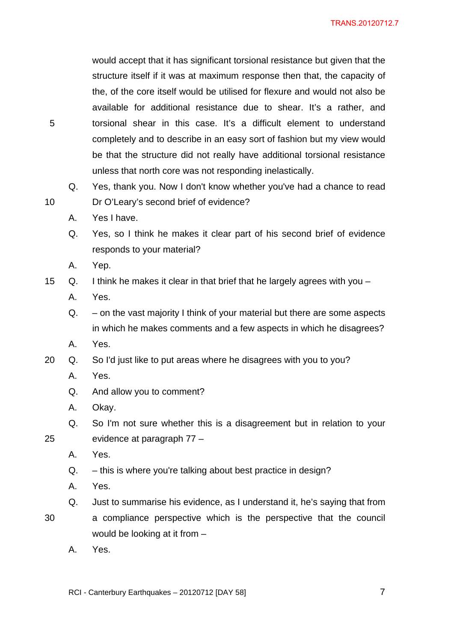would accept that it has significant torsional resistance but given that the structure itself if it was at maximum response then that, the capacity of the, of the core itself would be utilised for flexure and would not also be available for additional resistance due to shear. It's a rather, and 5 torsional shear in this case. It's a difficult element to understand completely and to describe in an easy sort of fashion but my view would be that the structure did not really have additional torsional resistance unless that north core was not responding inelastically.

Q. Yes, thank you. Now I don't know whether you've had a chance to read 10 Dr O'Leary's second brief of evidence?

- A. Yes I have.
- Q. Yes, so I think he makes it clear part of his second brief of evidence responds to your material?
- A. Yep.

15 Q. I think he makes it clear in that brief that he largely agrees with you –

- A. Yes.
- Q. on the vast majority I think of your material but there are some aspects in which he makes comments and a few aspects in which he disagrees?
- A. Yes.
- 20 Q. So I'd just like to put areas where he disagrees with you to you?
	- A. Yes.
	- Q. And allow you to comment?
	- A. Okay.
- Q. So I'm not sure whether this is a disagreement but in relation to your 25 evidence at paragraph 77 –
	- A. Yes.
	- Q. this is where you're talking about best practice in design?
	- A. Yes.
	- Q. Just to summarise his evidence, as I understand it, he's saying that from
- 30 a compliance perspective which is the perspective that the council
	- would be looking at it from –
	- A. Yes.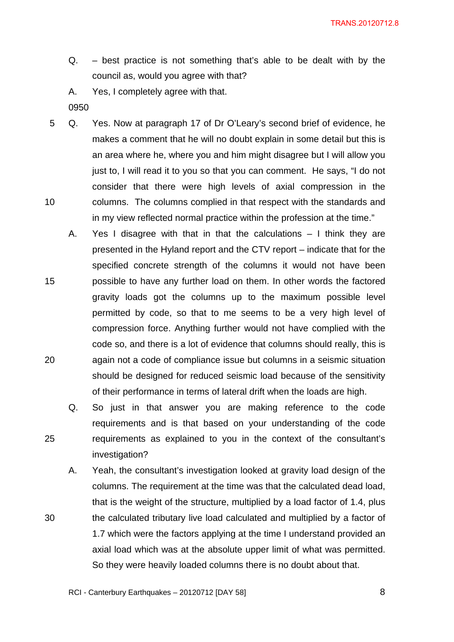- Q. best practice is not something that's able to be dealt with by the council as, would you agree with that?
- A. Yes, I completely agree with that.
- 0950
- 5 Q. Yes. Now at paragraph 17 of Dr O'Leary's second brief of evidence, he makes a comment that he will no doubt explain in some detail but this is an area where he, where you and him might disagree but I will allow you just to, I will read it to you so that you can comment. He says, "I do not consider that there were high levels of axial compression in the 10 columns. The columns complied in that respect with the standards and in my view reflected normal practice within the profession at the time."
- A. Yes I disagree with that in that the calculations I think they are presented in the Hyland report and the CTV report – indicate that for the specified concrete strength of the columns it would not have been 15 possible to have any further load on them. In other words the factored gravity loads got the columns up to the maximum possible level permitted by code, so that to me seems to be a very high level of compression force. Anything further would not have complied with the code so, and there is a lot of evidence that columns should really, this is 20 again not a code of compliance issue but columns in a seismic situation should be designed for reduced seismic load because of the sensitivity of their performance in terms of lateral drift when the loads are high.
- Q. So just in that answer you are making reference to the code requirements and is that based on your understanding of the code 25 requirements as explained to you in the context of the consultant's investigation?

A. Yeah, the consultant's investigation looked at gravity load design of the columns. The requirement at the time was that the calculated dead load, that is the weight of the structure, multiplied by a load factor of 1.4, plus 30 the calculated tributary live load calculated and multiplied by a factor of 1.7 which were the factors applying at the time I understand provided an axial load which was at the absolute upper limit of what was permitted. So they were heavily loaded columns there is no doubt about that.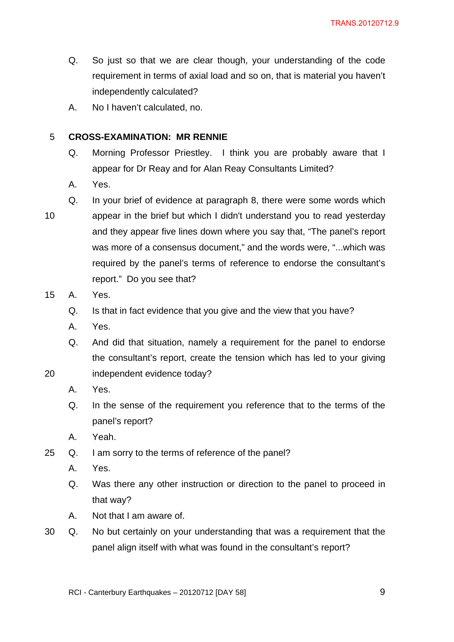- Q. So just so that we are clear though, your understanding of the code requirement in terms of axial load and so on, that is material you haven't independently calculated?
- A. No I haven't calculated, no.

### 5 **CROSS-EXAMINATION: MR RENNIE**

report." Do you see that?

- Q. Morning Professor Priestley. I think you are probably aware that I appear for Dr Reay and for Alan Reay Consultants Limited?
- A. Yes.
- Q. In your brief of evidence at paragraph 8, there were some words which 10 appear in the brief but which I didn't understand you to read yesterday and they appear five lines down where you say that, "The panel's report was more of a consensus document," and the words were, "...which was required by the panel's terms of reference to endorse the consultant's
- 15 A. Yes.
	- Q. Is that in fact evidence that you give and the view that you have?
	- A. Yes.
	- Q. And did that situation, namely a requirement for the panel to endorse the consultant's report, create the tension which has led to your giving
- 20 independent evidence today?
	- A. Yes.
	- Q. In the sense of the requirement you reference that to the terms of the panel's report?
	- A. Yeah.
- 25 Q. I am sorry to the terms of reference of the panel?
	- A. Yes.
	- Q. Was there any other instruction or direction to the panel to proceed in that way?
	- A. Not that I am aware of.
- 30 Q. No but certainly on your understanding that was a requirement that the panel align itself with what was found in the consultant's report?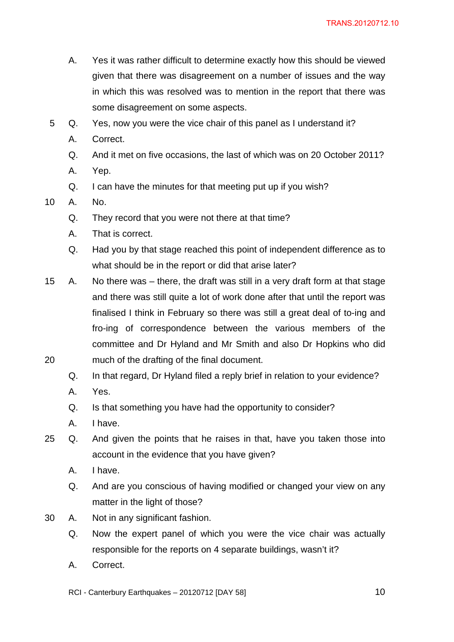- A. Yes it was rather difficult to determine exactly how this should be viewed given that there was disagreement on a number of issues and the way in which this was resolved was to mention in the report that there was some disagreement on some aspects.
- 5 Q. Yes, now you were the vice chair of this panel as I understand it?
	- A. Correct.
	- Q. And it met on five occasions, the last of which was on 20 October 2011?
	- A. Yep.
	- Q. I can have the minutes for that meeting put up if you wish?
- 10 A. No.
	- Q. They record that you were not there at that time?
	- A. That is correct.
	- Q. Had you by that stage reached this point of independent difference as to what should be in the report or did that arise later?
- 15 A. No there was there, the draft was still in a very draft form at that stage and there was still quite a lot of work done after that until the report was finalised I think in February so there was still a great deal of to-ing and fro-ing of correspondence between the various members of the committee and Dr Hyland and Mr Smith and also Dr Hopkins who did 20 much of the drafting of the final document.
	- Q. In that regard, Dr Hyland filed a reply brief in relation to your evidence?
	- A. Yes.
	- Q. Is that something you have had the opportunity to consider?
	- A. I have.
- 25 Q. And given the points that he raises in that, have you taken those into account in the evidence that you have given?
	- A. I have.
	- Q. And are you conscious of having modified or changed your view on any matter in the light of those?
- 30 A. Not in any significant fashion.
	- Q. Now the expert panel of which you were the vice chair was actually responsible for the reports on 4 separate buildings, wasn't it?
	- A. Correct.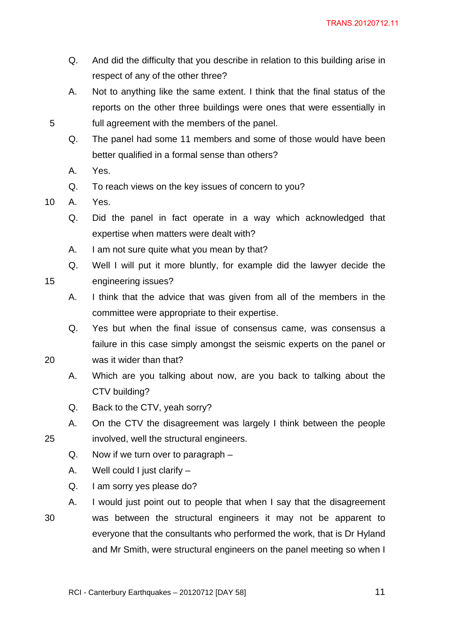- Q. And did the difficulty that you describe in relation to this building arise in respect of any of the other three?
- A. Not to anything like the same extent. I think that the final status of the reports on the other three buildings were ones that were essentially in 5 full agreement with the members of the panel.
	- Q. The panel had some 11 members and some of those would have been better qualified in a formal sense than others?
	- A. Yes.
	- Q. To reach views on the key issues of concern to you?
- 10 A. Yes.
	- Q. Did the panel in fact operate in a way which acknowledged that expertise when matters were dealt with?
	- A. I am not sure quite what you mean by that?
- Q. Well I will put it more bluntly, for example did the lawyer decide the 15 engineering issues?
	- A. I think that the advice that was given from all of the members in the committee were appropriate to their expertise.
- Q. Yes but when the final issue of consensus came, was consensus a failure in this case simply amongst the seismic experts on the panel or 20 was it wider than that?
	- A. Which are you talking about now, are you back to talking about the CTV building?
	- Q. Back to the CTV, yeah sorry?
- A. On the CTV the disagreement was largely I think between the people 25 involved, well the structural engineers.
	- Q. Now if we turn over to paragraph –
	- A. Well could I just clarify –
	- Q. I am sorry yes please do?
- A. I would just point out to people that when I say that the disagreement 30 was between the structural engineers it may not be apparent to everyone that the consultants who performed the work, that is Dr Hyland and Mr Smith, were structural engineers on the panel meeting so when I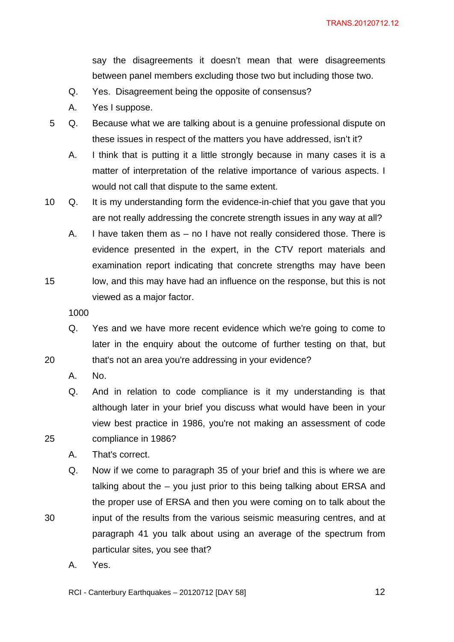say the disagreements it doesn't mean that were disagreements between panel members excluding those two but including those two.

- Q. Yes. Disagreement being the opposite of consensus?
- A. Yes I suppose.
- 5 Q. Because what we are talking about is a genuine professional dispute on these issues in respect of the matters you have addressed, isn't it?
	- A. I think that is putting it a little strongly because in many cases it is a matter of interpretation of the relative importance of various aspects. I would not call that dispute to the same extent.
- 10 Q. It is my understanding form the evidence-in-chief that you gave that you are not really addressing the concrete strength issues in any way at all?
- A. I have taken them as no I have not really considered those. There is evidence presented in the expert, in the CTV report materials and examination report indicating that concrete strengths may have been 15 low, and this may have had an influence on the response, but this is not viewed as a major factor.

1000

- Q. Yes and we have more recent evidence which we're going to come to later in the enquiry about the outcome of further testing on that, but 20 that's not an area you're addressing in your evidence?
	- A. No.
- Q. And in relation to code compliance is it my understanding is that although later in your brief you discuss what would have been in your view best practice in 1986, you're not making an assessment of code 25 compliance in 1986?
	- A. That's correct.
- Q. Now if we come to paragraph 35 of your brief and this is where we are talking about the – you just prior to this being talking about ERSA and the proper use of ERSA and then you were coming on to talk about the 30 input of the results from the various seismic measuring centres, and at paragraph 41 you talk about using an average of the spectrum from particular sites, you see that?
	- A. Yes.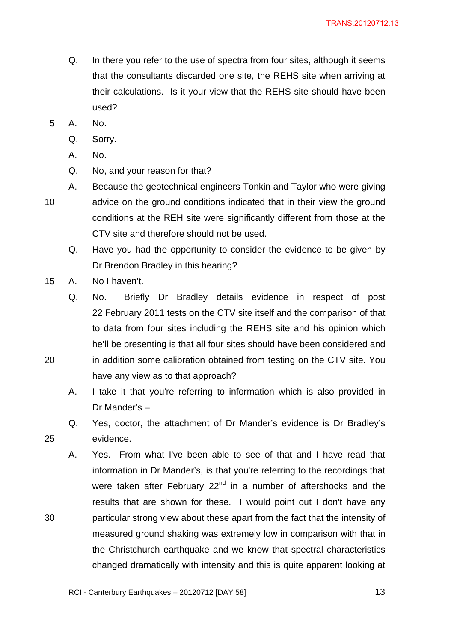- Q. In there you refer to the use of spectra from four sites, although it seems that the consultants discarded one site, the REHS site when arriving at their calculations. Is it your view that the REHS site should have been used?
- 5 A. No.
	- Q. Sorry.
	- A. No.
	- Q. No, and your reason for that?
- A. Because the geotechnical engineers Tonkin and Taylor who were giving 10 advice on the ground conditions indicated that in their view the ground conditions at the REH site were significantly different from those at the CTV site and therefore should not be used.
	- Q. Have you had the opportunity to consider the evidence to be given by Dr Brendon Bradley in this hearing?
- 15 A. No I haven't.

Q. No. Briefly Dr Bradley details evidence in respect of post 22 February 2011 tests on the CTV site itself and the comparison of that to data from four sites including the REHS site and his opinion which he'll be presenting is that all four sites should have been considered and 20 in addition some calibration obtained from testing on the CTV site. You have any view as to that approach?

- A. I take it that you're referring to information which is also provided in Dr Mander's –
- Q. Yes, doctor, the attachment of Dr Mander's evidence is Dr Bradley's 25 evidence.
- A. Yes. From what I've been able to see of that and I have read that information in Dr Mander's, is that you're referring to the recordings that were taken after February 22<sup>nd</sup> in a number of aftershocks and the results that are shown for these. I would point out I don't have any 30 particular strong view about these apart from the fact that the intensity of measured ground shaking was extremely low in comparison with that in the Christchurch earthquake and we know that spectral characteristics changed dramatically with intensity and this is quite apparent looking at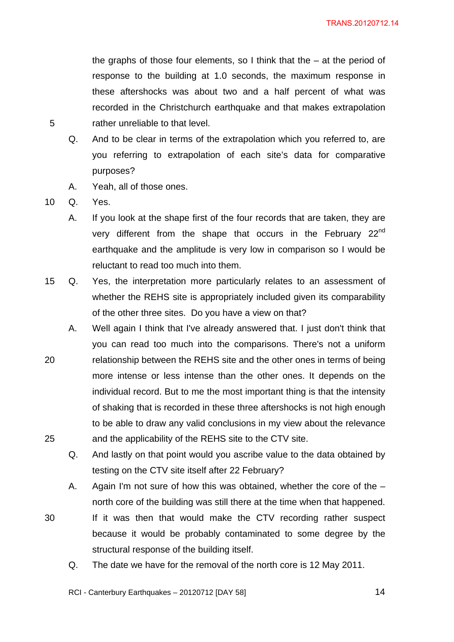the graphs of those four elements, so I think that the  $-$  at the period of response to the building at 1.0 seconds, the maximum response in these aftershocks was about two and a half percent of what was recorded in the Christchurch earthquake and that makes extrapolation 5 rather unreliable to that level.

- Q. And to be clear in terms of the extrapolation which you referred to, are you referring to extrapolation of each site's data for comparative purposes?
- A. Yeah, all of those ones.

10 Q. Yes.

- A. If you look at the shape first of the four records that are taken, they are very different from the shape that occurs in the February 22<sup>nd</sup> earthquake and the amplitude is very low in comparison so I would be reluctant to read too much into them.
- 15 Q. Yes, the interpretation more particularly relates to an assessment of whether the REHS site is appropriately included given its comparability of the other three sites. Do you have a view on that?
- A. Well again I think that I've already answered that. I just don't think that you can read too much into the comparisons. There's not a uniform 20 relationship between the REHS site and the other ones in terms of being more intense or less intense than the other ones. It depends on the individual record. But to me the most important thing is that the intensity of shaking that is recorded in these three aftershocks is not high enough to be able to draw any valid conclusions in my view about the relevance 25 and the applicability of the REHS site to the CTV site.
	- Q. And lastly on that point would you ascribe value to the data obtained by testing on the CTV site itself after 22 February?
	- A. Again I'm not sure of how this was obtained, whether the core of the north core of the building was still there at the time when that happened.
- 30 If it was then that would make the CTV recording rather suspect because it would be probably contaminated to some degree by the structural response of the building itself.
	- Q. The date we have for the removal of the north core is 12 May 2011.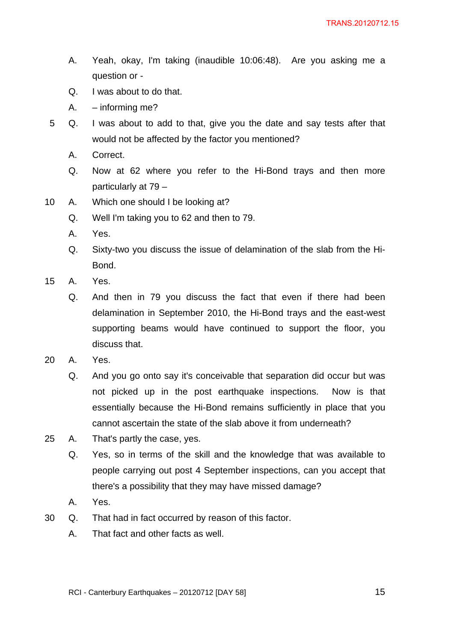- A. Yeah, okay, I'm taking (inaudible 10:06:48). Are you asking me a question or -
- Q. I was about to do that.
- A. informing me?
- 5 Q. I was about to add to that, give you the date and say tests after that would not be affected by the factor you mentioned?
	- A. Correct.
	- Q. Now at 62 where you refer to the Hi-Bond trays and then more particularly at 79 –
- 10 A. Which one should I be looking at?
	- Q. Well I'm taking you to 62 and then to 79.
	- A. Yes.
	- Q. Sixty-two you discuss the issue of delamination of the slab from the Hi-Bond.
- 15 A. Yes.
	- Q. And then in 79 you discuss the fact that even if there had been delamination in September 2010, the Hi-Bond trays and the east-west supporting beams would have continued to support the floor, you discuss that.
- 20 A. Yes.
	- Q. And you go onto say it's conceivable that separation did occur but was not picked up in the post earthquake inspections. Now is that essentially because the Hi-Bond remains sufficiently in place that you cannot ascertain the state of the slab above it from underneath?
- 25 A. That's partly the case, yes.
	- Q. Yes, so in terms of the skill and the knowledge that was available to people carrying out post 4 September inspections, can you accept that there's a possibility that they may have missed damage?
	- A. Yes.
- 30 Q. That had in fact occurred by reason of this factor.
	- A. That fact and other facts as well.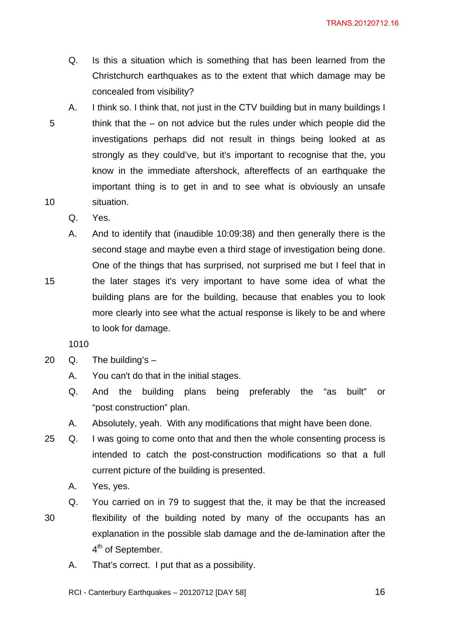- Q. Is this a situation which is something that has been learned from the Christchurch earthquakes as to the extent that which damage may be concealed from visibility?
- A. I think so. I think that, not just in the CTV building but in many buildings I 5 think that the – on not advice but the rules under which people did the investigations perhaps did not result in things being looked at as strongly as they could've, but it's important to recognise that the, you know in the immediate aftershock, aftereffects of an earthquake the important thing is to get in and to see what is obviously an unsafe 10 situation.
	- Q. Yes.
- A. And to identify that (inaudible 10:09:38) and then generally there is the second stage and maybe even a third stage of investigation being done. One of the things that has surprised, not surprised me but I feel that in 15 the later stages it's very important to have some idea of what the building plans are for the building, because that enables you to look more clearly into see what the actual response is likely to be and where to look for damage.

1010

- 20  $Q.$  The building's  $-$ 
	- A. You can't do that in the initial stages.
	- Q. And the building plans being preferably the "as built" or "post construction" plan.
	- A. Absolutely, yeah. With any modifications that might have been done.
- 25 Q. I was going to come onto that and then the whole consenting process is intended to catch the post-construction modifications so that a full current picture of the building is presented.
	- A. Yes, yes.
	- Q. You carried on in 79 to suggest that the, it may be that the increased

- 30 flexibility of the building noted by many of the occupants has an explanation in the possible slab damage and the de-lamination after the 4<sup>th</sup> of September.
	- A. That's correct. I put that as a possibility.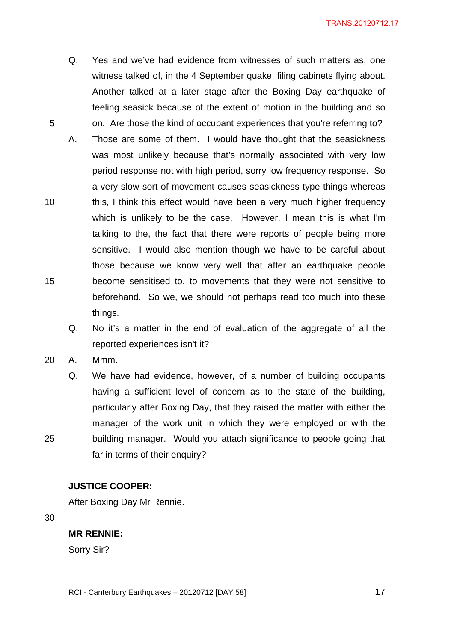- Q. Yes and we've had evidence from witnesses of such matters as, one witness talked of, in the 4 September quake, filing cabinets flying about. Another talked at a later stage after the Boxing Day earthquake of feeling seasick because of the extent of motion in the building and so 5 on. Are those the kind of occupant experiences that you're referring to?
- A. Those are some of them. I would have thought that the seasickness was most unlikely because that's normally associated with very low period response not with high period, sorry low frequency response. So a very slow sort of movement causes seasickness type things whereas 10 this, I think this effect would have been a very much higher frequency which is unlikely to be the case. However, I mean this is what I'm talking to the, the fact that there were reports of people being more sensitive. I would also mention though we have to be careful about those because we know very well that after an earthquake people 15 become sensitised to, to movements that they were not sensitive to beforehand. So we, we should not perhaps read too much into these things.
	- Q. No it's a matter in the end of evaluation of the aggregate of all the reported experiences isn't it?
- 20 A. Mmm.
- Q. We have had evidence, however, of a number of building occupants having a sufficient level of concern as to the state of the building, particularly after Boxing Day, that they raised the matter with either the manager of the work unit in which they were employed or with the 25 building manager. Would you attach significance to people going that far in terms of their enquiry?

#### **JUSTICE COOPER:**

After Boxing Day Mr Rennie.

30

#### **MR RENNIE:**

Sorry Sir?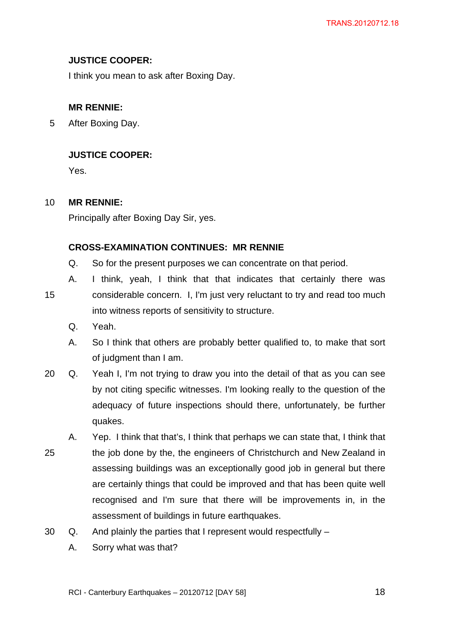## **JUSTICE COOPER:**

I think you mean to ask after Boxing Day.

# **MR RENNIE:**

5 After Boxing Day.

# **JUSTICE COOPER:**

Yes.

## 10 **MR RENNIE:**

Principally after Boxing Day Sir, yes.

## **CROSS-EXAMINATION CONTINUES: MR RENNIE**

- Q. So for the present purposes we can concentrate on that period.
- A. I think, yeah, I think that that indicates that certainly there was 15 considerable concern. I, I'm just very reluctant to try and read too much into witness reports of sensitivity to structure.
	- Q. Yeah.
	- A. So I think that others are probably better qualified to, to make that sort of judgment than I am.
- 20 Q. Yeah I, I'm not trying to draw you into the detail of that as you can see by not citing specific witnesses. I'm looking really to the question of the adequacy of future inspections should there, unfortunately, be further quakes.
- A. Yep. I think that that's, I think that perhaps we can state that, I think that 25 the job done by the, the engineers of Christchurch and New Zealand in assessing buildings was an exceptionally good job in general but there are certainly things that could be improved and that has been quite well recognised and I'm sure that there will be improvements in, in the assessment of buildings in future earthquakes.
- 30 Q. And plainly the parties that I represent would respectfully
	- A. Sorry what was that?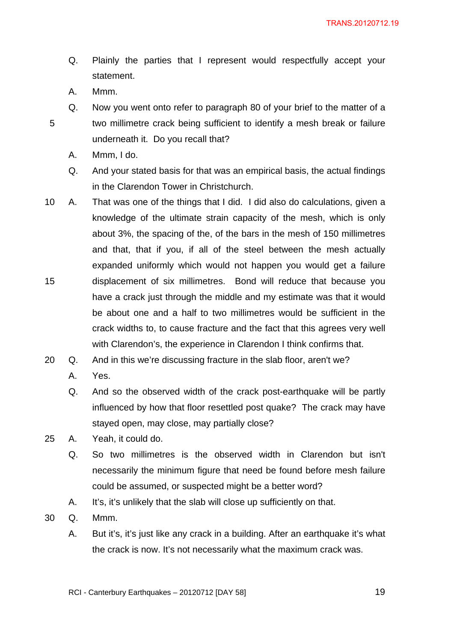- Q. Plainly the parties that I represent would respectfully accept your statement.
- A. Mmm.
- Q. Now you went onto refer to paragraph 80 of your brief to the matter of a 5 two millimetre crack being sufficient to identify a mesh break or failure underneath it. Do you recall that?
	- A. Mmm, I do.
	- Q. And your stated basis for that was an empirical basis, the actual findings in the Clarendon Tower in Christchurch.
- 10 A. That was one of the things that I did. I did also do calculations, given a knowledge of the ultimate strain capacity of the mesh, which is only about 3%, the spacing of the, of the bars in the mesh of 150 millimetres and that, that if you, if all of the steel between the mesh actually expanded uniformly which would not happen you would get a failure 15 displacement of six millimetres. Bond will reduce that because you have a crack just through the middle and my estimate was that it would be about one and a half to two millimetres would be sufficient in the crack widths to, to cause fracture and the fact that this agrees very well with Clarendon's, the experience in Clarendon I think confirms that.
- 20 Q. And in this we're discussing fracture in the slab floor, aren't we?
	- A. Yes.
	- Q. And so the observed width of the crack post-earthquake will be partly influenced by how that floor resettled post quake? The crack may have stayed open, may close, may partially close?
- 25 A. Yeah, it could do.
	- Q. So two millimetres is the observed width in Clarendon but isn't necessarily the minimum figure that need be found before mesh failure could be assumed, or suspected might be a better word?
	- A. It's, it's unlikely that the slab will close up sufficiently on that.
- 30 Q. Mmm.
	- A. But it's, it's just like any crack in a building. After an earthquake it's what the crack is now. It's not necessarily what the maximum crack was.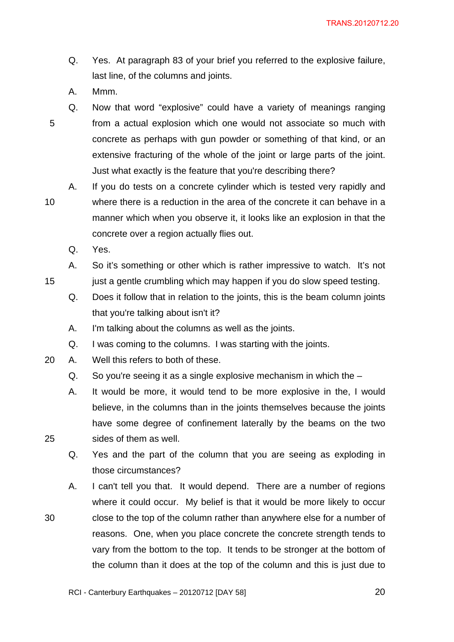- Q. Yes. At paragraph 83 of your brief you referred to the explosive failure, last line, of the columns and joints.
- A. Mmm.

Q. Now that word "explosive" could have a variety of meanings ranging 5 from a actual explosion which one would not associate so much with concrete as perhaps with gun powder or something of that kind, or an extensive fracturing of the whole of the joint or large parts of the joint. Just what exactly is the feature that you're describing there?

A. If you do tests on a concrete cylinder which is tested very rapidly and 10 where there is a reduction in the area of the concrete it can behave in a manner which when you observe it, it looks like an explosion in that the concrete over a region actually flies out.

- Q. Yes.
- A. So it's something or other which is rather impressive to watch. It's not 15 just a gentle crumbling which may happen if you do slow speed testing.
	- Q. Does it follow that in relation to the joints, this is the beam column joints that you're talking about isn't it?
	- A. I'm talking about the columns as well as the joints.
	- Q. I was coming to the columns. I was starting with the joints.
- 20 A. Well this refers to both of these.
	- Q. So you're seeing it as a single explosive mechanism in which the –
- A. It would be more, it would tend to be more explosive in the, I would believe, in the columns than in the joints themselves because the joints have some degree of confinement laterally by the beams on the two 25 sides of them as well.
	- Q. Yes and the part of the column that you are seeing as exploding in those circumstances?
- A. I can't tell you that. It would depend. There are a number of regions where it could occur. My belief is that it would be more likely to occur 30 close to the top of the column rather than anywhere else for a number of reasons. One, when you place concrete the concrete strength tends to vary from the bottom to the top. It tends to be stronger at the bottom of the column than it does at the top of the column and this is just due to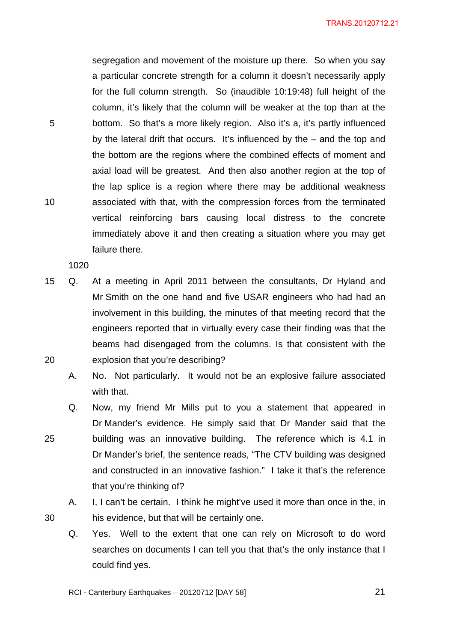segregation and movement of the moisture up there. So when you say a particular concrete strength for a column it doesn't necessarily apply for the full column strength. So (inaudible 10:19:48) full height of the column, it's likely that the column will be weaker at the top than at the 5 bottom. So that's a more likely region. Also it's a, it's partly influenced by the lateral drift that occurs. It's influenced by the – and the top and the bottom are the regions where the combined effects of moment and axial load will be greatest. And then also another region at the top of the lap splice is a region where there may be additional weakness 10 associated with that, with the compression forces from the terminated vertical reinforcing bars causing local distress to the concrete immediately above it and then creating a situation where you may get failure there.

1020

15 Q. At a meeting in April 2011 between the consultants, Dr Hyland and Mr Smith on the one hand and five USAR engineers who had had an involvement in this building, the minutes of that meeting record that the engineers reported that in virtually every case their finding was that the beams had disengaged from the columns. Is that consistent with the 20 explosion that you're describing?

A. No. Not particularly. It would not be an explosive failure associated with that.

Q. Now, my friend Mr Mills put to you a statement that appeared in Dr Mander's evidence. He simply said that Dr Mander said that the 25 building was an innovative building. The reference which is 4.1 in Dr Mander's brief, the sentence reads, "The CTV building was designed and constructed in an innovative fashion." I take it that's the reference that you're thinking of?

A. I, I can't be certain. I think he might've used it more than once in the, in 30 his evidence, but that will be certainly one.

Q. Yes. Well to the extent that one can rely on Microsoft to do word searches on documents I can tell you that that's the only instance that I could find yes.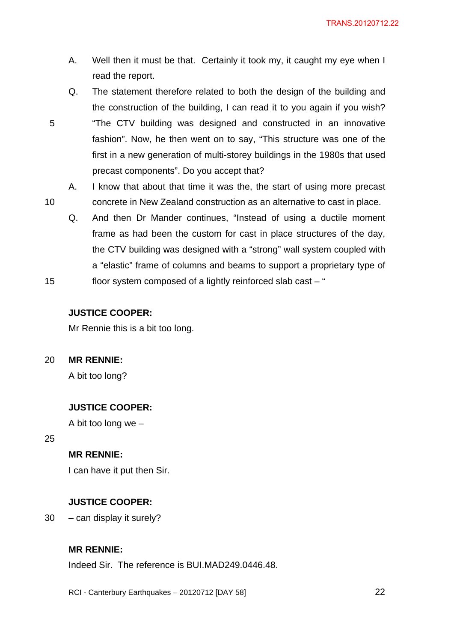- A. Well then it must be that. Certainly it took my, it caught my eye when I read the report.
- Q. The statement therefore related to both the design of the building and the construction of the building, I can read it to you again if you wish? 5 "The CTV building was designed and constructed in an innovative fashion". Now, he then went on to say, "This structure was one of the first in a new generation of multi-storey buildings in the 1980s that used precast components". Do you accept that?
- A. I know that about that time it was the, the start of using more precast 10 concrete in New Zealand construction as an alternative to cast in place.
	- Q. And then Dr Mander continues, "Instead of using a ductile moment frame as had been the custom for cast in place structures of the day, the CTV building was designed with a "strong" wall system coupled with a "elastic" frame of columns and beams to support a proprietary type of
- 15 floor system composed of a lightly reinforced slab cast "

#### **JUSTICE COOPER:**

Mr Rennie this is a bit too long.

20 **MR RENNIE:** 

A bit too long?

### **JUSTICE COOPER:**

A bit too long we –

25

# **MR RENNIE:**

I can have it put then Sir.

### **JUSTICE COOPER:**

30 – can display it surely?

### **MR RENNIE:**

Indeed Sir. The reference is BUI.MAD249.0446.48.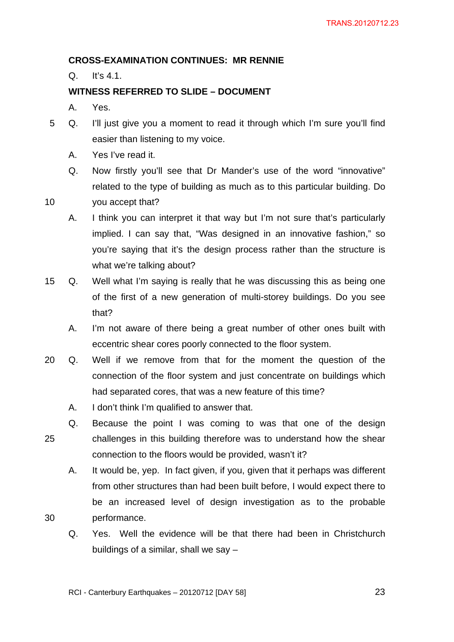# **CROSS-EXAMINATION CONTINUES: MR RENNIE**

Q. It's 4.1.

# **WITNESS REFERRED TO SLIDE – DOCUMENT**

- A. Yes.
- 5 Q. I'll just give you a moment to read it through which I'm sure you'll find easier than listening to my voice.
	- A. Yes I've read it.
	- Q. Now firstly you'll see that Dr Mander's use of the word "innovative" related to the type of building as much as to this particular building. Do
- 10 you accept that?
	- A. I think you can interpret it that way but I'm not sure that's particularly implied. I can say that, "Was designed in an innovative fashion," so you're saying that it's the design process rather than the structure is what we're talking about?
- 15 Q. Well what I'm saying is really that he was discussing this as being one of the first of a new generation of multi-storey buildings. Do you see that?
	- A. I'm not aware of there being a great number of other ones built with eccentric shear cores poorly connected to the floor system.
- 20 Q. Well if we remove from that for the moment the question of the connection of the floor system and just concentrate on buildings which had separated cores, that was a new feature of this time?
	- A. I don't think I'm qualified to answer that.
- Q. Because the point I was coming to was that one of the design 25 challenges in this building therefore was to understand how the shear connection to the floors would be provided, wasn't it?

A. It would be, yep. In fact given, if you, given that it perhaps was different from other structures than had been built before, I would expect there to be an increased level of design investigation as to the probable 30 performance.

Q. Yes. Well the evidence will be that there had been in Christchurch buildings of a similar, shall we say –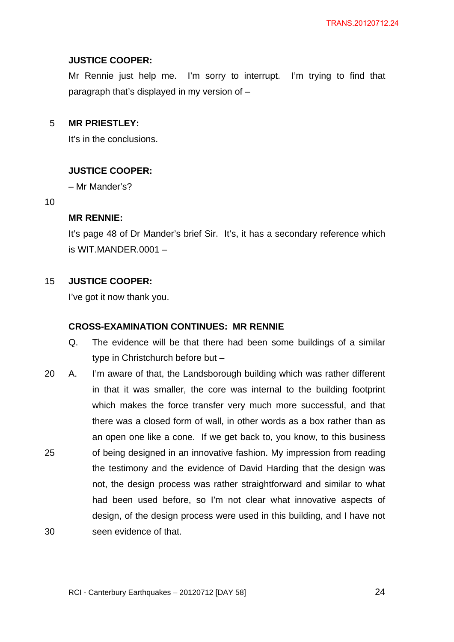# **JUSTICE COOPER:**

Mr Rennie just help me. I'm sorry to interrupt. I'm trying to find that paragraph that's displayed in my version of –

# 5 **MR PRIESTLEY:**

It's in the conclusions.

# **JUSTICE COOPER:**

– Mr Mander's?

#### 10

## **MR RENNIE:**

It's page 48 of Dr Mander's brief Sir. It's, it has a secondary reference which is WIT.MANDER.0001 –

# 15 **JUSTICE COOPER:**

I've got it now thank you.

## **CROSS-EXAMINATION CONTINUES: MR RENNIE**

- Q. The evidence will be that there had been some buildings of a similar type in Christchurch before but –
- 20 A. I'm aware of that, the Landsborough building which was rather different in that it was smaller, the core was internal to the building footprint which makes the force transfer very much more successful, and that there was a closed form of wall, in other words as a box rather than as an open one like a cone. If we get back to, you know, to this business 25 of being designed in an innovative fashion. My impression from reading the testimony and the evidence of David Harding that the design was not, the design process was rather straightforward and similar to what had been used before, so I'm not clear what innovative aspects of design, of the design process were used in this building, and I have not 30 seen evidence of that.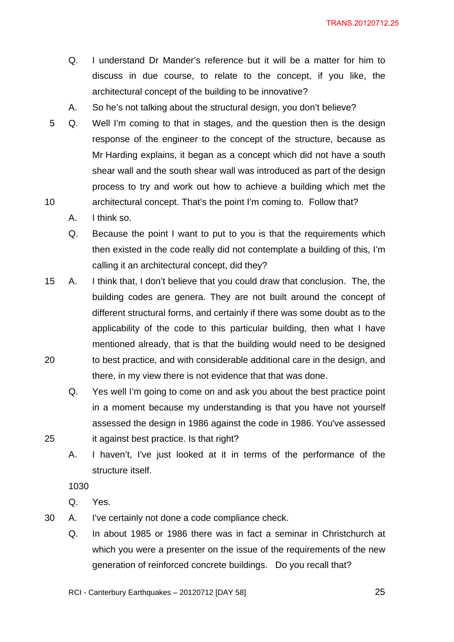- Q. I understand Dr Mander's reference but it will be a matter for him to discuss in due course, to relate to the concept, if you like, the architectural concept of the building to be innovative?
- A. So he's not talking about the structural design, you don't believe?
- 5 Q. Well I'm coming to that in stages, and the question then is the design response of the engineer to the concept of the structure, because as Mr Harding explains, it began as a concept which did not have a south shear wall and the south shear wall was introduced as part of the design process to try and work out how to achieve a building which met the 10 architectural concept. That's the point I'm coming to. Follow that?
	- A. I think so.
	- Q. Because the point I want to put to you is that the requirements which then existed in the code really did not contemplate a building of this, I'm calling it an architectural concept, did they?
- 15 A. I think that, I don't believe that you could draw that conclusion. The, the building codes are genera. They are not built around the concept of different structural forms, and certainly if there was some doubt as to the applicability of the code to this particular building, then what I have mentioned already, that is that the building would need to be designed 20 to best practice, and with considerable additional care in the design, and there, in my view there is not evidence that that was done.
- Q. Yes well I'm going to come on and ask you about the best practice point in a moment because my understanding is that you have not yourself assessed the design in 1986 against the code in 1986. You've assessed 25 it against best practice. Is that right?
	- A. I haven't, I've just looked at it in terms of the performance of the structure itself.

1030

- Q. Yes.
- 30 A. I've certainly not done a code compliance check.
	- Q. In about 1985 or 1986 there was in fact a seminar in Christchurch at which you were a presenter on the issue of the requirements of the new generation of reinforced concrete buildings. Do you recall that?
	- RCI Canterbury Earthquakes 20120712 [DAY 58]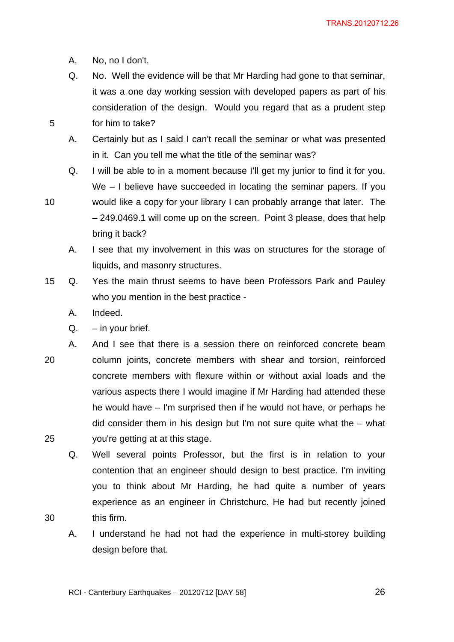- A. No, no I don't.
- Q. No. Well the evidence will be that Mr Harding had gone to that seminar, it was a one day working session with developed papers as part of his consideration of the design. Would you regard that as a prudent step 5 for him to take?
	- A. Certainly but as I said I can't recall the seminar or what was presented in it. Can you tell me what the title of the seminar was?
- Q. I will be able to in a moment because I'll get my junior to find it for you. We – I believe have succeeded in locating the seminar papers. If you 10 would like a copy for your library I can probably arrange that later. The – 249.0469.1 will come up on the screen. Point 3 please, does that help bring it back?
	- A. I see that my involvement in this was on structures for the storage of liquids, and masonry structures.
- 15 Q. Yes the main thrust seems to have been Professors Park and Pauley who you mention in the best practice -
	- A. Indeed.
	- $Q. in$  your brief.
- A. And I see that there is a session there on reinforced concrete beam 20 column joints, concrete members with shear and torsion, reinforced concrete members with flexure within or without axial loads and the various aspects there I would imagine if Mr Harding had attended these he would have – I'm surprised then if he would not have, or perhaps he did consider them in his design but I'm not sure quite what the – what 25 you're getting at at this stage.
- Q. Well several points Professor, but the first is in relation to your contention that an engineer should design to best practice. I'm inviting you to think about Mr Harding, he had quite a number of years experience as an engineer in Christchurc. He had but recently joined 30 this firm.
	- A. I understand he had not had the experience in multi-storey building design before that.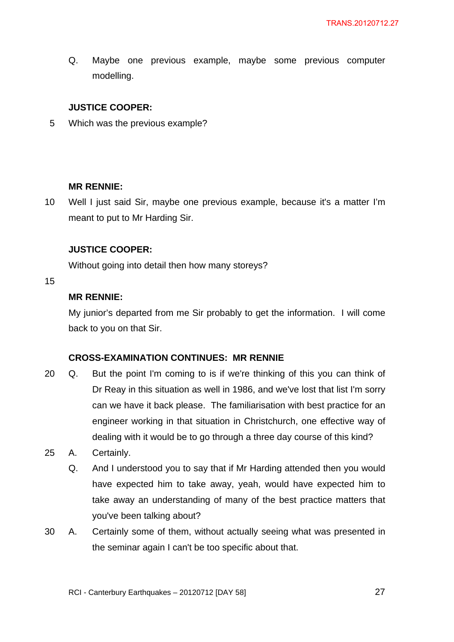Q. Maybe one previous example, maybe some previous computer modelling.

# **JUSTICE COOPER:**

5 Which was the previous example?

## **MR RENNIE:**

10 Well I just said Sir, maybe one previous example, because it's a matter I'm meant to put to Mr Harding Sir.

## **JUSTICE COOPER:**

Without going into detail then how many storeys?

#### 15

# **MR RENNIE:**

My junior's departed from me Sir probably to get the information. I will come back to you on that Sir.

## **CROSS-EXAMINATION CONTINUES: MR RENNIE**

- 20 Q. But the point I'm coming to is if we're thinking of this you can think of Dr Reay in this situation as well in 1986, and we've lost that list I'm sorry can we have it back please. The familiarisation with best practice for an engineer working in that situation in Christchurch, one effective way of dealing with it would be to go through a three day course of this kind?
- 25 A. Certainly.
	- Q. And I understood you to say that if Mr Harding attended then you would have expected him to take away, yeah, would have expected him to take away an understanding of many of the best practice matters that you've been talking about?
- 30 A. Certainly some of them, without actually seeing what was presented in the seminar again I can't be too specific about that.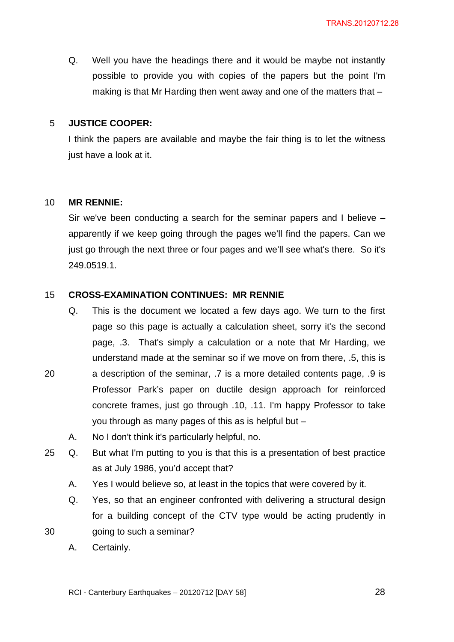Q. Well you have the headings there and it would be maybe not instantly possible to provide you with copies of the papers but the point I'm making is that Mr Harding then went away and one of the matters that –

#### 5 **JUSTICE COOPER:**

I think the papers are available and maybe the fair thing is to let the witness just have a look at it.

#### 10 **MR RENNIE:**

Sir we've been conducting a search for the seminar papers and I believe – apparently if we keep going through the pages we'll find the papers. Can we just go through the next three or four pages and we'll see what's there. So it's 249.0519.1.

#### 15 **CROSS-EXAMINATION CONTINUES: MR RENNIE**

- Q. This is the document we located a few days ago. We turn to the first page so this page is actually a calculation sheet, sorry it's the second page, .3. That's simply a calculation or a note that Mr Harding, we understand made at the seminar so if we move on from there, .5, this is 20 a description of the seminar, .7 is a more detailed contents page, .9 is Professor Park's paper on ductile design approach for reinforced concrete frames, just go through .10, .11. I'm happy Professor to take you through as many pages of this as is helpful but –
	- A. No I don't think it's particularly helpful, no.
- 25 Q. But what I'm putting to you is that this is a presentation of best practice as at July 1986, you'd accept that?
	- A. Yes I would believe so, at least in the topics that were covered by it.
- Q. Yes, so that an engineer confronted with delivering a structural design for a building concept of the CTV type would be acting prudently in 30 going to such a seminar?
	- A. Certainly.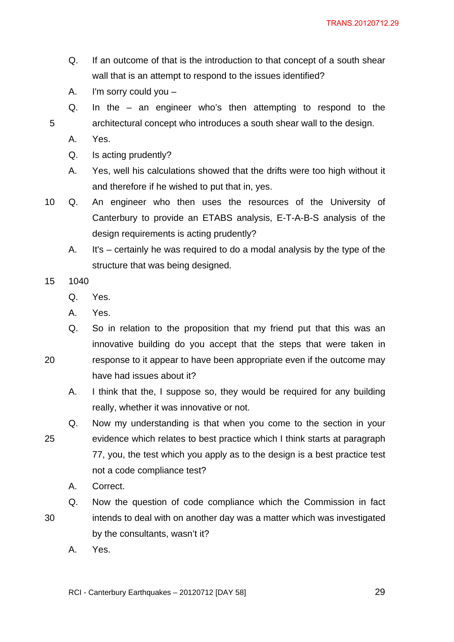- Q. If an outcome of that is the introduction to that concept of a south shear wall that is an attempt to respond to the issues identified?
- A. I'm sorry could you –
- Q. In the an engineer who's then attempting to respond to the 5 architectural concept who introduces a south shear wall to the design.
	- A. Yes.
	- Q. Is acting prudently?
	- A. Yes, well his calculations showed that the drifts were too high without it and therefore if he wished to put that in, yes.
- 10 Q. An engineer who then uses the resources of the University of Canterbury to provide an ETABS analysis, E-T-A-B-S analysis of the design requirements is acting prudently?
	- A. It's certainly he was required to do a modal analysis by the type of the structure that was being designed.
- 15 1040
	- Q. Yes.
	- A. Yes.
	- Q. So in relation to the proposition that my friend put that this was an innovative building do you accept that the steps that were taken in
- 20 response to it appear to have been appropriate even if the outcome may have had issues about it?
	- A. I think that the, I suppose so, they would be required for any building really, whether it was innovative or not.
- Q. Now my understanding is that when you come to the section in your 25 evidence which relates to best practice which I think starts at paragraph 77, you, the test which you apply as to the design is a best practice test not a code compliance test?
	- A. Correct.
- Q. Now the question of code compliance which the Commission in fact 30 intends to deal with on another day was a matter which was investigated by the consultants, wasn't it?
	- A. Yes.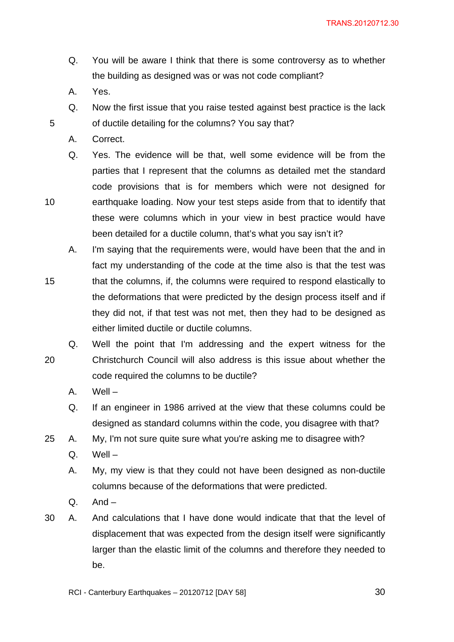- Q. You will be aware I think that there is some controversy as to whether the building as designed was or was not code compliant?
- A. Yes.
- Q. Now the first issue that you raise tested against best practice is the lack 5 of ductile detailing for the columns? You say that?
	- A. Correct.
- Q. Yes. The evidence will be that, well some evidence will be from the parties that I represent that the columns as detailed met the standard code provisions that is for members which were not designed for 10 earthquake loading. Now your test steps aside from that to identify that these were columns which in your view in best practice would have been detailed for a ductile column, that's what you say isn't it?
	- A. I'm saying that the requirements were, would have been that the and in fact my understanding of the code at the time also is that the test was
- 15 that the columns, if, the columns were required to respond elastically to the deformations that were predicted by the design process itself and if they did not, if that test was not met, then they had to be designed as either limited ductile or ductile columns.
- Q. Well the point that I'm addressing and the expert witness for the 20 Christchurch Council will also address is this issue about whether the code required the columns to be ductile?
	- A. Well –
	- Q. If an engineer in 1986 arrived at the view that these columns could be designed as standard columns within the code, you disagree with that?
- 25 A. My, I'm not sure quite sure what you're asking me to disagree with?
	- Q. Well –
	- A. My, my view is that they could not have been designed as non-ductile columns because of the deformations that were predicted.
	- $Q.$  And  $-$
- 30 A. And calculations that I have done would indicate that that the level of displacement that was expected from the design itself were significantly larger than the elastic limit of the columns and therefore they needed to be.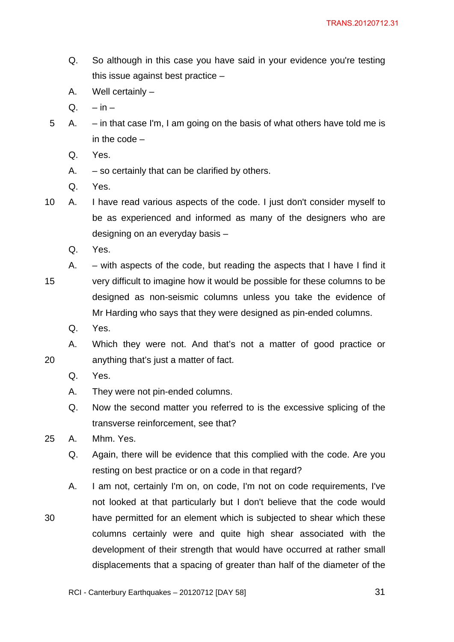- Q. So although in this case you have said in your evidence you're testing this issue against best practice –
- A. Well certainly –
- $Q. in -$
- 5 A. in that case I'm, I am going on the basis of what others have told me is in the code –
	- Q. Yes.
	- A.  $-$  so certainly that can be clarified by others.
	- Q. Yes.
- 10 A. I have read various aspects of the code. I just don't consider myself to be as experienced and informed as many of the designers who are designing on an everyday basis –
	- Q. Yes.
- A. with aspects of the code, but reading the aspects that I have I find it 15 very difficult to imagine how it would be possible for these columns to be designed as non-seismic columns unless you take the evidence of Mr Harding who says that they were designed as pin-ended columns.
	- Q. Yes.

A. Which they were not. And that's not a matter of good practice or 20 anything that's just a matter of fact.

- Q. Yes.
- A. They were not pin-ended columns.
- Q. Now the second matter you referred to is the excessive splicing of the transverse reinforcement, see that?
- 25 A. Mhm. Yes.
	- Q. Again, there will be evidence that this complied with the code. Are you resting on best practice or on a code in that regard?
- A. I am not, certainly I'm on, on code, I'm not on code requirements, I've not looked at that particularly but I don't believe that the code would 30 have permitted for an element which is subjected to shear which these columns certainly were and quite high shear associated with the development of their strength that would have occurred at rather small displacements that a spacing of greater than half of the diameter of the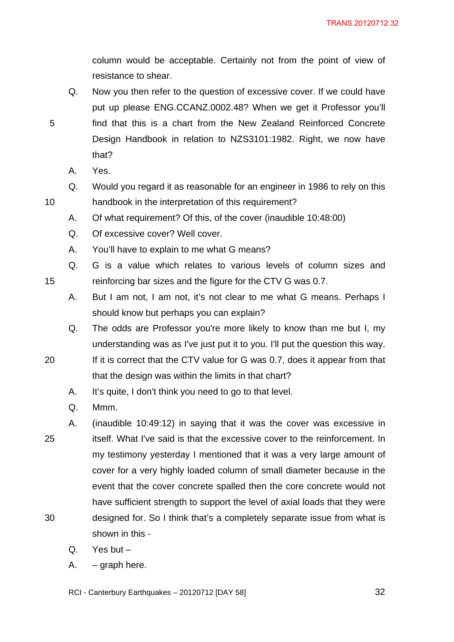column would be acceptable. Certainly not from the point of view of resistance to shear.

- Q. Now you then refer to the question of excessive cover. If we could have put up please ENG.CCANZ.0002.48? When we get it Professor you'll 5 find that this is a chart from the New Zealand Reinforced Concrete Design Handbook in relation to NZS3101:1982. Right, we now have
	- A. Yes.

that?

- Q. Would you regard it as reasonable for an engineer in 1986 to rely on this 10 handbook in the interpretation of this requirement?
	- A. Of what requirement? Of this, of the cover (inaudible 10:48:00)
	- Q. Of excessive cover? Well cover.
	- A. You'll have to explain to me what G means?
- Q. G is a value which relates to various levels of column sizes and 15 reinforcing bar sizes and the figure for the CTV G was 0.7.
	- A. But I am not, I am not, it's not clear to me what G means. Perhaps I should know but perhaps you can explain?
	- Q. The odds are Professor you're more likely to know than me but I, my understanding was as I've just put it to you. I'll put the question this way.
- 20 If it is correct that the CTV value for G was 0.7, does it appear from that that the design was within the limits in that chart?
	- A. It's quite, I don't think you need to go to that level.
	- Q. Mmm.
- A. (inaudible 10:49:12) in saying that it was the cover was excessive in 25 itself. What I've said is that the excessive cover to the reinforcement. In my testimony yesterday I mentioned that it was a very large amount of cover for a very highly loaded column of small diameter because in the event that the cover concrete spalled then the core concrete would not have sufficient strength to support the level of axial loads that they were 30 designed for. So I think that's a completely separate issue from what is shown in this -
	- Q. Yes but –
	- A. graph here.
	- RCI Canterbury Earthquakes 20120712 [DAY 58] 32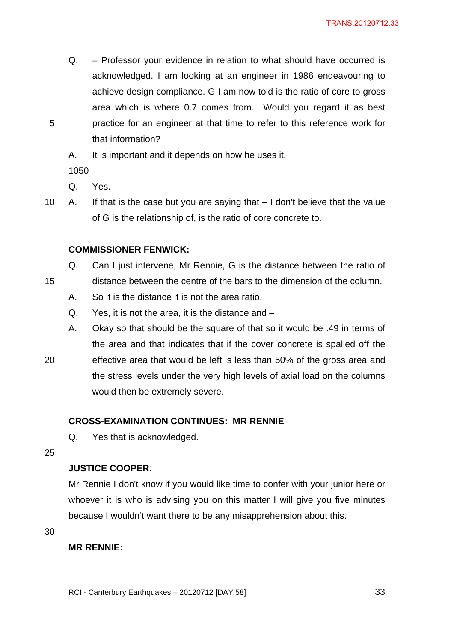- Q. Professor your evidence in relation to what should have occurred is acknowledged. I am looking at an engineer in 1986 endeavouring to achieve design compliance. G I am now told is the ratio of core to gross area which is where 0.7 comes from. Would you regard it as best 5 practice for an engineer at that time to refer to this reference work for that information?
	- A. It is important and it depends on how he uses it.

1050

Q. Yes.

10 A. If that is the case but you are saying that – I don't believe that the value of G is the relationship of, is the ratio of core concrete to.

### **COMMISSIONER FENWICK:**

- Q. Can I just intervene, Mr Rennie, G is the distance between the ratio of
- 15 distance between the centre of the bars to the dimension of the column.
	- A. So it is the distance it is not the area ratio.
	- Q. Yes, it is not the area, it is the distance and –
	- A. Okay so that should be the square of that so it would be .49 in terms of the area and that indicates that if the cover concrete is spalled off the
- 20 effective area that would be left is less than 50% of the gross area and the stress levels under the very high levels of axial load on the columns would then be extremely severe.

# **CROSS-EXAMINATION CONTINUES: MR RENNIE**

Q. Yes that is acknowledged.

25

### **JUSTICE COOPER**:

Mr Rennie I don't know if you would like time to confer with your junior here or whoever it is who is advising you on this matter I will give you five minutes because I wouldn't want there to be any misapprehension about this.

30

## **MR RENNIE:**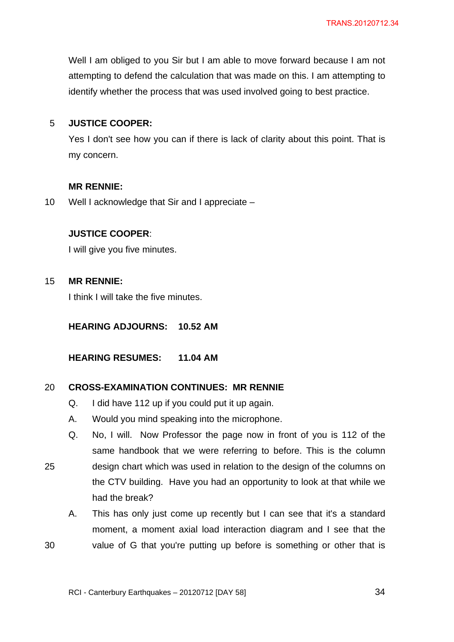Well I am obliged to you Sir but I am able to move forward because I am not attempting to defend the calculation that was made on this. I am attempting to identify whether the process that was used involved going to best practice.

# 5 **JUSTICE COOPER:**

Yes I don't see how you can if there is lack of clarity about this point. That is my concern.

# **MR RENNIE:**

10 Well I acknowledge that Sir and I appreciate –

# **JUSTICE COOPER**:

I will give you five minutes.

# 15 **MR RENNIE:**

I think I will take the five minutes.

**HEARING ADJOURNS: 10.52 AM** 

**HEARING RESUMES: 11.04 AM** 

## 20 **CROSS-EXAMINATION CONTINUES: MR RENNIE**

- Q. I did have 112 up if you could put it up again.
- A. Would you mind speaking into the microphone.
- Q. No, I will. Now Professor the page now in front of you is 112 of the same handbook that we were referring to before. This is the column
- 25 design chart which was used in relation to the design of the columns on the CTV building. Have you had an opportunity to look at that while we had the break?
- A. This has only just come up recently but I can see that it's a standard moment, a moment axial load interaction diagram and I see that the 30 value of G that you're putting up before is something or other that is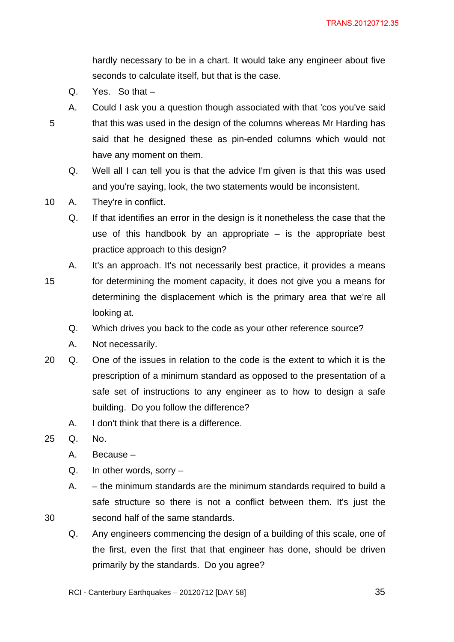hardly necessary to be in a chart. It would take any engineer about five seconds to calculate itself, but that is the case.

- Q. Yes. So that –
- A. Could I ask you a question though associated with that 'cos you've said 5 that this was used in the design of the columns whereas Mr Harding has said that he designed these as pin-ended columns which would not have any moment on them.
	- Q. Well all I can tell you is that the advice I'm given is that this was used and you're saying, look, the two statements would be inconsistent.
- 10 A. They're in conflict.
	- Q. If that identifies an error in the design is it nonetheless the case that the use of this handbook by an appropriate – is the appropriate best practice approach to this design?
	- A. It's an approach. It's not necessarily best practice, it provides a means
- 15 for determining the moment capacity, it does not give you a means for determining the displacement which is the primary area that we're all looking at.
	- Q. Which drives you back to the code as your other reference source?
	- A. Not necessarily.
- 20 Q. One of the issues in relation to the code is the extent to which it is the prescription of a minimum standard as opposed to the presentation of a safe set of instructions to any engineer as to how to design a safe building. Do you follow the difference?
	- A. I don't think that there is a difference.
- 25 Q. No.
	- A. Because –
	- Q. In other words, sorry –
- A. the minimum standards are the minimum standards required to build a safe structure so there is not a conflict between them. It's just the 30 second half of the same standards.
	- Q. Any engineers commencing the design of a building of this scale, one of the first, even the first that that engineer has done, should be driven primarily by the standards. Do you agree?
	- RCI Canterbury Earthquakes 20120712 [DAY 58] 35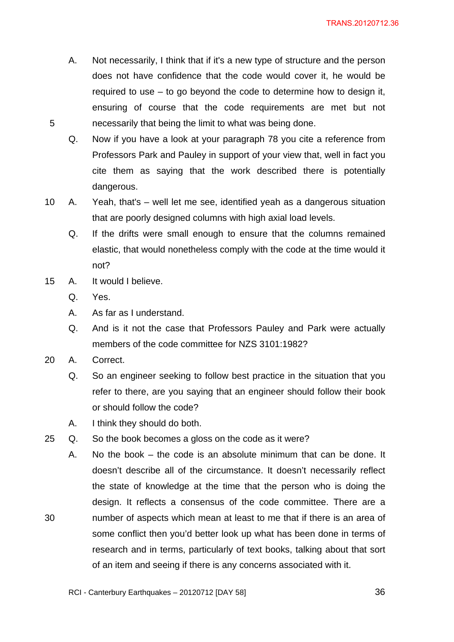- A. Not necessarily, I think that if it's a new type of structure and the person does not have confidence that the code would cover it, he would be required to use – to go beyond the code to determine how to design it, ensuring of course that the code requirements are met but not 5 necessarily that being the limit to what was being done.
	- Q. Now if you have a look at your paragraph 78 you cite a reference from Professors Park and Pauley in support of your view that, well in fact you cite them as saying that the work described there is potentially dangerous.
- 10 A. Yeah, that's well let me see, identified yeah as a dangerous situation that are poorly designed columns with high axial load levels.
	- Q. If the drifts were small enough to ensure that the columns remained elastic, that would nonetheless comply with the code at the time would it not?
- 15 A. It would I believe.
	- Q. Yes.
	- A. As far as I understand.
	- Q. And is it not the case that Professors Pauley and Park were actually members of the code committee for NZS 3101:1982?
- 20 A. Correct.
	- Q. So an engineer seeking to follow best practice in the situation that you refer to there, are you saying that an engineer should follow their book or should follow the code?
	- A. I think they should do both.
- 25 Q. So the book becomes a gloss on the code as it were?
- A. No the book the code is an absolute minimum that can be done. It doesn't describe all of the circumstance. It doesn't necessarily reflect the state of knowledge at the time that the person who is doing the design. It reflects a consensus of the code committee. There are a 30 number of aspects which mean at least to me that if there is an area of some conflict then you'd better look up what has been done in terms of research and in terms, particularly of text books, talking about that sort of an item and seeing if there is any concerns associated with it.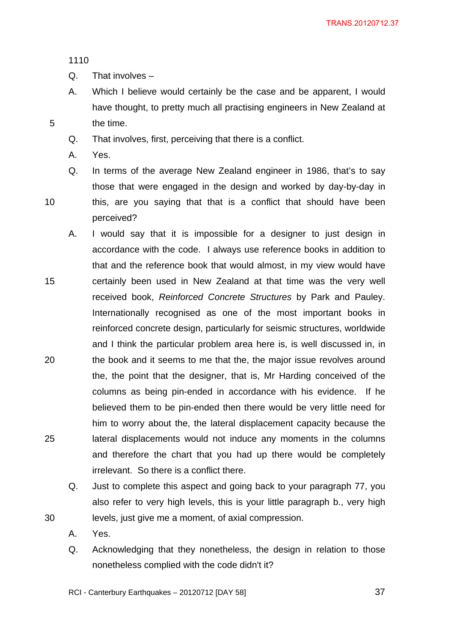1110

- Q. That involves –
- A. Which I believe would certainly be the case and be apparent, I would have thought, to pretty much all practising engineers in New Zealand at 5 the time.
	- Q. That involves, first, perceiving that there is a conflict.
	- A. Yes.
- Q. In terms of the average New Zealand engineer in 1986, that's to say those that were engaged in the design and worked by day-by-day in 10 this, are you saying that that is a conflict that should have been perceived?
- A. I would say that it is impossible for a designer to just design in accordance with the code. I always use reference books in addition to that and the reference book that would almost, in my view would have 15 certainly been used in New Zealand at that time was the very well received book, *Reinforced Concrete Structures* by Park and Pauley. Internationally recognised as one of the most important books in reinforced concrete design, particularly for seismic structures, worldwide and I think the particular problem area here is, is well discussed in, in 20 the book and it seems to me that the, the major issue revolves around the, the point that the designer, that is, Mr Harding conceived of the columns as being pin-ended in accordance with his evidence. If he believed them to be pin-ended then there would be very little need for him to worry about the, the lateral displacement capacity because the 25 lateral displacements would not induce any moments in the columns and therefore the chart that you had up there would be completely irrelevant. So there is a conflict there.
- Q. Just to complete this aspect and going back to your paragraph 77, you also refer to very high levels, this is your little paragraph b., very high 30 levels, just give me a moment, of axial compression.
	- A. Yes.
	- Q. Acknowledging that they nonetheless, the design in relation to those nonetheless complied with the code didn't it?
	- RCI Canterbury Earthquakes 20120712 [DAY 58]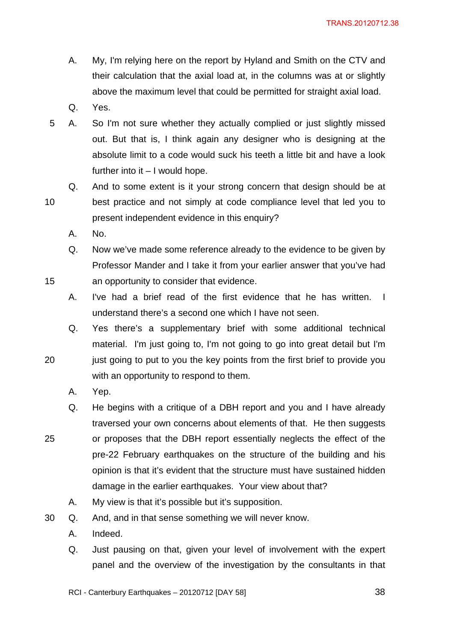- A. My, I'm relying here on the report by Hyland and Smith on the CTV and their calculation that the axial load at, in the columns was at or slightly above the maximum level that could be permitted for straight axial load.
- Q. Yes.
- 5 A. So I'm not sure whether they actually complied or just slightly missed out. But that is, I think again any designer who is designing at the absolute limit to a code would suck his teeth a little bit and have a look further into it – I would hope.
- Q. And to some extent is it your strong concern that design should be at 10 best practice and not simply at code compliance level that led you to present independent evidence in this enquiry?
	- A. No.
- Q. Now we've made some reference already to the evidence to be given by Professor Mander and I take it from your earlier answer that you've had 15 an opportunity to consider that evidence.
	- A. I've had a brief read of the first evidence that he has written. I understand there's a second one which I have not seen.
- Q. Yes there's a supplementary brief with some additional technical material. I'm just going to, I'm not going to go into great detail but I'm 20 just going to put to you the key points from the first brief to provide you with an opportunity to respond to them.
	- A. Yep.
- Q. He begins with a critique of a DBH report and you and I have already traversed your own concerns about elements of that. He then suggests 25 or proposes that the DBH report essentially neglects the effect of the pre-22 February earthquakes on the structure of the building and his opinion is that it's evident that the structure must have sustained hidden damage in the earlier earthquakes. Your view about that?
	- A. My view is that it's possible but it's supposition.
- 30 Q. And, and in that sense something we will never know.
	- A. Indeed.
	- Q. Just pausing on that, given your level of involvement with the expert panel and the overview of the investigation by the consultants in that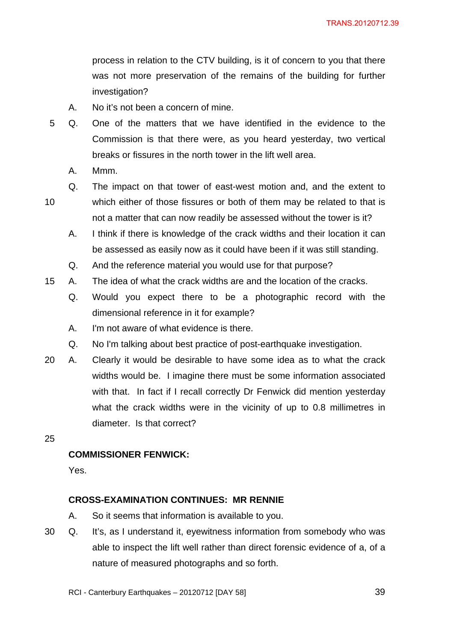process in relation to the CTV building, is it of concern to you that there was not more preservation of the remains of the building for further investigation?

- A. No it's not been a concern of mine.
- 5 Q. One of the matters that we have identified in the evidence to the Commission is that there were, as you heard yesterday, two vertical breaks or fissures in the north tower in the lift well area.
	- A. Mmm.
- 
- Q. The impact on that tower of east-west motion and, and the extent to 10 which either of those fissures or both of them may be related to that is not a matter that can now readily be assessed without the tower is it?
	- A. I think if there is knowledge of the crack widths and their location it can be assessed as easily now as it could have been if it was still standing.
	- Q. And the reference material you would use for that purpose?
- 15 A. The idea of what the crack widths are and the location of the cracks.
	- Q. Would you expect there to be a photographic record with the dimensional reference in it for example?
	- A. I'm not aware of what evidence is there.
	- Q. No I'm talking about best practice of post-earthquake investigation.
- 20 A. Clearly it would be desirable to have some idea as to what the crack widths would be. I imagine there must be some information associated with that. In fact if I recall correctly Dr Fenwick did mention yesterday what the crack widths were in the vicinity of up to 0.8 millimetres in diameter. Is that correct?
- 25

# **COMMISSIONER FENWICK:**

Yes.

# **CROSS-EXAMINATION CONTINUES: MR RENNIE**

- A. So it seems that information is available to you.
- 30 Q. It's, as I understand it, eyewitness information from somebody who was able to inspect the lift well rather than direct forensic evidence of a, of a nature of measured photographs and so forth.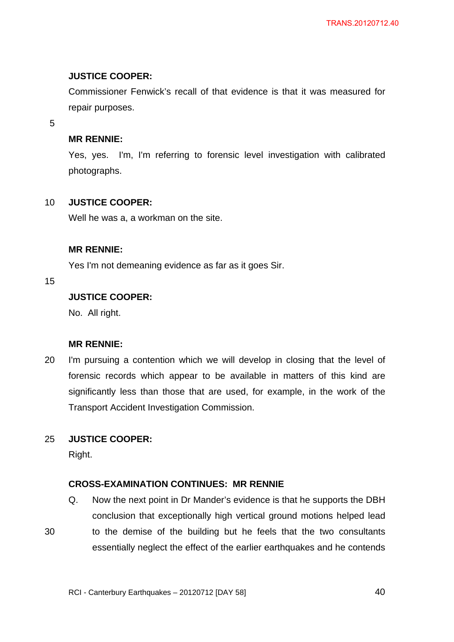### **JUSTICE COOPER:**

Commissioner Fenwick's recall of that evidence is that it was measured for repair purposes.

5

### **MR RENNIE:**

Yes, yes. I'm, I'm referring to forensic level investigation with calibrated photographs.

### 10 **JUSTICE COOPER:**

Well he was a, a workman on the site.

### **MR RENNIE:**

Yes I'm not demeaning evidence as far as it goes Sir.

15

# **JUSTICE COOPER:**

No. All right.

# **MR RENNIE:**

20 I'm pursuing a contention which we will develop in closing that the level of forensic records which appear to be available in matters of this kind are significantly less than those that are used, for example, in the work of the Transport Accident Investigation Commission.

# 25 **JUSTICE COOPER:**

Right.

# **CROSS-EXAMINATION CONTINUES: MR RENNIE**

- Q. Now the next point in Dr Mander's evidence is that he supports the DBH conclusion that exceptionally high vertical ground motions helped lead
- 30 to the demise of the building but he feels that the two consultants essentially neglect the effect of the earlier earthquakes and he contends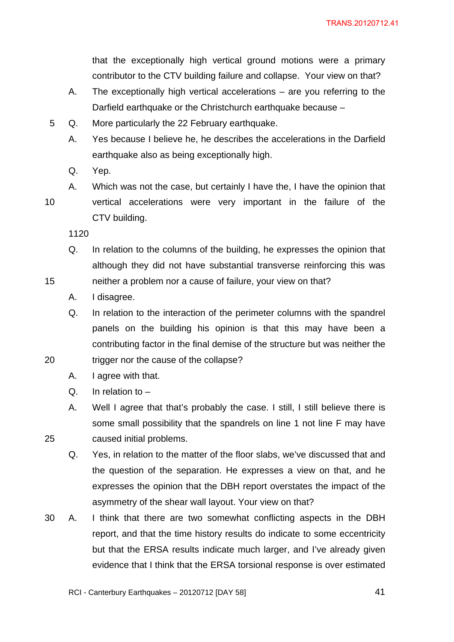that the exceptionally high vertical ground motions were a primary contributor to the CTV building failure and collapse. Your view on that?

- A. The exceptionally high vertical accelerations are you referring to the Darfield earthquake or the Christchurch earthquake because –
- 5 Q. More particularly the 22 February earthquake.
	- A. Yes because I believe he, he describes the accelerations in the Darfield earthquake also as being exceptionally high.
	- Q. Yep.

A. Which was not the case, but certainly I have the, I have the opinion that 10 vertical accelerations were very important in the failure of the CTV building.

1120

- Q. In relation to the columns of the building, he expresses the opinion that although they did not have substantial transverse reinforcing this was 15 neither a problem nor a cause of failure, your view on that?
	- A. I disagree.

Q. In relation to the interaction of the perimeter columns with the spandrel panels on the building his opinion is that this may have been a contributing factor in the final demise of the structure but was neither the 20 trigger nor the cause of the collapse?

- A. I agree with that.
- Q. In relation to –
- A. Well I agree that that's probably the case. I still, I still believe there is some small possibility that the spandrels on line 1 not line F may have 25 caused initial problems.
	- Q. Yes, in relation to the matter of the floor slabs, we've discussed that and the question of the separation. He expresses a view on that, and he expresses the opinion that the DBH report overstates the impact of the asymmetry of the shear wall layout. Your view on that?
- 30 A. I think that there are two somewhat conflicting aspects in the DBH report, and that the time history results do indicate to some eccentricity but that the ERSA results indicate much larger, and I've already given evidence that I think that the ERSA torsional response is over estimated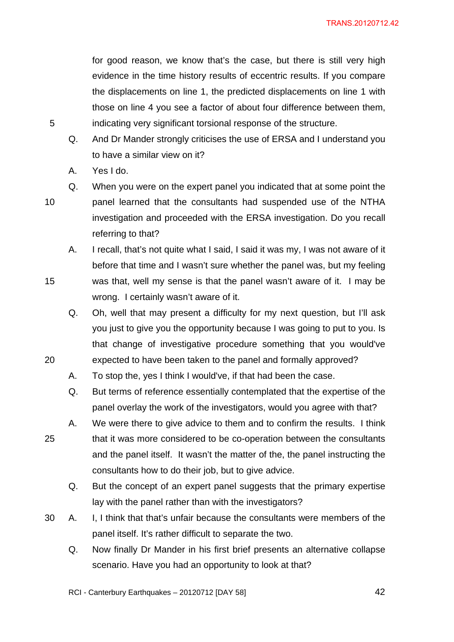for good reason, we know that's the case, but there is still very high evidence in the time history results of eccentric results. If you compare the displacements on line 1, the predicted displacements on line 1 with those on line 4 you see a factor of about four difference between them, 5 indicating very significant torsional response of the structure.

- Q. And Dr Mander strongly criticises the use of ERSA and I understand you to have a similar view on it?
- A. Yes I do.

- Q. When you were on the expert panel you indicated that at some point the 10 panel learned that the consultants had suspended use of the NTHA investigation and proceeded with the ERSA investigation. Do you recall referring to that?
- A. I recall, that's not quite what I said, I said it was my, I was not aware of it before that time and I wasn't sure whether the panel was, but my feeling 15 was that, well my sense is that the panel wasn't aware of it. I may be wrong. I certainly wasn't aware of it.
- Q. Oh, well that may present a difficulty for my next question, but I'll ask you just to give you the opportunity because I was going to put to you. Is that change of investigative procedure something that you would've 20 expected to have been taken to the panel and formally approved?
	- A. To stop the, yes I think I would've, if that had been the case.
	- Q. But terms of reference essentially contemplated that the expertise of the panel overlay the work of the investigators, would you agree with that?
- A. We were there to give advice to them and to confirm the results. I think 25 that it was more considered to be co-operation between the consultants and the panel itself. It wasn't the matter of the, the panel instructing the consultants how to do their job, but to give advice.
	- Q. But the concept of an expert panel suggests that the primary expertise lay with the panel rather than with the investigators?
- 30 A. I, I think that that's unfair because the consultants were members of the panel itself. It's rather difficult to separate the two.
	- Q. Now finally Dr Mander in his first brief presents an alternative collapse scenario. Have you had an opportunity to look at that?

RCI - Canterbury Earthquakes – 20120712 [DAY 58] 42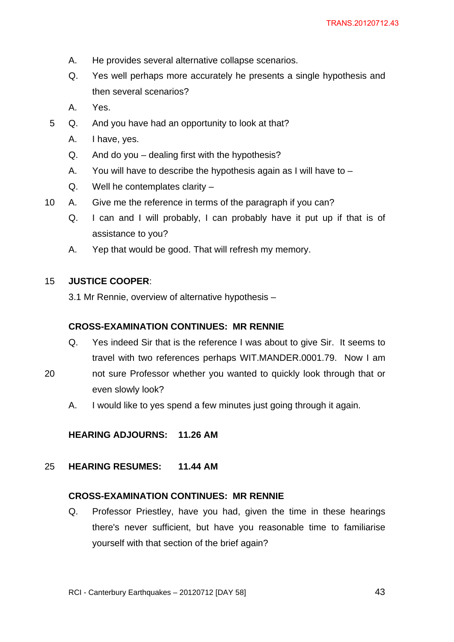- A. He provides several alternative collapse scenarios.
- Q. Yes well perhaps more accurately he presents a single hypothesis and then several scenarios?
- A. Yes.
- 5 Q. And you have had an opportunity to look at that?
	- A. I have, yes.
	- Q. And do you dealing first with the hypothesis?
	- A. You will have to describe the hypothesis again as I will have to –
	- Q. Well he contemplates clarity –
- 10 A. Give me the reference in terms of the paragraph if you can?
	- Q. I can and I will probably, I can probably have it put up if that is of assistance to you?
	- A. Yep that would be good. That will refresh my memory.

#### 15 **JUSTICE COOPER**:

3.1 Mr Rennie, overview of alternative hypothesis –

#### **CROSS-EXAMINATION CONTINUES: MR RENNIE**

- Q. Yes indeed Sir that is the reference I was about to give Sir. It seems to travel with two references perhaps WIT.MANDER.0001.79. Now I am
- 20 not sure Professor whether you wanted to quickly look through that or even slowly look?
	- A. I would like to yes spend a few minutes just going through it again.

**HEARING ADJOURNS: 11.26 AM** 

25 **HEARING RESUMES: 11.44 AM** 

#### **CROSS-EXAMINATION CONTINUES: MR RENNIE**

Q. Professor Priestley, have you had, given the time in these hearings there's never sufficient, but have you reasonable time to familiarise yourself with that section of the brief again?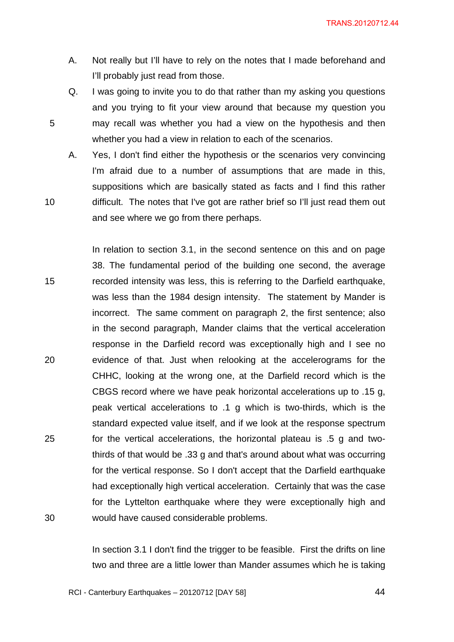- A. Not really but I'll have to rely on the notes that I made beforehand and I'll probably just read from those.
- Q. I was going to invite you to do that rather than my asking you questions and you trying to fit your view around that because my question you 5 may recall was whether you had a view on the hypothesis and then whether you had a view in relation to each of the scenarios.
- A. Yes, I don't find either the hypothesis or the scenarios very convincing I'm afraid due to a number of assumptions that are made in this, suppositions which are basically stated as facts and I find this rather 10 difficult. The notes that I've got are rather brief so I'll just read them out and see where we go from there perhaps.

In relation to section 3.1, in the second sentence on this and on page 38. The fundamental period of the building one second, the average 15 recorded intensity was less, this is referring to the Darfield earthquake, was less than the 1984 design intensity. The statement by Mander is incorrect. The same comment on paragraph 2, the first sentence; also in the second paragraph, Mander claims that the vertical acceleration response in the Darfield record was exceptionally high and I see no 20 evidence of that. Just when relooking at the accelerograms for the CHHC, looking at the wrong one, at the Darfield record which is the CBGS record where we have peak horizontal accelerations up to .15 g, peak vertical accelerations to .1 g which is two-thirds, which is the standard expected value itself, and if we look at the response spectrum 25 for the vertical accelerations, the horizontal plateau is .5 g and twothirds of that would be .33 g and that's around about what was occurring for the vertical response. So I don't accept that the Darfield earthquake had exceptionally high vertical acceleration. Certainly that was the case for the Lyttelton earthquake where they were exceptionally high and 30 would have caused considerable problems.

> In section 3.1 I don't find the trigger to be feasible. First the drifts on line two and three are a little lower than Mander assumes which he is taking

RCI - Canterbury Earthquakes – 20120712 [DAY 58]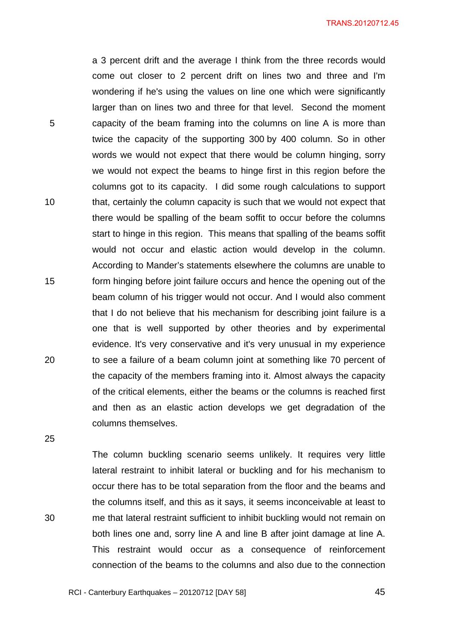a 3 percent drift and the average I think from the three records would come out closer to 2 percent drift on lines two and three and I'm wondering if he's using the values on line one which were significantly larger than on lines two and three for that level. Second the moment 5 capacity of the beam framing into the columns on line A is more than twice the capacity of the supporting 300 by 400 column. So in other words we would not expect that there would be column hinging, sorry we would not expect the beams to hinge first in this region before the columns got to its capacity. I did some rough calculations to support 10 that, certainly the column capacity is such that we would not expect that there would be spalling of the beam soffit to occur before the columns start to hinge in this region. This means that spalling of the beams soffit would not occur and elastic action would develop in the column. According to Mander's statements elsewhere the columns are unable to 15 form hinging before joint failure occurs and hence the opening out of the beam column of his trigger would not occur. And I would also comment that I do not believe that his mechanism for describing joint failure is a one that is well supported by other theories and by experimental evidence. It's very conservative and it's very unusual in my experience 20 to see a failure of a beam column joint at something like 70 percent of the capacity of the members framing into it. Almost always the capacity of the critical elements, either the beams or the columns is reached first and then as an elastic action develops we get degradation of the columns themselves.

25

The column buckling scenario seems unlikely. It requires very little lateral restraint to inhibit lateral or buckling and for his mechanism to occur there has to be total separation from the floor and the beams and the columns itself, and this as it says, it seems inconceivable at least to 30 me that lateral restraint sufficient to inhibit buckling would not remain on both lines one and, sorry line A and line B after joint damage at line A. This restraint would occur as a consequence of reinforcement connection of the beams to the columns and also due to the connection

RCI - Canterbury Earthquakes – 20120712 [DAY 58]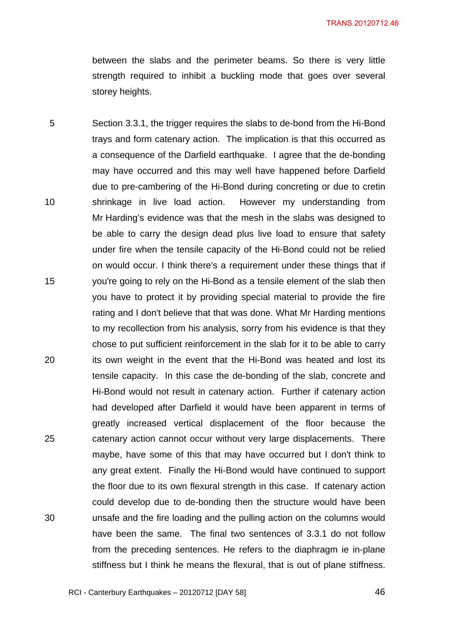between the slabs and the perimeter beams. So there is very little strength required to inhibit a buckling mode that goes over several storey heights.

5 Section 3.3.1, the trigger requires the slabs to de-bond from the Hi-Bond trays and form catenary action. The implication is that this occurred as a consequence of the Darfield earthquake. I agree that the de-bonding may have occurred and this may well have happened before Darfield due to pre-cambering of the Hi-Bond during concreting or due to cretin 10 shrinkage in live load action. However my understanding from Mr Harding's evidence was that the mesh in the slabs was designed to be able to carry the design dead plus live load to ensure that safety under fire when the tensile capacity of the Hi-Bond could not be relied on would occur. I think there's a requirement under these things that if 15 you're going to rely on the Hi-Bond as a tensile element of the slab then you have to protect it by providing special material to provide the fire rating and I don't believe that that was done. What Mr Harding mentions to my recollection from his analysis, sorry from his evidence is that they chose to put sufficient reinforcement in the slab for it to be able to carry 20 its own weight in the event that the Hi-Bond was heated and lost its tensile capacity. In this case the de-bonding of the slab, concrete and Hi-Bond would not result in catenary action. Further if catenary action had developed after Darfield it would have been apparent in terms of greatly increased vertical displacement of the floor because the 25 catenary action cannot occur without very large displacements. There maybe, have some of this that may have occurred but I don't think to any great extent. Finally the Hi-Bond would have continued to support the floor due to its own flexural strength in this case. If catenary action could develop due to de-bonding then the structure would have been 30 unsafe and the fire loading and the pulling action on the columns would have been the same. The final two sentences of 3.3.1 do not follow from the preceding sentences. He refers to the diaphragm ie in-plane stiffness but I think he means the flexural, that is out of plane stiffness.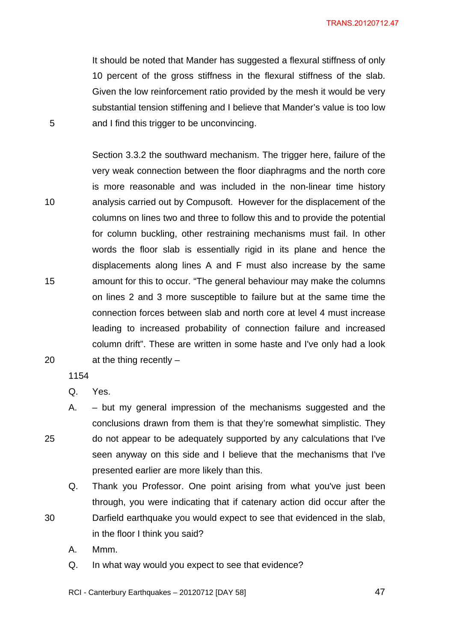It should be noted that Mander has suggested a flexural stiffness of only 10 percent of the gross stiffness in the flexural stiffness of the slab. Given the low reinforcement ratio provided by the mesh it would be very substantial tension stiffening and I believe that Mander's value is too low 5 and I find this trigger to be unconvincing.

Section 3.3.2 the southward mechanism. The trigger here, failure of the very weak connection between the floor diaphragms and the north core is more reasonable and was included in the non-linear time history 10 analysis carried out by Compusoft. However for the displacement of the columns on lines two and three to follow this and to provide the potential for column buckling, other restraining mechanisms must fail. In other words the floor slab is essentially rigid in its plane and hence the displacements along lines A and F must also increase by the same 15 amount for this to occur. "The general behaviour may make the columns on lines 2 and 3 more susceptible to failure but at the same time the connection forces between slab and north core at level 4 must increase leading to increased probability of connection failure and increased column drift". These are written in some haste and I've only had a look 20 at the thing recently –

1154

Q. Yes.

A. – but my general impression of the mechanisms suggested and the conclusions drawn from them is that they're somewhat simplistic. They 25 do not appear to be adequately supported by any calculations that I've seen anyway on this side and I believe that the mechanisms that I've presented earlier are more likely than this.

Q. Thank you Professor. One point arising from what you've just been through, you were indicating that if catenary action did occur after the 30 Darfield earthquake you would expect to see that evidenced in the slab, in the floor I think you said?

A. Mmm.

Q. In what way would you expect to see that evidence?

RCI - Canterbury Earthquakes – 20120712 [DAY 58]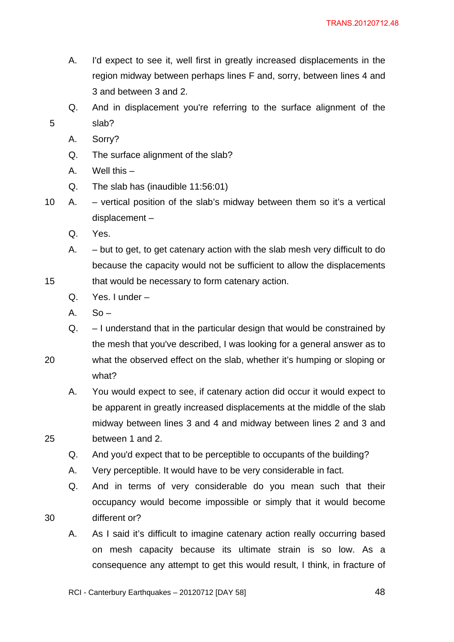- A. I'd expect to see it, well first in greatly increased displacements in the region midway between perhaps lines F and, sorry, between lines 4 and 3 and between 3 and 2.
- Q. And in displacement you're referring to the surface alignment of the 5 slab?
	- A. Sorry?
	- Q. The surface alignment of the slab?
	- A. Well this –
	- Q. The slab has (inaudible 11:56:01)
- 10 A. vertical position of the slab's midway between them so it's a vertical displacement –
	- Q. Yes.
- A. but to get, to get catenary action with the slab mesh very difficult to do because the capacity would not be sufficient to allow the displacements 15 that would be necessary to form catenary action.
	- Q. Yes. I under –
	- $A.$  So –
	- Q. I understand that in the particular design that would be constrained by the mesh that you've described, I was looking for a general answer as to
- 20 what the observed effect on the slab, whether it's humping or sloping or what?
- A. You would expect to see, if catenary action did occur it would expect to be apparent in greatly increased displacements at the middle of the slab midway between lines 3 and 4 and midway between lines 2 and 3 and 25 between 1 and 2.
	- Q. And you'd expect that to be perceptible to occupants of the building?
	- A. Very perceptible. It would have to be very considerable in fact.
- Q. And in terms of very considerable do you mean such that their occupancy would become impossible or simply that it would become 30 different or?
	- A. As I said it's difficult to imagine catenary action really occurring based on mesh capacity because its ultimate strain is so low. As a consequence any attempt to get this would result, I think, in fracture of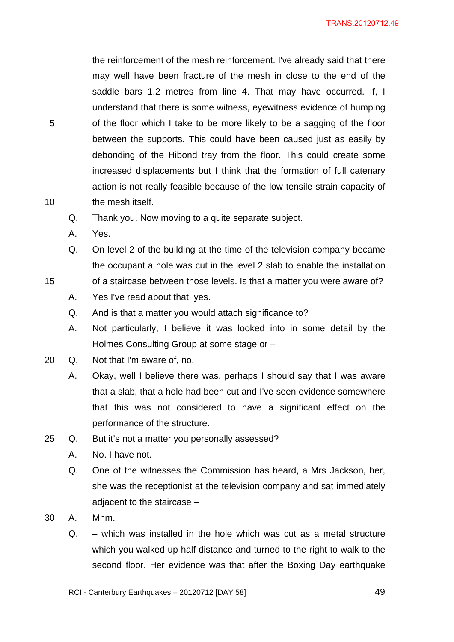the reinforcement of the mesh reinforcement. I've already said that there may well have been fracture of the mesh in close to the end of the saddle bars 1.2 metres from line 4. That may have occurred. If, I understand that there is some witness, eyewitness evidence of humping 5 of the floor which I take to be more likely to be a sagging of the floor between the supports. This could have been caused just as easily by debonding of the Hibond tray from the floor. This could create some increased displacements but I think that the formation of full catenary action is not really feasible because of the low tensile strain capacity of 10 the mesh itself.

- Q. Thank you. Now moving to a quite separate subject.
- A. Yes.
- Q. On level 2 of the building at the time of the television company became the occupant a hole was cut in the level 2 slab to enable the installation
- 15 of a staircase between those levels. Is that a matter you were aware of?
	- A. Yes I've read about that, yes.
	- Q. And is that a matter you would attach significance to?
	- A. Not particularly, I believe it was looked into in some detail by the Holmes Consulting Group at some stage or –
- 20 Q. Not that I'm aware of, no.
	- A. Okay, well I believe there was, perhaps I should say that I was aware that a slab, that a hole had been cut and I've seen evidence somewhere that this was not considered to have a significant effect on the performance of the structure.
- 25 Q. But it's not a matter you personally assessed?
	- A. No. I have not.
	- Q. One of the witnesses the Commission has heard, a Mrs Jackson, her, she was the receptionist at the television company and sat immediately adjacent to the staircase –
- 30 A. Mhm.
	- Q. which was installed in the hole which was cut as a metal structure which you walked up half distance and turned to the right to walk to the second floor. Her evidence was that after the Boxing Day earthquake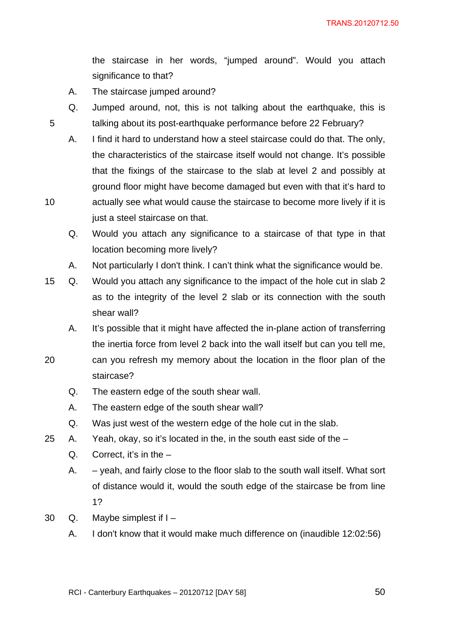the staircase in her words, "jumped around". Would you attach significance to that?

- A. The staircase jumped around?
- Q. Jumped around, not, this is not talking about the earthquake, this is 5 talking about its post-earthquake performance before 22 February?
- A. I find it hard to understand how a steel staircase could do that. The only, the characteristics of the staircase itself would not change. It's possible that the fixings of the staircase to the slab at level 2 and possibly at ground floor might have become damaged but even with that it's hard to 10 actually see what would cause the staircase to become more lively if it is just a steel staircase on that.
	- Q. Would you attach any significance to a staircase of that type in that location becoming more lively?
	- A. Not particularly I don't think. I can't think what the significance would be.
- 15 Q. Would you attach any significance to the impact of the hole cut in slab 2 as to the integrity of the level 2 slab or its connection with the south shear wall?
	- A. It's possible that it might have affected the in-plane action of transferring the inertia force from level 2 back into the wall itself but can you tell me,
- 20 can you refresh my memory about the location in the floor plan of the staircase?
	- Q. The eastern edge of the south shear wall.
	- A. The eastern edge of the south shear wall?
	- Q. Was just west of the western edge of the hole cut in the slab.
- 25 A. Yeah, okay, so it's located in the, in the south east side of the
	- Q. Correct, it's in the  $-$
	- A. yeah, and fairly close to the floor slab to the south wall itself. What sort of distance would it, would the south edge of the staircase be from line 1?
- 30 Q. Maybe simplest if I
	- A. I don't know that it would make much difference on (inaudible 12:02:56)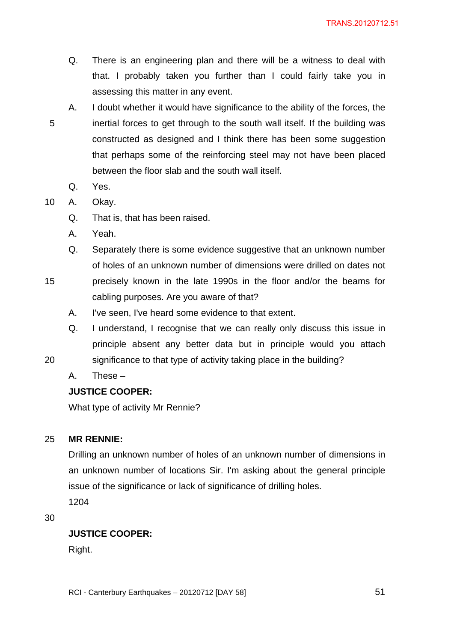- Q. There is an engineering plan and there will be a witness to deal with that. I probably taken you further than I could fairly take you in assessing this matter in any event.
- A. I doubt whether it would have significance to the ability of the forces, the 5 inertial forces to get through to the south wall itself. If the building was constructed as designed and I think there has been some suggestion that perhaps some of the reinforcing steel may not have been placed between the floor slab and the south wall itself.
	- Q. Yes.
- 10 A. Okay.
	- Q. That is, that has been raised.
	- A. Yeah.
	- Q. Separately there is some evidence suggestive that an unknown number of holes of an unknown number of dimensions were drilled on dates not
- 15 precisely known in the late 1990s in the floor and/or the beams for cabling purposes. Are you aware of that?
	- A. I've seen, I've heard some evidence to that extent.
- Q. I understand, I recognise that we can really only discuss this issue in principle absent any better data but in principle would you attach 20 significance to that type of activity taking place in the building?
- 
- A. These –

# **JUSTICE COOPER:**

What type of activity Mr Rennie?

### 25 **MR RENNIE:**

Drilling an unknown number of holes of an unknown number of dimensions in an unknown number of locations Sir. I'm asking about the general principle issue of the significance or lack of significance of drilling holes. 1204

30

# **JUSTICE COOPER:**

Right.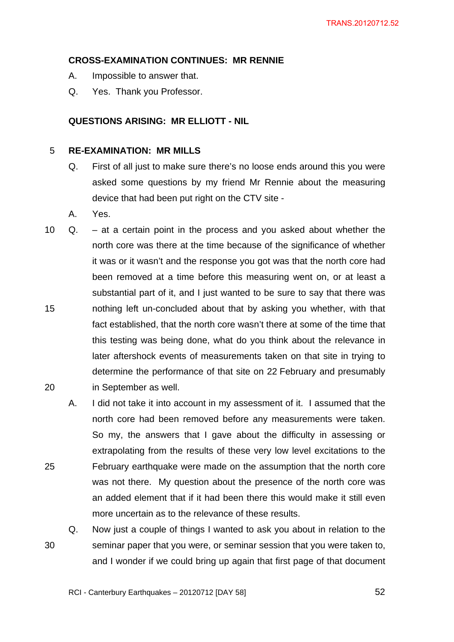### **CROSS-EXAMINATION CONTINUES: MR RENNIE**

- A. Impossible to answer that.
- Q. Yes. Thank you Professor.

# **QUESTIONS ARISING: MR ELLIOTT - NIL**

#### 5 **RE-EXAMINATION: MR MILLS**

- Q. First of all just to make sure there's no loose ends around this you were asked some questions by my friend Mr Rennie about the measuring device that had been put right on the CTV site -
- A. Yes.
- 10 Q. at a certain point in the process and you asked about whether the north core was there at the time because of the significance of whether it was or it wasn't and the response you got was that the north core had been removed at a time before this measuring went on, or at least a substantial part of it, and I just wanted to be sure to say that there was 15 nothing left un-concluded about that by asking you whether, with that fact established, that the north core wasn't there at some of the time that this testing was being done, what do you think about the relevance in later aftershock events of measurements taken on that site in trying to determine the performance of that site on 22 February and presumably 20 in September as well.
- A. I did not take it into account in my assessment of it. I assumed that the north core had been removed before any measurements were taken. So my, the answers that I gave about the difficulty in assessing or extrapolating from the results of these very low level excitations to the 25 February earthquake were made on the assumption that the north core was not there. My question about the presence of the north core was an added element that if it had been there this would make it still even more uncertain as to the relevance of these results.
- Q. Now just a couple of things I wanted to ask you about in relation to the 30 seminar paper that you were, or seminar session that you were taken to, and I wonder if we could bring up again that first page of that document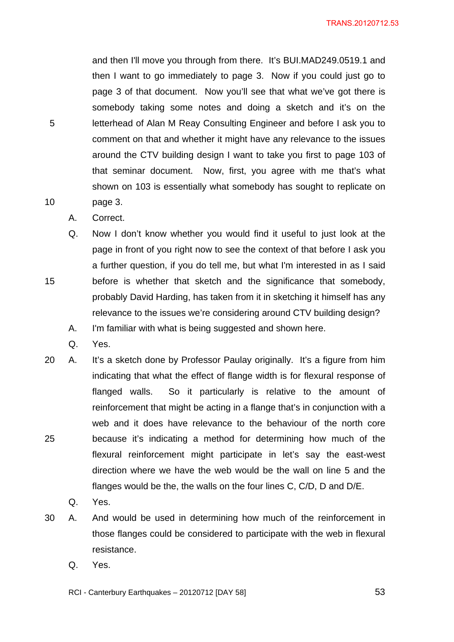and then I'll move you through from there. It's BUI.MAD249.0519.1 and then I want to go immediately to page 3. Now if you could just go to page 3 of that document. Now you'll see that what we've got there is somebody taking some notes and doing a sketch and it's on the 5 letterhead of Alan M Reay Consulting Engineer and before I ask you to comment on that and whether it might have any relevance to the issues around the CTV building design I want to take you first to page 103 of that seminar document. Now, first, you agree with me that's what shown on 103 is essentially what somebody has sought to replicate on 10 page 3.

A. Correct.

Q. Now I don't know whether you would find it useful to just look at the page in front of you right now to see the context of that before I ask you a further question, if you do tell me, but what I'm interested in as I said 15 before is whether that sketch and the significance that somebody, probably David Harding, has taken from it in sketching it himself has any relevance to the issues we're considering around CTV building design?

- A. I'm familiar with what is being suggested and shown here.
- Q. Yes.
- 20 A. It's a sketch done by Professor Paulay originally. It's a figure from him indicating that what the effect of flange width is for flexural response of flanged walls. So it particularly is relative to the amount of reinforcement that might be acting in a flange that's in conjunction with a web and it does have relevance to the behaviour of the north core 25 because it's indicating a method for determining how much of the flexural reinforcement might participate in let's say the east-west direction where we have the web would be the wall on line 5 and the flanges would be the, the walls on the four lines C, C/D, D and D/E.
	- Q. Yes.
- 30 A. And would be used in determining how much of the reinforcement in those flanges could be considered to participate with the web in flexural resistance.
	- Q. Yes.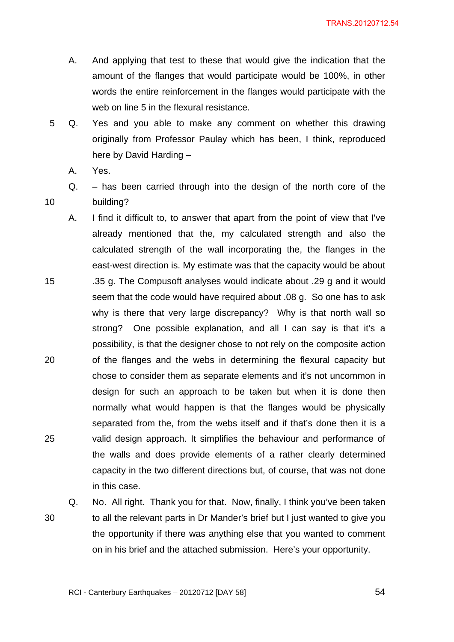- A. And applying that test to these that would give the indication that the amount of the flanges that would participate would be 100%, in other words the entire reinforcement in the flanges would participate with the web on line 5 in the flexural resistance.
- 5 Q. Yes and you able to make any comment on whether this drawing originally from Professor Paulay which has been, I think, reproduced here by David Harding –
	- A. Yes.
- Q. has been carried through into the design of the north core of the 10 building?
- A. I find it difficult to, to answer that apart from the point of view that I've already mentioned that the, my calculated strength and also the calculated strength of the wall incorporating the, the flanges in the east-west direction is. My estimate was that the capacity would be about 15 .35 g. The Compusoft analyses would indicate about .29 g and it would seem that the code would have required about .08 g. So one has to ask why is there that very large discrepancy? Why is that north wall so strong? One possible explanation, and all I can say is that it's a possibility, is that the designer chose to not rely on the composite action 20 of the flanges and the webs in determining the flexural capacity but chose to consider them as separate elements and it's not uncommon in design for such an approach to be taken but when it is done then normally what would happen is that the flanges would be physically separated from the, from the webs itself and if that's done then it is a 25 valid design approach. It simplifies the behaviour and performance of the walls and does provide elements of a rather clearly determined capacity in the two different directions but, of course, that was not done in this case.
	-

Q. No. All right. Thank you for that. Now, finally, I think you've been taken 30 to all the relevant parts in Dr Mander's brief but I just wanted to give you the opportunity if there was anything else that you wanted to comment on in his brief and the attached submission. Here's your opportunity.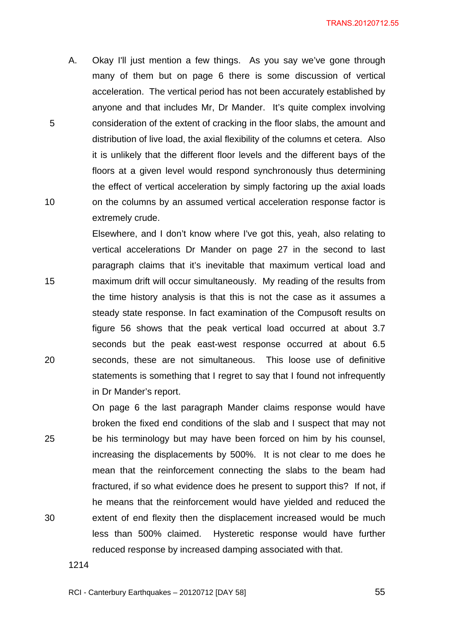A. Okay I'll just mention a few things. As you say we've gone through many of them but on page 6 there is some discussion of vertical acceleration. The vertical period has not been accurately established by anyone and that includes Mr, Dr Mander. It's quite complex involving 5 consideration of the extent of cracking in the floor slabs, the amount and distribution of live load, the axial flexibility of the columns et cetera. Also it is unlikely that the different floor levels and the different bays of the floors at a given level would respond synchronously thus determining the effect of vertical acceleration by simply factoring up the axial loads 10 on the columns by an assumed vertical acceleration response factor is extremely crude.

Elsewhere, and I don't know where I've got this, yeah, also relating to vertical accelerations Dr Mander on page 27 in the second to last paragraph claims that it's inevitable that maximum vertical load and 15 maximum drift will occur simultaneously. My reading of the results from the time history analysis is that this is not the case as it assumes a steady state response. In fact examination of the Compusoft results on figure 56 shows that the peak vertical load occurred at about 3.7 seconds but the peak east-west response occurred at about 6.5 20 seconds, these are not simultaneous. This loose use of definitive statements is something that I regret to say that I found not infrequently in Dr Mander's report.

On page 6 the last paragraph Mander claims response would have broken the fixed end conditions of the slab and I suspect that may not 25 be his terminology but may have been forced on him by his counsel, increasing the displacements by 500%. It is not clear to me does he mean that the reinforcement connecting the slabs to the beam had fractured, if so what evidence does he present to support this? If not, if he means that the reinforcement would have yielded and reduced the 30 extent of end flexity then the displacement increased would be much less than 500% claimed. Hysteretic response would have further reduced response by increased damping associated with that.

1214

RCI - Canterbury Earthquakes –  $20120712$  [DAY 58]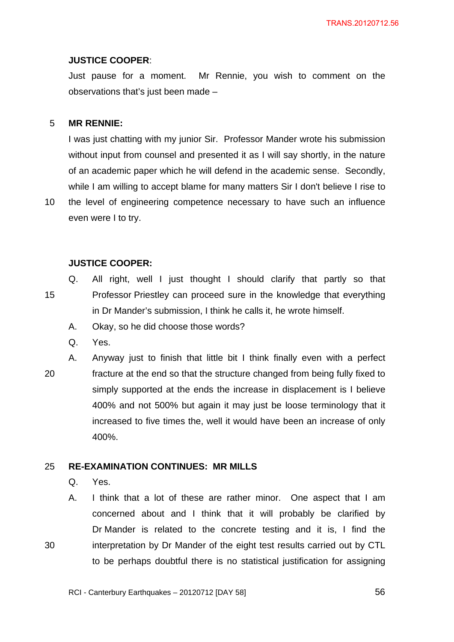#### **JUSTICE COOPER**:

Just pause for a moment. Mr Rennie, you wish to comment on the observations that's just been made –

#### 5 **MR RENNIE:**

I was just chatting with my junior Sir. Professor Mander wrote his submission without input from counsel and presented it as I will say shortly, in the nature of an academic paper which he will defend in the academic sense. Secondly, while I am willing to accept blame for many matters Sir I don't believe I rise to

10 the level of engineering competence necessary to have such an influence even were I to try.

### **JUSTICE COOPER:**

- Q. All right, well I just thought I should clarify that partly so that 15 Professor Priestley can proceed sure in the knowledge that everything in Dr Mander's submission, I think he calls it, he wrote himself.
	- A. Okay, so he did choose those words?
	- Q. Yes.
- A. Anyway just to finish that little bit I think finally even with a perfect 20 fracture at the end so that the structure changed from being fully fixed to simply supported at the ends the increase in displacement is I believe 400% and not 500% but again it may just be loose terminology that it increased to five times the, well it would have been an increase of only 400%.

### 25 **RE-EXAMINATION CONTINUES: MR MILLS**

Q. Yes.

A. I think that a lot of these are rather minor. One aspect that I am concerned about and I think that it will probably be clarified by Dr Mander is related to the concrete testing and it is, I find the 30 interpretation by Dr Mander of the eight test results carried out by CTL to be perhaps doubtful there is no statistical justification for assigning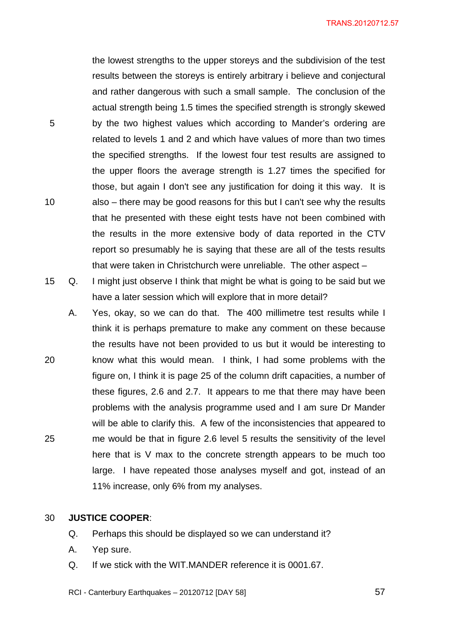the lowest strengths to the upper storeys and the subdivision of the test results between the storeys is entirely arbitrary i believe and conjectural and rather dangerous with such a small sample. The conclusion of the actual strength being 1.5 times the specified strength is strongly skewed 5 by the two highest values which according to Mander's ordering are related to levels 1 and 2 and which have values of more than two times the specified strengths. If the lowest four test results are assigned to the upper floors the average strength is 1.27 times the specified for those, but again I don't see any justification for doing it this way. It is 10 also – there may be good reasons for this but I can't see why the results that he presented with these eight tests have not been combined with the results in the more extensive body of data reported in the CTV report so presumably he is saying that these are all of the tests results that were taken in Christchurch were unreliable. The other aspect –

- 15 Q. I might just observe I think that might be what is going to be said but we have a later session which will explore that in more detail?
- A. Yes, okay, so we can do that. The 400 millimetre test results while I think it is perhaps premature to make any comment on these because the results have not been provided to us but it would be interesting to 20 know what this would mean. I think, I had some problems with the figure on, I think it is page 25 of the column drift capacities, a number of these figures, 2.6 and 2.7. It appears to me that there may have been problems with the analysis programme used and I am sure Dr Mander will be able to clarify this. A few of the inconsistencies that appeared to 25 me would be that in figure 2.6 level 5 results the sensitivity of the level here that is V max to the concrete strength appears to be much too large. I have repeated those analyses myself and got, instead of an 11% increase, only 6% from my analyses.

#### 30 **JUSTICE COOPER**:

- Q. Perhaps this should be displayed so we can understand it?
- A. Yep sure.
- Q. If we stick with the WIT.MANDER reference it is 0001.67.
- RCI Canterbury Earthquakes  $20120712$  [DAY 58]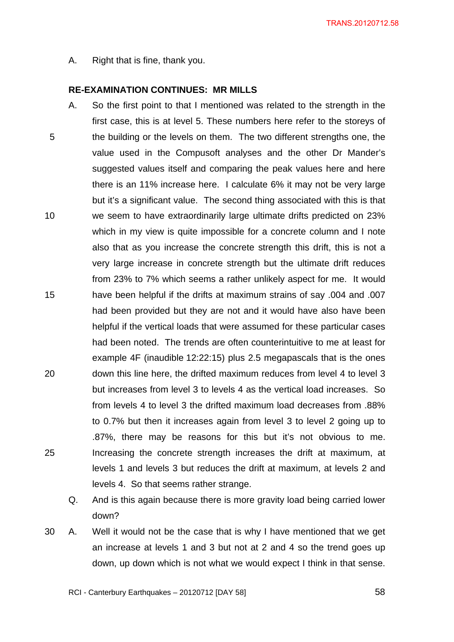A. Right that is fine, thank you.

#### **RE-EXAMINATION CONTINUES: MR MILLS**

- A. So the first point to that I mentioned was related to the strength in the first case, this is at level 5. These numbers here refer to the storeys of 5 the building or the levels on them. The two different strengths one, the value used in the Compusoft analyses and the other Dr Mander's suggested values itself and comparing the peak values here and here there is an 11% increase here. I calculate 6% it may not be very large but it's a significant value. The second thing associated with this is that 10 we seem to have extraordinarily large ultimate drifts predicted on 23% which in my view is quite impossible for a concrete column and I note also that as you increase the concrete strength this drift, this is not a very large increase in concrete strength but the ultimate drift reduces from 23% to 7% which seems a rather unlikely aspect for me. It would 15 have been helpful if the drifts at maximum strains of say .004 and .007 had been provided but they are not and it would have also have been helpful if the vertical loads that were assumed for these particular cases had been noted. The trends are often counterintuitive to me at least for example 4F (inaudible 12:22:15) plus 2.5 megapascals that is the ones 20 down this line here, the drifted maximum reduces from level 4 to level 3 but increases from level 3 to levels 4 as the vertical load increases. So from levels 4 to level 3 the drifted maximum load decreases from .88% to 0.7% but then it increases again from level 3 to level 2 going up to .87%, there may be reasons for this but it's not obvious to me. 25 Increasing the concrete strength increases the drift at maximum, at levels 1 and levels 3 but reduces the drift at maximum, at levels 2 and levels 4. So that seems rather strange.
	- Q. And is this again because there is more gravity load being carried lower down?
- 30 A. Well it would not be the case that is why I have mentioned that we get an increase at levels 1 and 3 but not at 2 and 4 so the trend goes up down, up down which is not what we would expect I think in that sense.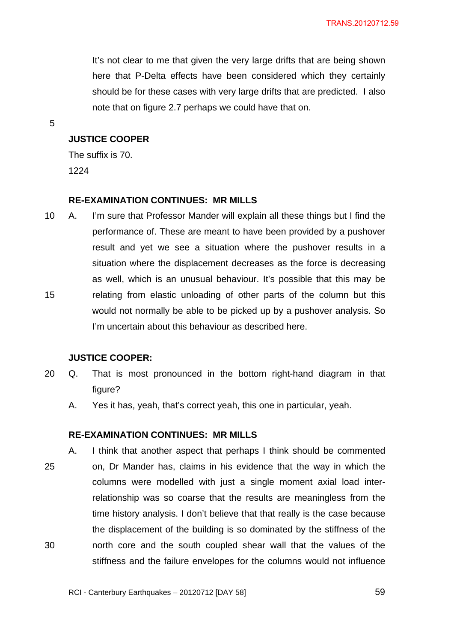It's not clear to me that given the very large drifts that are being shown here that P-Delta effects have been considered which they certainly should be for these cases with very large drifts that are predicted. I also note that on figure 2.7 perhaps we could have that on.

5

### **JUSTICE COOPER**

The suffix is 70. 1224

#### **RE-EXAMINATION CONTINUES: MR MILLS**

10 A. I'm sure that Professor Mander will explain all these things but I find the performance of. These are meant to have been provided by a pushover result and yet we see a situation where the pushover results in a situation where the displacement decreases as the force is decreasing as well, which is an unusual behaviour. It's possible that this may be 15 relating from elastic unloading of other parts of the column but this would not normally be able to be picked up by a pushover analysis. So I'm uncertain about this behaviour as described here.

#### **JUSTICE COOPER:**

- 20 Q. That is most pronounced in the bottom right-hand diagram in that figure?
	- A. Yes it has, yeah, that's correct yeah, this one in particular, yeah.

#### **RE-EXAMINATION CONTINUES: MR MILLS**

A. I think that another aspect that perhaps I think should be commented 25 on, Dr Mander has, claims in his evidence that the way in which the columns were modelled with just a single moment axial load interrelationship was so coarse that the results are meaningless from the time history analysis. I don't believe that that really is the case because the displacement of the building is so dominated by the stiffness of the 30 north core and the south coupled shear wall that the values of the stiffness and the failure envelopes for the columns would not influence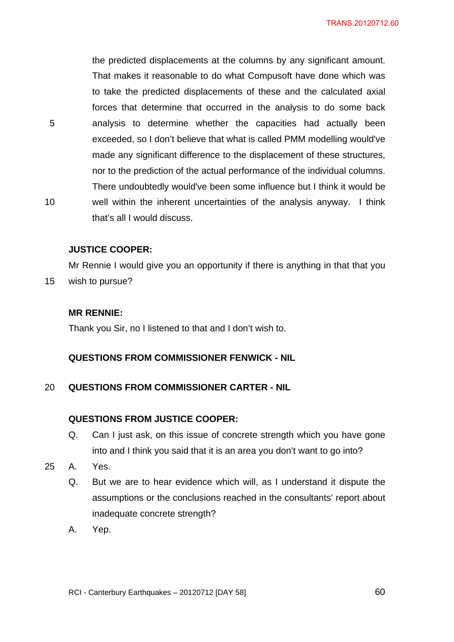the predicted displacements at the columns by any significant amount. That makes it reasonable to do what Compusoft have done which was to take the predicted displacements of these and the calculated axial forces that determine that occurred in the analysis to do some back 5 analysis to determine whether the capacities had actually been exceeded, so I don't believe that what is called PMM modelling would've made any significant difference to the displacement of these structures, nor to the prediction of the actual performance of the individual columns. There undoubtedly would've been some influence but I think it would be 10 well within the inherent uncertainties of the analysis anyway. I think that's all I would discuss.

#### **JUSTICE COOPER:**

Mr Rennie I would give you an opportunity if there is anything in that that you

15 wish to pursue?

#### **MR RENNIE:**

Thank you Sir, no I listened to that and I don't wish to.

#### **QUESTIONS FROM COMMISSIONER FENWICK - NIL**

#### 20 **QUESTIONS FROM COMMISSIONER CARTER - NIL**

#### **QUESTIONS FROM JUSTICE COOPER:**

- Q. Can I just ask, on this issue of concrete strength which you have gone into and I think you said that it is an area you don't want to go into?
- 25 A. Yes.
	- Q. But we are to hear evidence which will, as I understand it dispute the assumptions or the conclusions reached in the consultants' report about inadequate concrete strength?
	- A. Yep.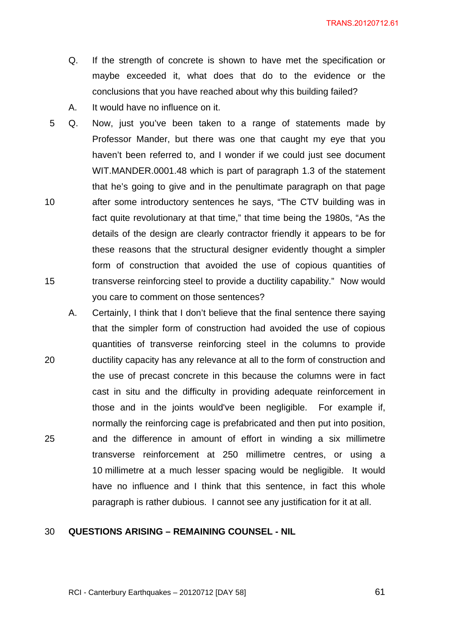- Q. If the strength of concrete is shown to have met the specification or maybe exceeded it, what does that do to the evidence or the conclusions that you have reached about why this building failed?
- A. It would have no influence on it.
- 5 Q. Now, just you've been taken to a range of statements made by Professor Mander, but there was one that caught my eye that you haven't been referred to, and I wonder if we could just see document WIT.MANDER.0001.48 which is part of paragraph 1.3 of the statement that he's going to give and in the penultimate paragraph on that page 10 after some introductory sentences he says, "The CTV building was in fact quite revolutionary at that time," that time being the 1980s, "As the details of the design are clearly contractor friendly it appears to be for these reasons that the structural designer evidently thought a simpler form of construction that avoided the use of copious quantities of 15 transverse reinforcing steel to provide a ductility capability." Now would you care to comment on those sentences?
- A. Certainly, I think that I don't believe that the final sentence there saying that the simpler form of construction had avoided the use of copious quantities of transverse reinforcing steel in the columns to provide 20 ductility capacity has any relevance at all to the form of construction and the use of precast concrete in this because the columns were in fact cast in situ and the difficulty in providing adequate reinforcement in those and in the joints would've been negligible. For example if, normally the reinforcing cage is prefabricated and then put into position, 25 and the difference in amount of effort in winding a six millimetre transverse reinforcement at 250 millimetre centres, or using a 10 millimetre at a much lesser spacing would be negligible. It would have no influence and I think that this sentence, in fact this whole paragraph is rather dubious. I cannot see any justification for it at all.

#### 30 **QUESTIONS ARISING – REMAINING COUNSEL - NIL**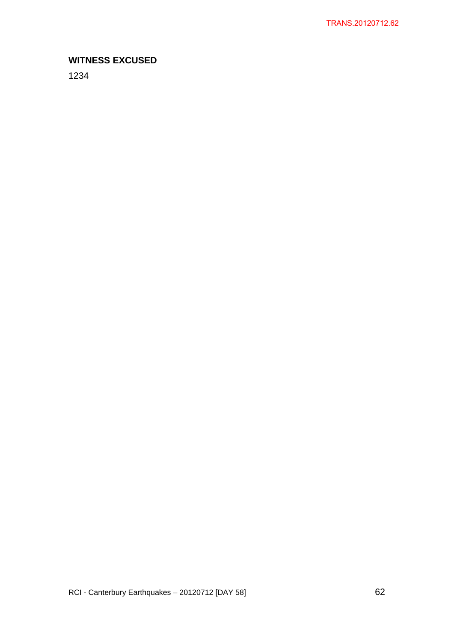# **WITNESS EXCUSED**

1234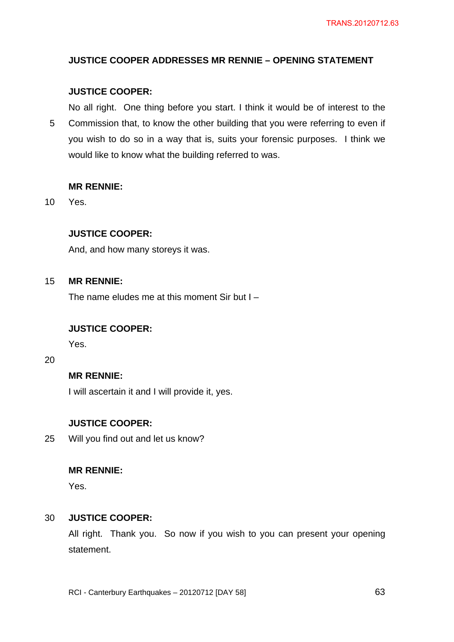# **JUSTICE COOPER ADDRESSES MR RENNIE – OPENING STATEMENT**

# **JUSTICE COOPER:**

No all right. One thing before you start. I think it would be of interest to the 5 Commission that, to know the other building that you were referring to even if you wish to do so in a way that is, suits your forensic purposes. I think we would like to know what the building referred to was.

# **MR RENNIE:**

10 Yes.

# **JUSTICE COOPER:**

And, and how many storeys it was.

# 15 **MR RENNIE:**

The name eludes me at this moment Sir but  $I -$ 

# **JUSTICE COOPER:**

Yes.

#### 20

# **MR RENNIE:**

I will ascertain it and I will provide it, yes.

# **JUSTICE COOPER:**

25 Will you find out and let us know?

# **MR RENNIE:**

Yes.

# 30 **JUSTICE COOPER:**

All right. Thank you. So now if you wish to you can present your opening statement.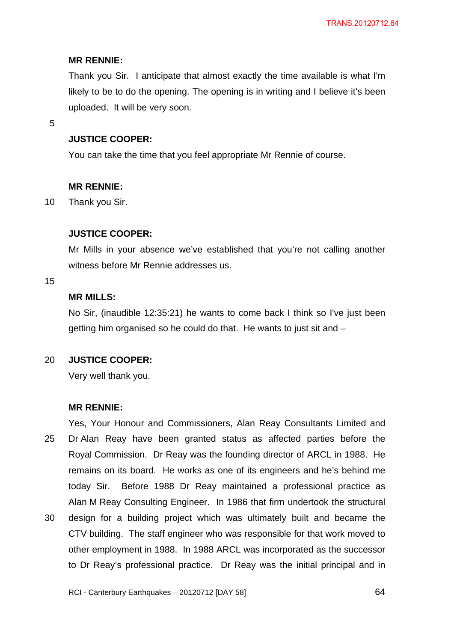# **MR RENNIE:**

Thank you Sir. I anticipate that almost exactly the time available is what I'm likely to be to do the opening. The opening is in writing and I believe it's been uploaded. It will be very soon.

5

# **JUSTICE COOPER:**

You can take the time that you feel appropriate Mr Rennie of course.

# **MR RENNIE:**

10 Thank you Sir.

# **JUSTICE COOPER:**

Mr Mills in your absence we've established that you're not calling another witness before Mr Rennie addresses us.

#### 15

# **MR MILLS:**

No Sir, (inaudible 12:35:21) he wants to come back I think so I've just been getting him organised so he could do that. He wants to just sit and –

# 20 **JUSTICE COOPER:**

Very well thank you.

# **MR RENNIE:**

Yes, Your Honour and Commissioners, Alan Reay Consultants Limited and 25 Dr Alan Reay have been granted status as affected parties before the Royal Commission. Dr Reay was the founding director of ARCL in 1988. He remains on its board. He works as one of its engineers and he's behind me today Sir. Before 1988 Dr Reay maintained a professional practice as Alan M Reay Consulting Engineer. In 1986 that firm undertook the structural 30 design for a building project which was ultimately built and became the CTV building. The staff engineer who was responsible for that work moved to other employment in 1988. In 1988 ARCL was incorporated as the successor to Dr Reay's professional practice. Dr Reay was the initial principal and in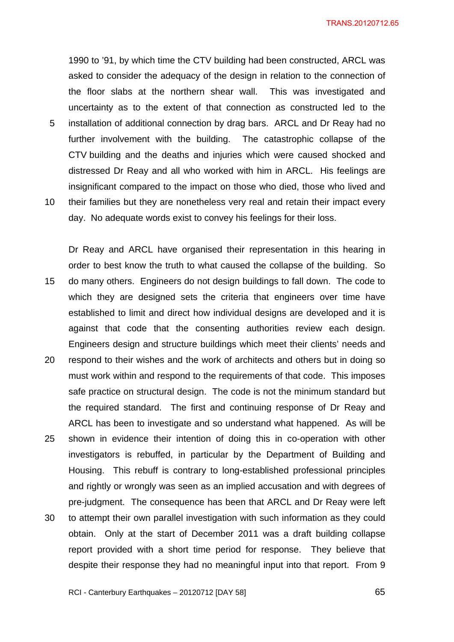1990 to '91, by which time the CTV building had been constructed, ARCL was asked to consider the adequacy of the design in relation to the connection of the floor slabs at the northern shear wall. This was investigated and uncertainty as to the extent of that connection as constructed led to the 5 installation of additional connection by drag bars. ARCL and Dr Reay had no further involvement with the building. The catastrophic collapse of the CTV building and the deaths and injuries which were caused shocked and distressed Dr Reay and all who worked with him in ARCL. His feelings are insignificant compared to the impact on those who died, those who lived and 10 their families but they are nonetheless very real and retain their impact every day. No adequate words exist to convey his feelings for their loss.

Dr Reay and ARCL have organised their representation in this hearing in order to best know the truth to what caused the collapse of the building. So 15 do many others. Engineers do not design buildings to fall down. The code to which they are designed sets the criteria that engineers over time have established to limit and direct how individual designs are developed and it is against that code that the consenting authorities review each design. Engineers design and structure buildings which meet their clients' needs and 20 respond to their wishes and the work of architects and others but in doing so must work within and respond to the requirements of that code. This imposes safe practice on structural design. The code is not the minimum standard but the required standard. The first and continuing response of Dr Reay and ARCL has been to investigate and so understand what happened. As will be 25 shown in evidence their intention of doing this in co-operation with other investigators is rebuffed, in particular by the Department of Building and Housing. This rebuff is contrary to long-established professional principles and rightly or wrongly was seen as an implied accusation and with degrees of pre-judgment. The consequence has been that ARCL and Dr Reay were left 30 to attempt their own parallel investigation with such information as they could obtain. Only at the start of December 2011 was a draft building collapse report provided with a short time period for response. They believe that despite their response they had no meaningful input into that report. From 9

RCI - Canterbury Earthquakes – 20120712 [DAY 58]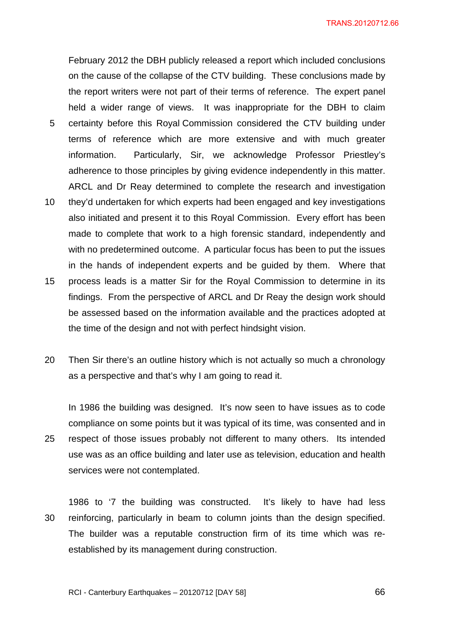February 2012 the DBH publicly released a report which included conclusions on the cause of the collapse of the CTV building. These conclusions made by the report writers were not part of their terms of reference. The expert panel held a wider range of views. It was inappropriate for the DBH to claim 5 certainty before this Royal Commission considered the CTV building under terms of reference which are more extensive and with much greater information. Particularly, Sir, we acknowledge Professor Priestley's adherence to those principles by giving evidence independently in this matter. ARCL and Dr Reay determined to complete the research and investigation

- 10 they'd undertaken for which experts had been engaged and key investigations also initiated and present it to this Royal Commission. Every effort has been made to complete that work to a high forensic standard, independently and with no predetermined outcome. A particular focus has been to put the issues in the hands of independent experts and be guided by them. Where that
- 15 process leads is a matter Sir for the Royal Commission to determine in its findings. From the perspective of ARCL and Dr Reay the design work should be assessed based on the information available and the practices adopted at the time of the design and not with perfect hindsight vision.
- 20 Then Sir there's an outline history which is not actually so much a chronology as a perspective and that's why I am going to read it.

In 1986 the building was designed. It's now seen to have issues as to code compliance on some points but it was typical of its time, was consented and in 25 respect of those issues probably not different to many others. Its intended use was as an office building and later use as television, education and health services were not contemplated.

1986 to '7 the building was constructed. It's likely to have had less 30 reinforcing, particularly in beam to column joints than the design specified. The builder was a reputable construction firm of its time which was reestablished by its management during construction.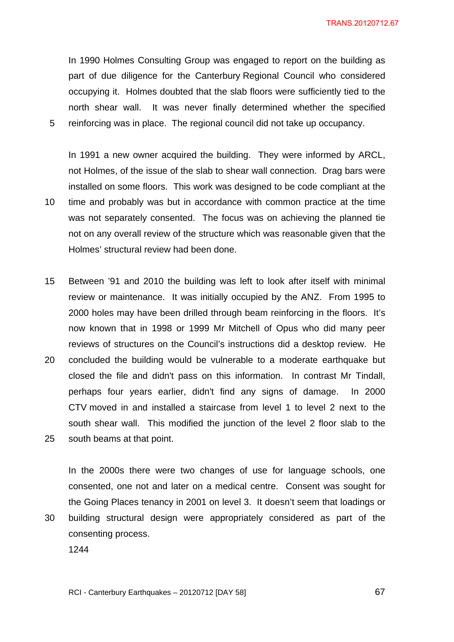In 1990 Holmes Consulting Group was engaged to report on the building as part of due diligence for the Canterbury Regional Council who considered occupying it. Holmes doubted that the slab floors were sufficiently tied to the north shear wall. It was never finally determined whether the specified 5 reinforcing was in place. The regional council did not take up occupancy.

In 1991 a new owner acquired the building. They were informed by ARCL, not Holmes, of the issue of the slab to shear wall connection. Drag bars were installed on some floors. This work was designed to be code compliant at the 10 time and probably was but in accordance with common practice at the time was not separately consented. The focus was on achieving the planned tie not on any overall review of the structure which was reasonable given that the Holmes' structural review had been done.

- 15 Between '91 and 2010 the building was left to look after itself with minimal review or maintenance. It was initially occupied by the ANZ. From 1995 to 2000 holes may have been drilled through beam reinforcing in the floors. It's now known that in 1998 or 1999 Mr Mitchell of Opus who did many peer reviews of structures on the Council's instructions did a desktop review. He 20 concluded the building would be vulnerable to a moderate earthquake but closed the file and didn't pass on this information. In contrast Mr Tindall, perhaps four years earlier, didn't find any signs of damage. In 2000 CTV moved in and installed a staircase from level 1 to level 2 next to the south shear wall. This modified the junction of the level 2 floor slab to the
- 25 south beams at that point.

consenting process.

In the 2000s there were two changes of use for language schools, one consented, one not and later on a medical centre. Consent was sought for the Going Places tenancy in 2001 on level 3. It doesn't seem that loadings or 30 building structural design were appropriately considered as part of the

1244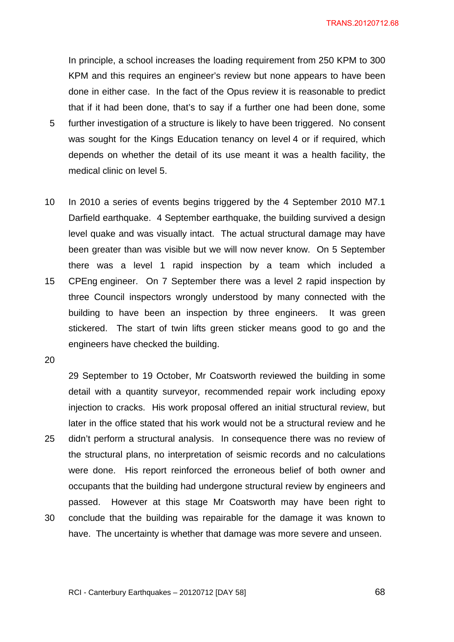In principle, a school increases the loading requirement from 250 KPM to 300 KPM and this requires an engineer's review but none appears to have been done in either case. In the fact of the Opus review it is reasonable to predict that if it had been done, that's to say if a further one had been done, some 5 further investigation of a structure is likely to have been triggered. No consent

- was sought for the Kings Education tenancy on level 4 or if required, which depends on whether the detail of its use meant it was a health facility, the medical clinic on level 5.
- 10 In 2010 a series of events begins triggered by the 4 September 2010 M7.1 Darfield earthquake. 4 September earthquake, the building survived a design level quake and was visually intact. The actual structural damage may have been greater than was visible but we will now never know. On 5 September there was a level 1 rapid inspection by a team which included a 15 CPEng engineer. On 7 September there was a level 2 rapid inspection by three Council inspectors wrongly understood by many connected with the building to have been an inspection by three engineers. It was green stickered. The start of twin lifts green sticker means good to go and the engineers have checked the building.

20

29 September to 19 October, Mr Coatsworth reviewed the building in some detail with a quantity surveyor, recommended repair work including epoxy injection to cracks. His work proposal offered an initial structural review, but later in the office stated that his work would not be a structural review and he 25 didn't perform a structural analysis. In consequence there was no review of the structural plans, no interpretation of seismic records and no calculations were done. His report reinforced the erroneous belief of both owner and occupants that the building had undergone structural review by engineers and passed. However at this stage Mr Coatsworth may have been right to 30 conclude that the building was repairable for the damage it was known to have. The uncertainty is whether that damage was more severe and unseen.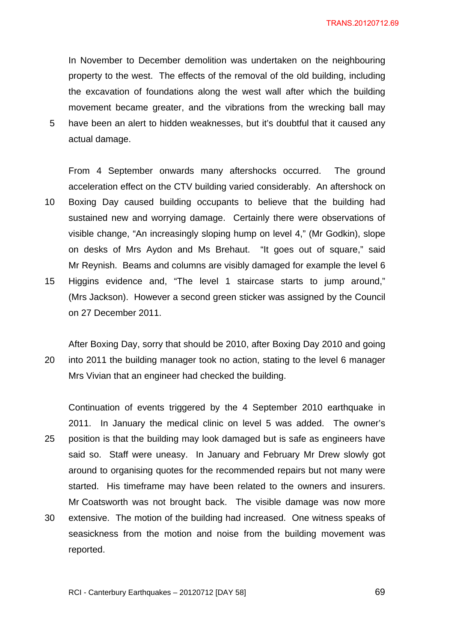In November to December demolition was undertaken on the neighbouring property to the west. The effects of the removal of the old building, including the excavation of foundations along the west wall after which the building movement became greater, and the vibrations from the wrecking ball may 5 have been an alert to hidden weaknesses, but it's doubtful that it caused any

actual damage.

From 4 September onwards many aftershocks occurred. The ground acceleration effect on the CTV building varied considerably. An aftershock on 10 Boxing Day caused building occupants to believe that the building had sustained new and worrying damage. Certainly there were observations of visible change, "An increasingly sloping hump on level 4," (Mr Godkin), slope on desks of Mrs Aydon and Ms Brehaut. "It goes out of square," said Mr Reynish. Beams and columns are visibly damaged for example the level 6 15 Higgins evidence and, "The level 1 staircase starts to jump around," (Mrs Jackson). However a second green sticker was assigned by the Council on 27 December 2011.

After Boxing Day, sorry that should be 2010, after Boxing Day 2010 and going 20 into 2011 the building manager took no action, stating to the level 6 manager Mrs Vivian that an engineer had checked the building.

Continuation of events triggered by the 4 September 2010 earthquake in 2011. In January the medical clinic on level 5 was added. The owner's 25 position is that the building may look damaged but is safe as engineers have said so. Staff were uneasy. In January and February Mr Drew slowly got around to organising quotes for the recommended repairs but not many were started. His timeframe may have been related to the owners and insurers. Mr Coatsworth was not brought back. The visible damage was now more 30 extensive. The motion of the building had increased. One witness speaks of seasickness from the motion and noise from the building movement was reported.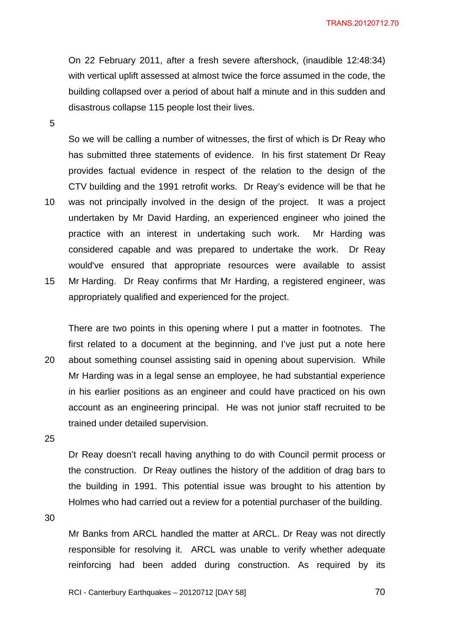On 22 February 2011, after a fresh severe aftershock, (inaudible 12:48:34) with vertical uplift assessed at almost twice the force assumed in the code, the building collapsed over a period of about half a minute and in this sudden and disastrous collapse 115 people lost their lives.

5

So we will be calling a number of witnesses, the first of which is Dr Reay who has submitted three statements of evidence. In his first statement Dr Reay provides factual evidence in respect of the relation to the design of the CTV building and the 1991 retrofit works. Dr Reay's evidence will be that he 10 was not principally involved in the design of the project. It was a project undertaken by Mr David Harding, an experienced engineer who joined the practice with an interest in undertaking such work. Mr Harding was considered capable and was prepared to undertake the work. Dr Reay would've ensured that appropriate resources were available to assist 15 Mr Harding. Dr Reay confirms that Mr Harding, a registered engineer, was appropriately qualified and experienced for the project.

There are two points in this opening where I put a matter in footnotes. The first related to a document at the beginning, and I've just put a note here 20 about something counsel assisting said in opening about supervision. While Mr Harding was in a legal sense an employee, he had substantial experience in his earlier positions as an engineer and could have practiced on his own account as an engineering principal. He was not junior staff recruited to be trained under detailed supervision.

25

Dr Reay doesn't recall having anything to do with Council permit process or the construction. Dr Reay outlines the history of the addition of drag bars to the building in 1991. This potential issue was brought to his attention by Holmes who had carried out a review for a potential purchaser of the building.

30

Mr Banks from ARCL handled the matter at ARCL. Dr Reay was not directly responsible for resolving it. ARCL was unable to verify whether adequate reinforcing had been added during construction. As required by its

RCI - Canterbury Earthquakes – 20120712 [DAY 58]  $\overline{70}$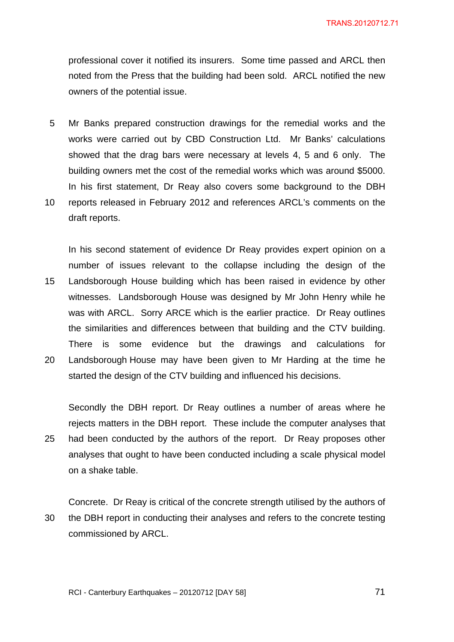professional cover it notified its insurers. Some time passed and ARCL then noted from the Press that the building had been sold. ARCL notified the new owners of the potential issue.

- 5 Mr Banks prepared construction drawings for the remedial works and the works were carried out by CBD Construction Ltd. Mr Banks' calculations showed that the drag bars were necessary at levels 4, 5 and 6 only. The building owners met the cost of the remedial works which was around \$5000. In his first statement, Dr Reay also covers some background to the DBH
- 10 reports released in February 2012 and references ARCL's comments on the draft reports.

In his second statement of evidence Dr Reay provides expert opinion on a number of issues relevant to the collapse including the design of the 15 Landsborough House building which has been raised in evidence by other witnesses. Landsborough House was designed by Mr John Henry while he was with ARCL. Sorry ARCE which is the earlier practice. Dr Reay outlines the similarities and differences between that building and the CTV building. There is some evidence but the drawings and calculations for 20 Landsborough House may have been given to Mr Harding at the time he

Secondly the DBH report. Dr Reay outlines a number of areas where he rejects matters in the DBH report. These include the computer analyses that 25 had been conducted by the authors of the report. Dr Reay proposes other

started the design of the CTV building and influenced his decisions.

analyses that ought to have been conducted including a scale physical model on a shake table.

Concrete. Dr Reay is critical of the concrete strength utilised by the authors of 30 the DBH report in conducting their analyses and refers to the concrete testing commissioned by ARCL.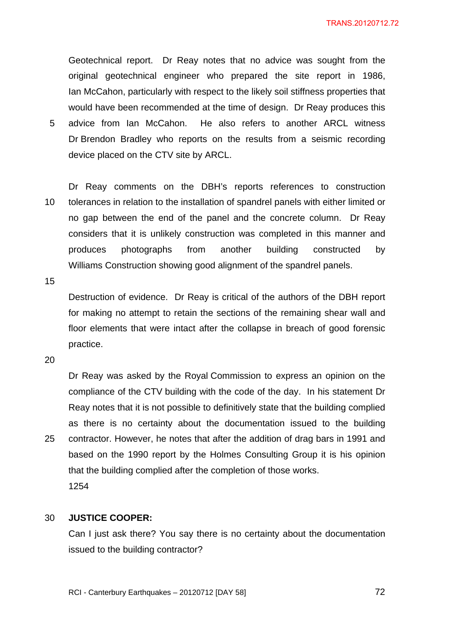Geotechnical report. Dr Reay notes that no advice was sought from the original geotechnical engineer who prepared the site report in 1986, Ian McCahon, particularly with respect to the likely soil stiffness properties that would have been recommended at the time of design. Dr Reay produces this 5 advice from Ian McCahon. He also refers to another ARCL witness Dr Brendon Bradley who reports on the results from a seismic recording device placed on the CTV site by ARCL.

Dr Reay comments on the DBH's reports references to construction 10 tolerances in relation to the installation of spandrel panels with either limited or no gap between the end of the panel and the concrete column. Dr Reay considers that it is unlikely construction was completed in this manner and produces photographs from another building constructed by Williams Construction showing good alignment of the spandrel panels.

15

Destruction of evidence. Dr Reay is critical of the authors of the DBH report for making no attempt to retain the sections of the remaining shear wall and floor elements that were intact after the collapse in breach of good forensic practice.

20

Dr Reay was asked by the Royal Commission to express an opinion on the compliance of the CTV building with the code of the day. In his statement Dr Reay notes that it is not possible to definitively state that the building complied as there is no certainty about the documentation issued to the building 25 contractor. However, he notes that after the addition of drag bars in 1991 and based on the 1990 report by the Holmes Consulting Group it is his opinion that the building complied after the completion of those works. 1254

# 30 **JUSTICE COOPER:**

Can I just ask there? You say there is no certainty about the documentation issued to the building contractor?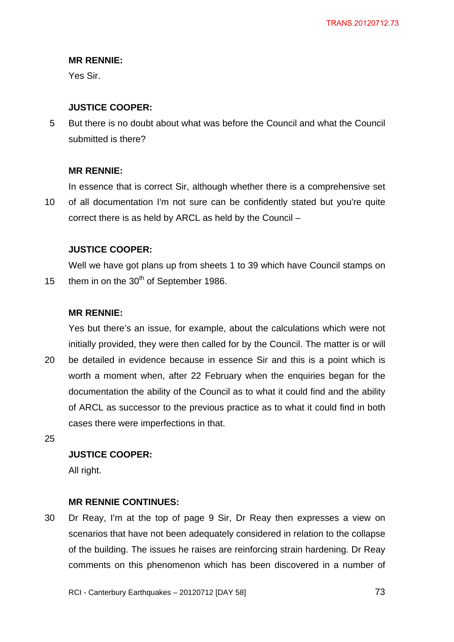Yes Sir.

# **JUSTICE COOPER:**

5 But there is no doubt about what was before the Council and what the Council submitted is there?

# **MR RENNIE:**

In essence that is correct Sir, although whether there is a comprehensive set 10 of all documentation I'm not sure can be confidently stated but you're quite correct there is as held by ARCL as held by the Council –

# **JUSTICE COOPER:**

Well we have got plans up from sheets 1 to 39 which have Council stamps on 15 them in on the  $30<sup>th</sup>$  of September 1986.

# **MR RENNIE:**

Yes but there's an issue, for example, about the calculations which were not initially provided, they were then called for by the Council. The matter is or will

20 be detailed in evidence because in essence Sir and this is a point which is worth a moment when, after 22 February when the enquiries began for the documentation the ability of the Council as to what it could find and the ability of ARCL as successor to the previous practice as to what it could find in both cases there were imperfections in that.

25

# **JUSTICE COOPER:**

All right.

# **MR RENNIE CONTINUES:**

30 Dr Reay, I'm at the top of page 9 Sir, Dr Reay then expresses a view on scenarios that have not been adequately considered in relation to the collapse of the building. The issues he raises are reinforcing strain hardening. Dr Reay comments on this phenomenon which has been discovered in a number of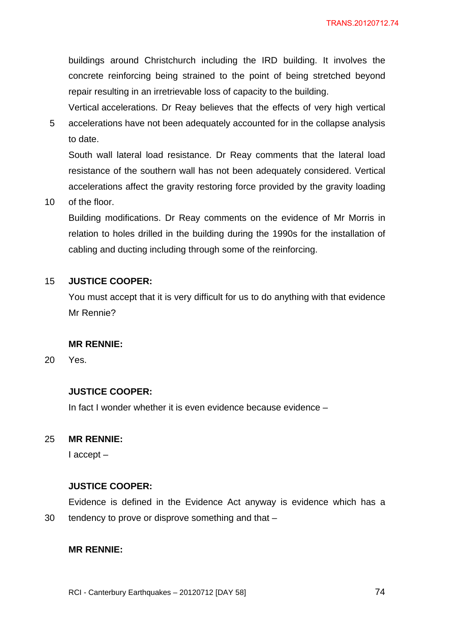buildings around Christchurch including the IRD building. It involves the concrete reinforcing being strained to the point of being stretched beyond repair resulting in an irretrievable loss of capacity to the building.

Vertical accelerations. Dr Reay believes that the effects of very high vertical 5 accelerations have not been adequately accounted for in the collapse analysis to date.

South wall lateral load resistance. Dr Reay comments that the lateral load resistance of the southern wall has not been adequately considered. Vertical accelerations affect the gravity restoring force provided by the gravity loading

10 of the floor.

Building modifications. Dr Reay comments on the evidence of Mr Morris in relation to holes drilled in the building during the 1990s for the installation of cabling and ducting including through some of the reinforcing.

## 15 **JUSTICE COOPER:**

You must accept that it is very difficult for us to do anything with that evidence Mr Rennie?

### **MR RENNIE:**

20 Yes.

### **JUSTICE COOPER:**

In fact I wonder whether it is even evidence because evidence –

# 25 **MR RENNIE:**

I accept –

#### **JUSTICE COOPER:**

Evidence is defined in the Evidence Act anyway is evidence which has a 30 tendency to prove or disprove something and that –

### **MR RENNIE:**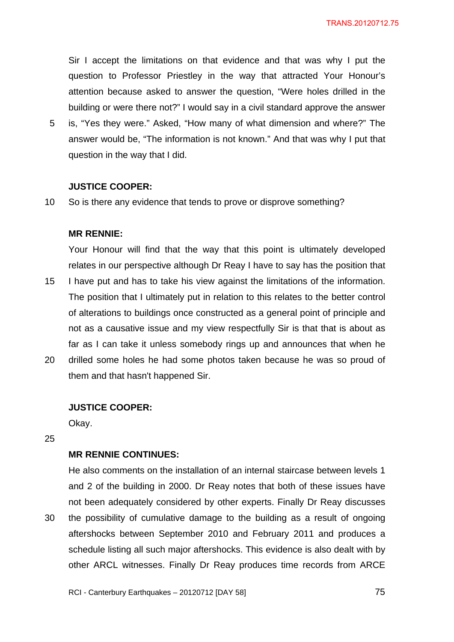Sir I accept the limitations on that evidence and that was why I put the question to Professor Priestley in the way that attracted Your Honour's attention because asked to answer the question, "Were holes drilled in the building or were there not?" I would say in a civil standard approve the answer

5 is, "Yes they were." Asked, "How many of what dimension and where?" The answer would be, "The information is not known." And that was why I put that question in the way that I did.

#### **JUSTICE COOPER:**

10 So is there any evidence that tends to prove or disprove something?

### **MR RENNIE:**

Your Honour will find that the way that this point is ultimately developed relates in our perspective although Dr Reay I have to say has the position that 15 I have put and has to take his view against the limitations of the information. The position that I ultimately put in relation to this relates to the better control of alterations to buildings once constructed as a general point of principle and not as a causative issue and my view respectfully Sir is that that is about as far as I can take it unless somebody rings up and announces that when he

20 drilled some holes he had some photos taken because he was so proud of them and that hasn't happened Sir.

### **JUSTICE COOPER:**

Okay.

25

### **MR RENNIE CONTINUES:**

He also comments on the installation of an internal staircase between levels 1 and 2 of the building in 2000. Dr Reay notes that both of these issues have not been adequately considered by other experts. Finally Dr Reay discusses 30 the possibility of cumulative damage to the building as a result of ongoing aftershocks between September 2010 and February 2011 and produces a schedule listing all such major aftershocks. This evidence is also dealt with by other ARCL witnesses. Finally Dr Reay produces time records from ARCE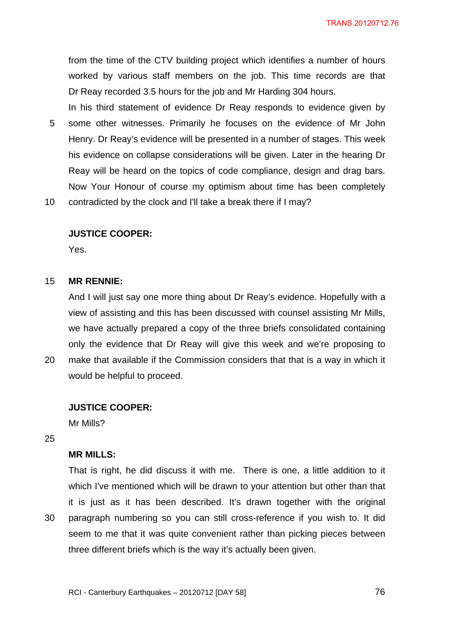from the time of the CTV building project which identifies a number of hours worked by various staff members on the job. This time records are that Dr Reay recorded 3.5 hours for the job and Mr Harding 304 hours.

In his third statement of evidence Dr Reay responds to evidence given by 5 some other witnesses. Primarily he focuses on the evidence of Mr John Henry. Dr Reay's evidence will be presented in a number of stages. This week his evidence on collapse considerations will be given. Later in the hearing Dr Reay will be heard on the topics of code compliance, design and drag bars. Now Your Honour of course my optimism about time has been completely

10 contradicted by the clock and I'll take a break there if I may?

### **JUSTICE COOPER:**

Yes.

### 15 **MR RENNIE:**

And I will just say one more thing about Dr Reay's evidence. Hopefully with a view of assisting and this has been discussed with counsel assisting Mr Mills, we have actually prepared a copy of the three briefs consolidated containing only the evidence that Dr Reay will give this week and we're proposing to 20 make that available if the Commission considers that that is a way in which it would be helpful to proceed.

### **JUSTICE COOPER:**

Mr Mills?

25

## **MR MILLS:**

That is right, he did discuss it with me. There is one, a little addition to it which I've mentioned which will be drawn to your attention but other than that it is just as it has been described. It's drawn together with the original 30 paragraph numbering so you can still cross-reference if you wish to. It did seem to me that it was quite convenient rather than picking pieces between three different briefs which is the way it's actually been given.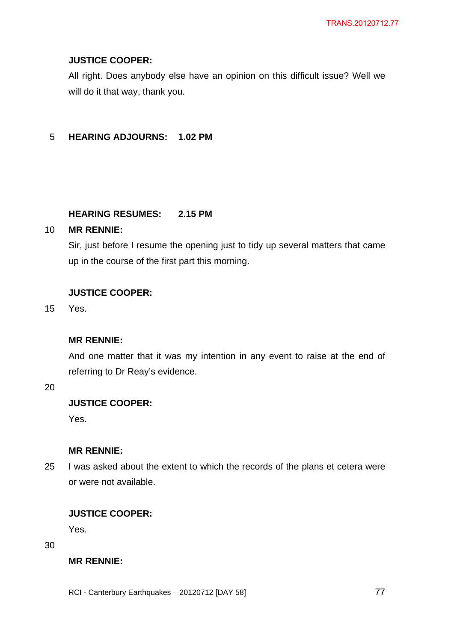# **JUSTICE COOPER:**

All right. Does anybody else have an opinion on this difficult issue? Well we will do it that way, thank you.

# 5 **HEARING ADJOURNS: 1.02 PM**

# **HEARING RESUMES: 2.15 PM**

# 10 **MR RENNIE:**

Sir, just before I resume the opening just to tidy up several matters that came up in the course of the first part this morning.

# **JUSTICE COOPER:**

15 Yes.

## **MR RENNIE:**

And one matter that it was my intention in any event to raise at the end of referring to Dr Reay's evidence.

20

### **JUSTICE COOPER:**

Yes.

# **MR RENNIE:**

25 I was asked about the extent to which the records of the plans et cetera were or were not available.

# **JUSTICE COOPER:**

Yes.

30

# **MR RENNIE:**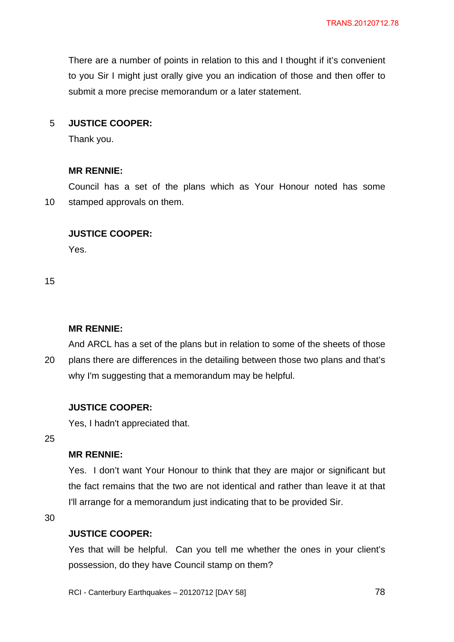There are a number of points in relation to this and I thought if it's convenient to you Sir I might just orally give you an indication of those and then offer to submit a more precise memorandum or a later statement.

## 5 **JUSTICE COOPER:**

Thank you.

### **MR RENNIE:**

Council has a set of the plans which as Your Honour noted has some 10 stamped approvals on them.

### **JUSTICE COOPER:**

Yes.

15

### **MR RENNIE:**

And ARCL has a set of the plans but in relation to some of the sheets of those 20 plans there are differences in the detailing between those two plans and that's why I'm suggesting that a memorandum may be helpful.

### **JUSTICE COOPER:**

Yes, I hadn't appreciated that.

25

# **MR RENNIE:**

Yes. I don't want Your Honour to think that they are major or significant but the fact remains that the two are not identical and rather than leave it at that I'll arrange for a memorandum just indicating that to be provided Sir.

30

### **JUSTICE COOPER:**

Yes that will be helpful. Can you tell me whether the ones in your client's possession, do they have Council stamp on them?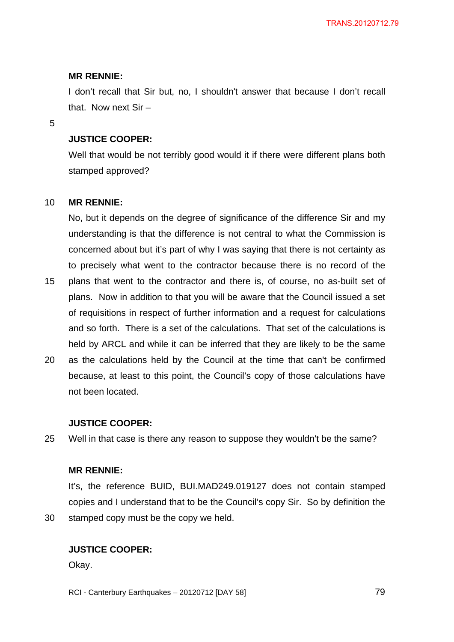I don't recall that Sir but, no, I shouldn't answer that because I don't recall that. Now next Sir –

5

### **JUSTICE COOPER:**

Well that would be not terribly good would it if there were different plans both stamped approved?

#### 10 **MR RENNIE:**

No, but it depends on the degree of significance of the difference Sir and my understanding is that the difference is not central to what the Commission is concerned about but it's part of why I was saying that there is not certainty as to precisely what went to the contractor because there is no record of the

- 15 plans that went to the contractor and there is, of course, no as-built set of plans. Now in addition to that you will be aware that the Council issued a set of requisitions in respect of further information and a request for calculations and so forth. There is a set of the calculations. That set of the calculations is held by ARCL and while it can be inferred that they are likely to be the same
- 20 as the calculations held by the Council at the time that can't be confirmed because, at least to this point, the Council's copy of those calculations have not been located.

### **JUSTICE COOPER:**

25 Well in that case is there any reason to suppose they wouldn't be the same?

### **MR RENNIE:**

It's, the reference BUID, BUI.MAD249.019127 does not contain stamped copies and I understand that to be the Council's copy Sir. So by definition the 30 stamped copy must be the copy we held.

### **JUSTICE COOPER:**

Okay.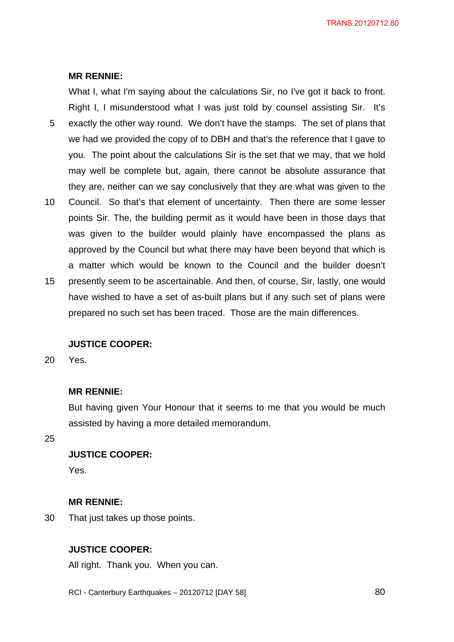What I, what I'm saying about the calculations Sir, no I've got it back to front. Right I, I misunderstood what I was just told by counsel assisting Sir. It's 5 exactly the other way round. We don't have the stamps. The set of plans that we had we provided the copy of to DBH and that's the reference that I gave to you. The point about the calculations Sir is the set that we may, that we hold may well be complete but, again, there cannot be absolute assurance that they are, neither can we say conclusively that they are what was given to the

- 10 Council. So that's that element of uncertainty. Then there are some lesser points Sir. The, the building permit as it would have been in those days that was given to the builder would plainly have encompassed the plans as approved by the Council but what there may have been beyond that which is a matter which would be known to the Council and the builder doesn't
- 15 presently seem to be ascertainable. And then, of course, Sir, lastly, one would have wished to have a set of as-built plans but if any such set of plans were prepared no such set has been traced. Those are the main differences.

### **JUSTICE COOPER:**

20 Yes.

### **MR RENNIE:**

But having given Your Honour that it seems to me that you would be much assisted by having a more detailed memorandum.

25

# **JUSTICE COOPER:**

Yes.

### **MR RENNIE:**

30 That just takes up those points.

# **JUSTICE COOPER:**

All right. Thank you. When you can.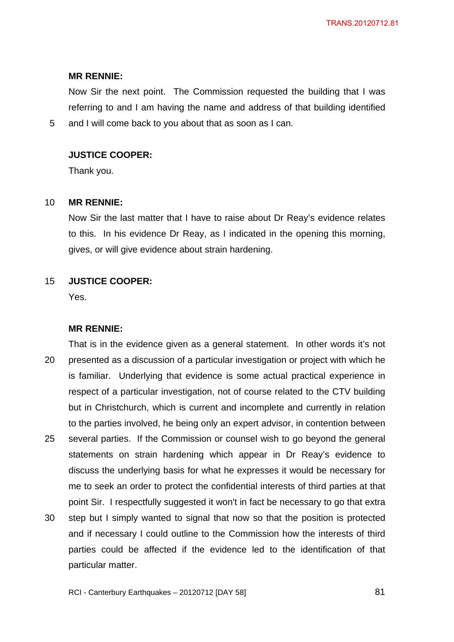Now Sir the next point. The Commission requested the building that I was referring to and I am having the name and address of that building identified 5 and I will come back to you about that as soon as I can.

## **JUSTICE COOPER:**

Thank you.

### 10 **MR RENNIE:**

Now Sir the last matter that I have to raise about Dr Reay's evidence relates to this. In his evidence Dr Reay, as I indicated in the opening this morning, gives, or will give evidence about strain hardening.

## 15 **JUSTICE COOPER:**

Yes.

### **MR RENNIE:**

That is in the evidence given as a general statement. In other words it's not 20 presented as a discussion of a particular investigation or project with which he is familiar. Underlying that evidence is some actual practical experience in respect of a particular investigation, not of course related to the CTV building but in Christchurch, which is current and incomplete and currently in relation to the parties involved, he being only an expert advisor, in contention between 25 several parties. If the Commission or counsel wish to go beyond the general statements on strain hardening which appear in Dr Reay's evidence to discuss the underlying basis for what he expresses it would be necessary for me to seek an order to protect the confidential interests of third parties at that point Sir. I respectfully suggested it won't in fact be necessary to go that extra

30 step but I simply wanted to signal that now so that the position is protected and if necessary I could outline to the Commission how the interests of third parties could be affected if the evidence led to the identification of that particular matter.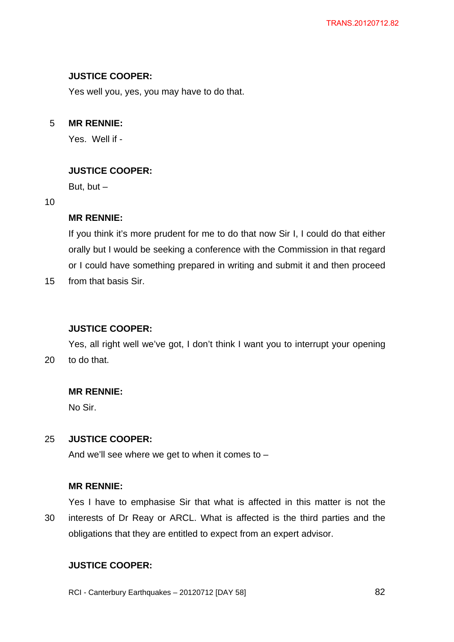# **JUSTICE COOPER:**

Yes well you, yes, you may have to do that.

# 5 **MR RENNIE:**

Yes. Well if -

# **JUSTICE COOPER:**

But, but  $-$ 

### 10

# **MR RENNIE:**

If you think it's more prudent for me to do that now Sir I, I could do that either orally but I would be seeking a conference with the Commission in that regard or I could have something prepared in writing and submit it and then proceed

15 from that basis Sir.

# **JUSTICE COOPER:**

Yes, all right well we've got, I don't think I want you to interrupt your opening 20 to do that.

# **MR RENNIE:**

No Sir.

# 25 **JUSTICE COOPER:**

And we'll see where we get to when it comes to –

# **MR RENNIE:**

Yes I have to emphasise Sir that what is affected in this matter is not the 30 interests of Dr Reay or ARCL. What is affected is the third parties and the obligations that they are entitled to expect from an expert advisor.

# **JUSTICE COOPER:**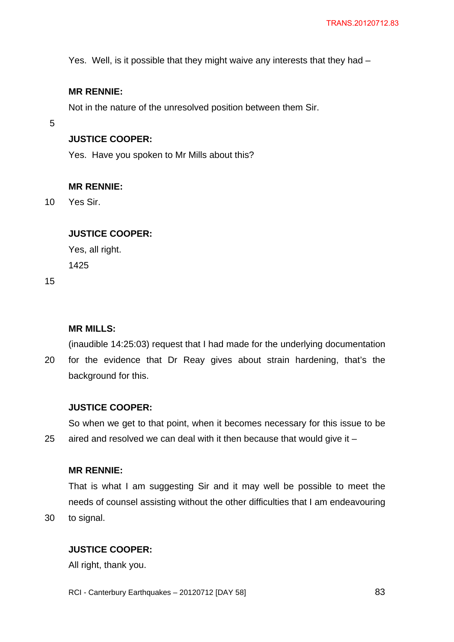Yes. Well, is it possible that they might waive any interests that they had –

## **MR RENNIE:**

Not in the nature of the unresolved position between them Sir.

5

# **JUSTICE COOPER:**

Yes. Have you spoken to Mr Mills about this?

### **MR RENNIE:**

10 Yes Sir.

# **JUSTICE COOPER:**

Yes, all right. 1425

15

# **MR MILLS:**

(inaudible 14:25:03) request that I had made for the underlying documentation 20 for the evidence that Dr Reay gives about strain hardening, that's the

background for this.

### **JUSTICE COOPER:**

So when we get to that point, when it becomes necessary for this issue to be 25 aired and resolved we can deal with it then because that would give it –

## **MR RENNIE:**

That is what I am suggesting Sir and it may well be possible to meet the needs of counsel assisting without the other difficulties that I am endeavouring 30 to signal.

# **JUSTICE COOPER:**

All right, thank you.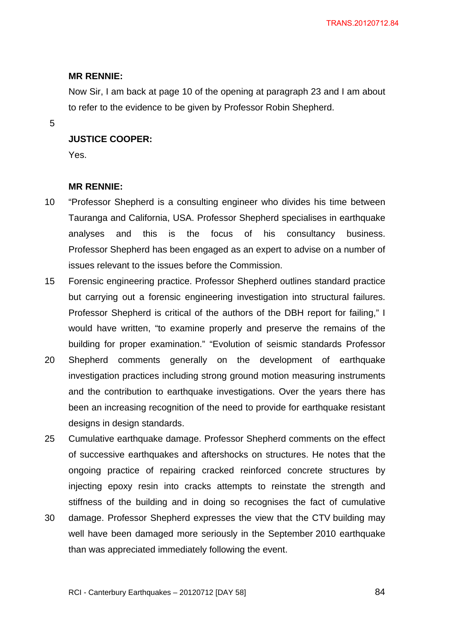Now Sir, I am back at page 10 of the opening at paragraph 23 and I am about to refer to the evidence to be given by Professor Robin Shepherd.

5

# **JUSTICE COOPER:**

Yes.

### **MR RENNIE:**

- 10 "Professor Shepherd is a consulting engineer who divides his time between Tauranga and California, USA. Professor Shepherd specialises in earthquake analyses and this is the focus of his consultancy business. Professor Shepherd has been engaged as an expert to advise on a number of issues relevant to the issues before the Commission.
- 15 Forensic engineering practice. Professor Shepherd outlines standard practice but carrying out a forensic engineering investigation into structural failures. Professor Shepherd is critical of the authors of the DBH report for failing," I would have written, "to examine properly and preserve the remains of the building for proper examination." "Evolution of seismic standards Professor
- 20 Shepherd comments generally on the development of earthquake investigation practices including strong ground motion measuring instruments and the contribution to earthquake investigations. Over the years there has been an increasing recognition of the need to provide for earthquake resistant designs in design standards.
- 25 Cumulative earthquake damage. Professor Shepherd comments on the effect of successive earthquakes and aftershocks on structures. He notes that the ongoing practice of repairing cracked reinforced concrete structures by injecting epoxy resin into cracks attempts to reinstate the strength and stiffness of the building and in doing so recognises the fact of cumulative
- 30 damage. Professor Shepherd expresses the view that the CTV building may well have been damaged more seriously in the September 2010 earthquake than was appreciated immediately following the event.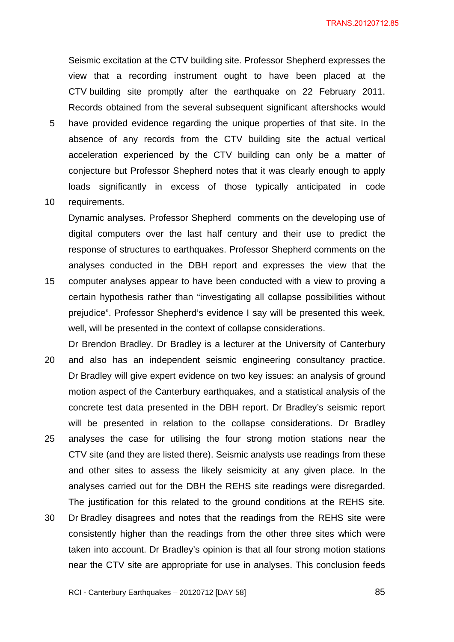Seismic excitation at the CTV building site. Professor Shepherd expresses the view that a recording instrument ought to have been placed at the CTV building site promptly after the earthquake on 22 February 2011. Records obtained from the several subsequent significant aftershocks would

- 5 have provided evidence regarding the unique properties of that site. In the absence of any records from the CTV building site the actual vertical acceleration experienced by the CTV building can only be a matter of conjecture but Professor Shepherd notes that it was clearly enough to apply loads significantly in excess of those typically anticipated in code
- 10 requirements.

Dynamic analyses. Professor Shepherd comments on the developing use of digital computers over the last half century and their use to predict the response of structures to earthquakes. Professor Shepherd comments on the analyses conducted in the DBH report and expresses the view that the

- 15 computer analyses appear to have been conducted with a view to proving a certain hypothesis rather than "investigating all collapse possibilities without prejudice". Professor Shepherd's evidence I say will be presented this week, well, will be presented in the context of collapse considerations.
- Dr Brendon Bradley. Dr Bradley is a lecturer at the University of Canterbury 20 and also has an independent seismic engineering consultancy practice. Dr Bradley will give expert evidence on two key issues: an analysis of ground motion aspect of the Canterbury earthquakes, and a statistical analysis of the concrete test data presented in the DBH report. Dr Bradley's seismic report will be presented in relation to the collapse considerations. Dr Bradley 25 analyses the case for utilising the four strong motion stations near the CTV site (and they are listed there). Seismic analysts use readings from these and other sites to assess the likely seismicity at any given place. In the analyses carried out for the DBH the REHS site readings were disregarded. The justification for this related to the ground conditions at the REHS site.
- 30 Dr Bradley disagrees and notes that the readings from the REHS site were consistently higher than the readings from the other three sites which were taken into account. Dr Bradley's opinion is that all four strong motion stations near the CTV site are appropriate for use in analyses. This conclusion feeds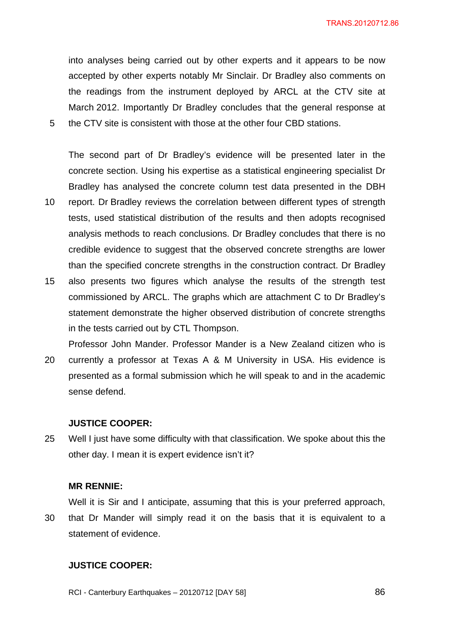into analyses being carried out by other experts and it appears to be now accepted by other experts notably Mr Sinclair. Dr Bradley also comments on the readings from the instrument deployed by ARCL at the CTV site at March 2012. Importantly Dr Bradley concludes that the general response at 5 the CTV site is consistent with those at the other four CBD stations.

The second part of Dr Bradley's evidence will be presented later in the concrete section. Using his expertise as a statistical engineering specialist Dr Bradley has analysed the concrete column test data presented in the DBH

- 10 report. Dr Bradley reviews the correlation between different types of strength tests, used statistical distribution of the results and then adopts recognised analysis methods to reach conclusions. Dr Bradley concludes that there is no credible evidence to suggest that the observed concrete strengths are lower than the specified concrete strengths in the construction contract. Dr Bradley
- 15 also presents two figures which analyse the results of the strength test commissioned by ARCL. The graphs which are attachment C to Dr Bradley's statement demonstrate the higher observed distribution of concrete strengths in the tests carried out by CTL Thompson.
- Professor John Mander. Professor Mander is a New Zealand citizen who is 20 currently a professor at Texas A & M University in USA. His evidence is presented as a formal submission which he will speak to and in the academic sense defend.

### **JUSTICE COOPER:**

25 Well I just have some difficulty with that classification. We spoke about this the other day. I mean it is expert evidence isn't it?

#### **MR RENNIE:**

Well it is Sir and I anticipate, assuming that this is your preferred approach,

30 that Dr Mander will simply read it on the basis that it is equivalent to a statement of evidence.

## **JUSTICE COOPER:**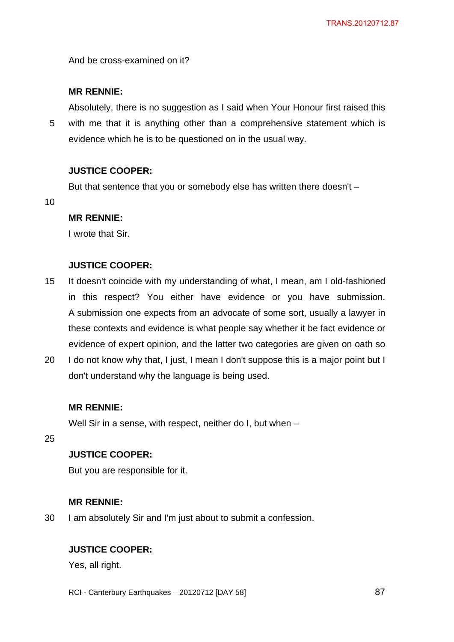And be cross-examined on it?

# **MR RENNIE:**

Absolutely, there is no suggestion as I said when Your Honour first raised this 5 with me that it is anything other than a comprehensive statement which is evidence which he is to be questioned on in the usual way.

# **JUSTICE COOPER:**

But that sentence that you or somebody else has written there doesn't –

10

# **MR RENNIE:**

I wrote that Sir.

# **JUSTICE COOPER:**

- 15 It doesn't coincide with my understanding of what, I mean, am I old-fashioned in this respect? You either have evidence or you have submission. A submission one expects from an advocate of some sort, usually a lawyer in these contexts and evidence is what people say whether it be fact evidence or evidence of expert opinion, and the latter two categories are given on oath so
- 20 I do not know why that, I just, I mean I don't suppose this is a major point but I don't understand why the language is being used.

# **MR RENNIE:**

Well Sir in a sense, with respect, neither do I, but when -

25

# **JUSTICE COOPER:**

But you are responsible for it.

# **MR RENNIE:**

30 I am absolutely Sir and I'm just about to submit a confession.

# **JUSTICE COOPER:**

Yes, all right.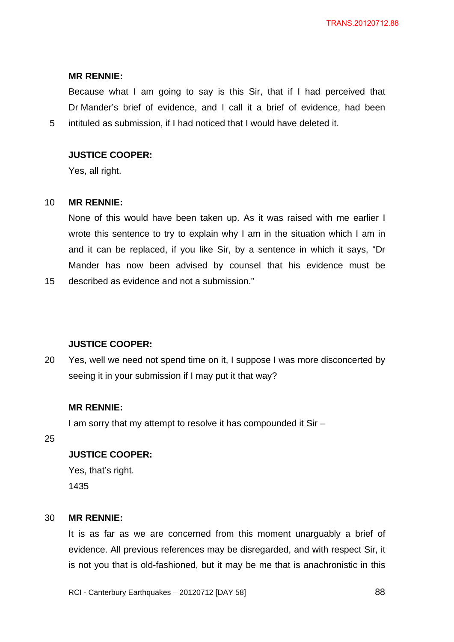Because what I am going to say is this Sir, that if I had perceived that Dr Mander's brief of evidence, and I call it a brief of evidence, had been 5 intituled as submission, if I had noticed that I would have deleted it.

# **JUSTICE COOPER:**

Yes, all right.

### 10 **MR RENNIE:**

None of this would have been taken up. As it was raised with me earlier I wrote this sentence to try to explain why I am in the situation which I am in and it can be replaced, if you like Sir, by a sentence in which it says, "Dr Mander has now been advised by counsel that his evidence must be

15 described as evidence and not a submission."

## **JUSTICE COOPER:**

20 Yes, well we need not spend time on it, I suppose I was more disconcerted by seeing it in your submission if I may put it that way?

### **MR RENNIE:**

I am sorry that my attempt to resolve it has compounded it Sir –

25

# **JUSTICE COOPER:**

Yes, that's right. 1435

### 30 **MR RENNIE:**

It is as far as we are concerned from this moment unarguably a brief of evidence. All previous references may be disregarded, and with respect Sir, it is not you that is old-fashioned, but it may be me that is anachronistic in this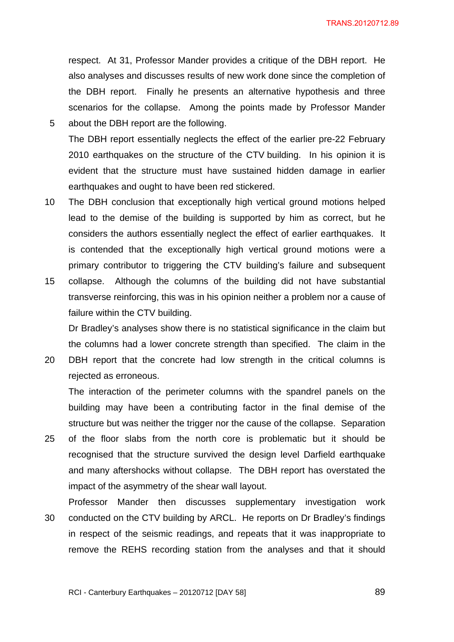respect. At 31, Professor Mander provides a critique of the DBH report. He also analyses and discusses results of new work done since the completion of the DBH report. Finally he presents an alternative hypothesis and three scenarios for the collapse. Among the points made by Professor Mander 5 about the DBH report are the following.

- The DBH report essentially neglects the effect of the earlier pre-22 February 2010 earthquakes on the structure of the CTV building. In his opinion it is evident that the structure must have sustained hidden damage in earlier earthquakes and ought to have been red stickered.
- 10 The DBH conclusion that exceptionally high vertical ground motions helped lead to the demise of the building is supported by him as correct, but he considers the authors essentially neglect the effect of earlier earthquakes. It is contended that the exceptionally high vertical ground motions were a primary contributor to triggering the CTV building's failure and subsequent
- 15 collapse. Although the columns of the building did not have substantial transverse reinforcing, this was in his opinion neither a problem nor a cause of failure within the CTV building.

Dr Bradley's analyses show there is no statistical significance in the claim but the columns had a lower concrete strength than specified. The claim in the

20 DBH report that the concrete had low strength in the critical columns is rejected as erroneous.

The interaction of the perimeter columns with the spandrel panels on the building may have been a contributing factor in the final demise of the structure but was neither the trigger nor the cause of the collapse. Separation

- 25 of the floor slabs from the north core is problematic but it should be recognised that the structure survived the design level Darfield earthquake and many aftershocks without collapse. The DBH report has overstated the impact of the asymmetry of the shear wall layout.
- Professor Mander then discusses supplementary investigation work 30 conducted on the CTV building by ARCL. He reports on Dr Bradley's findings in respect of the seismic readings, and repeats that it was inappropriate to remove the REHS recording station from the analyses and that it should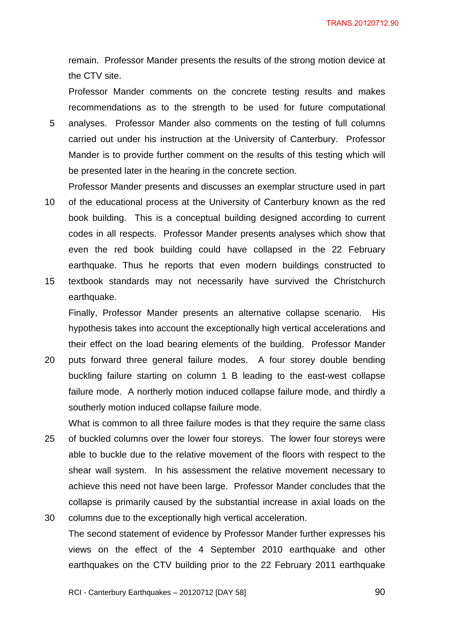remain. Professor Mander presents the results of the strong motion device at the CTV site.

Professor Mander comments on the concrete testing results and makes recommendations as to the strength to be used for future computational 5 analyses. Professor Mander also comments on the testing of full columns carried out under his instruction at the University of Canterbury. Professor Mander is to provide further comment on the results of this testing which will

Professor Mander presents and discusses an exemplar structure used in part 10 of the educational process at the University of Canterbury known as the red book building. This is a conceptual building designed according to current codes in all respects. Professor Mander presents analyses which show that even the red book building could have collapsed in the 22 February earthquake. Thus he reports that even modern buildings constructed to

be presented later in the hearing in the concrete section.

15 textbook standards may not necessarily have survived the Christchurch earthquake.

Finally, Professor Mander presents an alternative collapse scenario. His hypothesis takes into account the exceptionally high vertical accelerations and their effect on the load bearing elements of the building. Professor Mander

- 20 puts forward three general failure modes. A four storey double bending buckling failure starting on column 1 B leading to the east-west collapse failure mode. A northerly motion induced collapse failure mode, and thirdly a southerly motion induced collapse failure mode.
- What is common to all three failure modes is that they require the same class 25 of buckled columns over the lower four storeys. The lower four storeys were able to buckle due to the relative movement of the floors with respect to the shear wall system. In his assessment the relative movement necessary to achieve this need not have been large. Professor Mander concludes that the collapse is primarily caused by the substantial increase in axial loads on the
- 30 columns due to the exceptionally high vertical acceleration. The second statement of evidence by Professor Mander further expresses his views on the effect of the 4 September 2010 earthquake and other earthquakes on the CTV building prior to the 22 February 2011 earthquake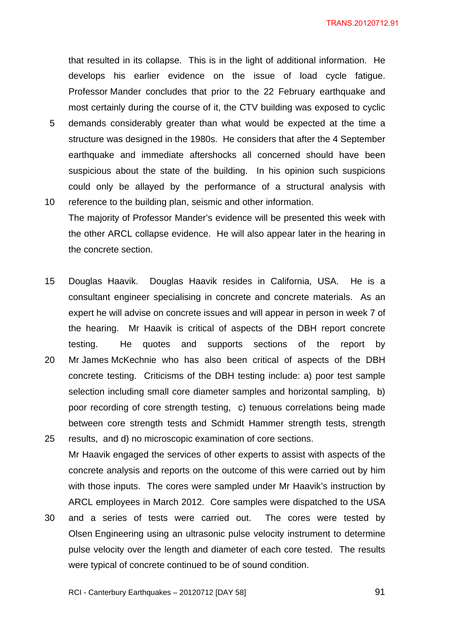that resulted in its collapse. This is in the light of additional information. He develops his earlier evidence on the issue of load cycle fatigue. Professor Mander concludes that prior to the 22 February earthquake and most certainly during the course of it, the CTV building was exposed to cyclic

- 5 demands considerably greater than what would be expected at the time a structure was designed in the 1980s. He considers that after the 4 September earthquake and immediate aftershocks all concerned should have been suspicious about the state of the building. In his opinion such suspicions could only be allayed by the performance of a structural analysis with
- 10 reference to the building plan, seismic and other information. The majority of Professor Mander's evidence will be presented this week with the other ARCL collapse evidence. He will also appear later in the hearing in the concrete section.
- 15 Douglas Haavik. Douglas Haavik resides in California, USA. He is a consultant engineer specialising in concrete and concrete materials. As an expert he will advise on concrete issues and will appear in person in week 7 of the hearing. Mr Haavik is critical of aspects of the DBH report concrete testing. He quotes and supports sections of the report by 20 Mr James McKechnie who has also been critical of aspects of the DBH
- concrete testing. Criticisms of the DBH testing include: a) poor test sample selection including small core diameter samples and horizontal sampling, b) poor recording of core strength testing, c) tenuous correlations being made between core strength tests and Schmidt Hammer strength tests, strength 25 results, and d) no microscopic examination of core sections.
- Mr Haavik engaged the services of other experts to assist with aspects of the concrete analysis and reports on the outcome of this were carried out by him with those inputs. The cores were sampled under Mr Haavik's instruction by ARCL employees in March 2012. Core samples were dispatched to the USA
- 30 and a series of tests were carried out. The cores were tested by Olsen Engineering using an ultrasonic pulse velocity instrument to determine pulse velocity over the length and diameter of each core tested. The results were typical of concrete continued to be of sound condition.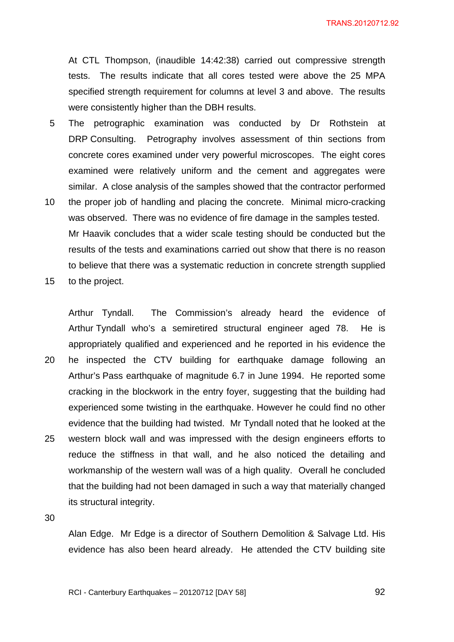At CTL Thompson, (inaudible 14:42:38) carried out compressive strength tests. The results indicate that all cores tested were above the 25 MPA specified strength requirement for columns at level 3 and above. The results were consistently higher than the DBH results.

- 5 The petrographic examination was conducted by Dr Rothstein at DRP Consulting. Petrography involves assessment of thin sections from concrete cores examined under very powerful microscopes. The eight cores examined were relatively uniform and the cement and aggregates were similar. A close analysis of the samples showed that the contractor performed
- 10 the proper job of handling and placing the concrete. Minimal micro-cracking was observed. There was no evidence of fire damage in the samples tested. Mr Haavik concludes that a wider scale testing should be conducted but the results of the tests and examinations carried out show that there is no reason to believe that there was a systematic reduction in concrete strength supplied
- 15 to the project.

Arthur Tyndall. The Commission's already heard the evidence of Arthur Tyndall who's a semiretired structural engineer aged 78. He is appropriately qualified and experienced and he reported in his evidence the 20 he inspected the CTV building for earthquake damage following an Arthur's Pass earthquake of magnitude 6.7 in June 1994. He reported some cracking in the blockwork in the entry foyer, suggesting that the building had experienced some twisting in the earthquake. However he could find no other evidence that the building had twisted. Mr Tyndall noted that he looked at the 25 western block wall and was impressed with the design engineers efforts to reduce the stiffness in that wall, and he also noticed the detailing and workmanship of the western wall was of a high quality. Overall he concluded that the building had not been damaged in such a way that materially changed its structural integrity.

30

Alan Edge. Mr Edge is a director of Southern Demolition & Salvage Ltd. His evidence has also been heard already. He attended the CTV building site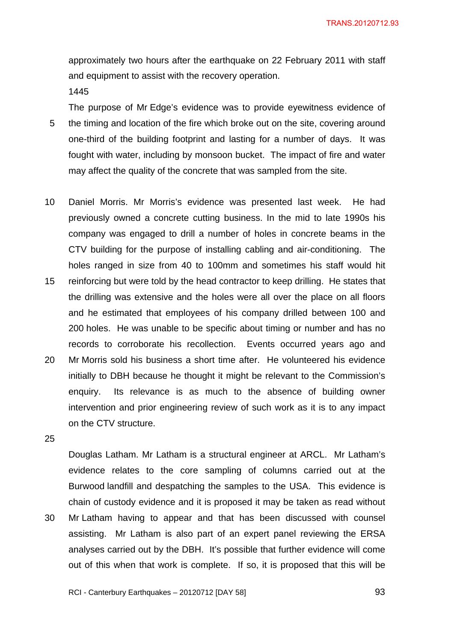approximately two hours after the earthquake on 22 February 2011 with staff and equipment to assist with the recovery operation.

1445

The purpose of Mr Edge's evidence was to provide eyewitness evidence of 5 the timing and location of the fire which broke out on the site, covering around one-third of the building footprint and lasting for a number of days. It was fought with water, including by monsoon bucket. The impact of fire and water may affect the quality of the concrete that was sampled from the site.

- 10 Daniel Morris. Mr Morris's evidence was presented last week. He had previously owned a concrete cutting business. In the mid to late 1990s his company was engaged to drill a number of holes in concrete beams in the CTV building for the purpose of installing cabling and air-conditioning. The holes ranged in size from 40 to 100mm and sometimes his staff would hit
- 15 reinforcing but were told by the head contractor to keep drilling. He states that the drilling was extensive and the holes were all over the place on all floors and he estimated that employees of his company drilled between 100 and 200 holes. He was unable to be specific about timing or number and has no records to corroborate his recollection. Events occurred years ago and
- 20 Mr Morris sold his business a short time after. He volunteered his evidence initially to DBH because he thought it might be relevant to the Commission's enquiry. Its relevance is as much to the absence of building owner intervention and prior engineering review of such work as it is to any impact on the CTV structure.
- 25

Douglas Latham. Mr Latham is a structural engineer at ARCL. Mr Latham's evidence relates to the core sampling of columns carried out at the Burwood landfill and despatching the samples to the USA. This evidence is chain of custody evidence and it is proposed it may be taken as read without 30 Mr Latham having to appear and that has been discussed with counsel assisting. Mr Latham is also part of an expert panel reviewing the ERSA analyses carried out by the DBH. It's possible that further evidence will come out of this when that work is complete. If so, it is proposed that this will be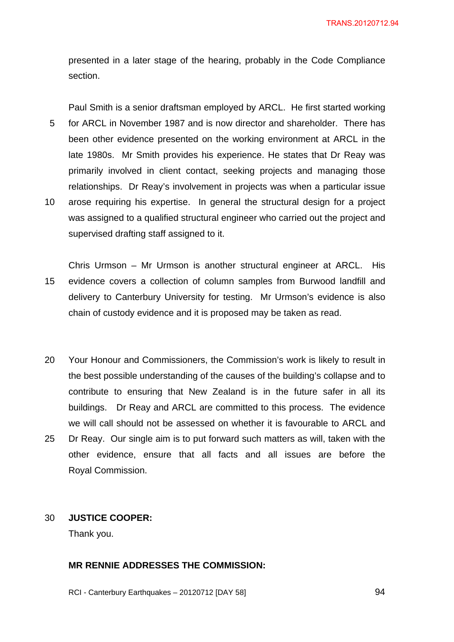presented in a later stage of the hearing, probably in the Code Compliance section.

Paul Smith is a senior draftsman employed by ARCL. He first started working 5 for ARCL in November 1987 and is now director and shareholder. There has been other evidence presented on the working environment at ARCL in the late 1980s. Mr Smith provides his experience. He states that Dr Reay was primarily involved in client contact, seeking projects and managing those relationships. Dr Reay's involvement in projects was when a particular issue 10 arose requiring his expertise. In general the structural design for a project was assigned to a qualified structural engineer who carried out the project and supervised drafting staff assigned to it.

Chris Urmson – Mr Urmson is another structural engineer at ARCL. His 15 evidence covers a collection of column samples from Burwood landfill and delivery to Canterbury University for testing. Mr Urmson's evidence is also chain of custody evidence and it is proposed may be taken as read.

- 20 Your Honour and Commissioners, the Commission's work is likely to result in the best possible understanding of the causes of the building's collapse and to contribute to ensuring that New Zealand is in the future safer in all its buildings. Dr Reay and ARCL are committed to this process. The evidence we will call should not be assessed on whether it is favourable to ARCL and 25 Dr Reay. Our single aim is to put forward such matters as will, taken with the
- other evidence, ensure that all facts and all issues are before the Royal Commission.

### 30 **JUSTICE COOPER:**

Thank you.

# **MR RENNIE ADDRESSES THE COMMISSION:**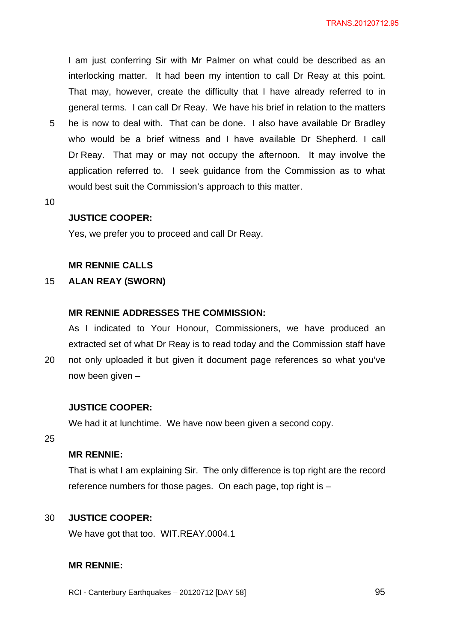I am just conferring Sir with Mr Palmer on what could be described as an interlocking matter. It had been my intention to call Dr Reay at this point. That may, however, create the difficulty that I have already referred to in general terms. I can call Dr Reay. We have his brief in relation to the matters

- 5 he is now to deal with. That can be done. I also have available Dr Bradley who would be a brief witness and I have available Dr Shepherd. I call Dr Reay. That may or may not occupy the afternoon. It may involve the application referred to. I seek guidance from the Commission as to what would best suit the Commission's approach to this matter.
- 10

#### **JUSTICE COOPER:**

Yes, we prefer you to proceed and call Dr Reay.

### **MR RENNIE CALLS**

# 15 **ALAN REAY (SWORN)**

#### **MR RENNIE ADDRESSES THE COMMISSION:**

As I indicated to Your Honour, Commissioners, we have produced an extracted set of what Dr Reay is to read today and the Commission staff have

20 not only uploaded it but given it document page references so what you've now been given –

### **JUSTICE COOPER:**

We had it at lunchtime. We have now been given a second copy.

25

# **MR RENNIE:**

That is what I am explaining Sir. The only difference is top right are the record reference numbers for those pages. On each page, top right is –

### 30 **JUSTICE COOPER:**

We have got that too. WIT.REAY.0004.1

## **MR RENNIE:**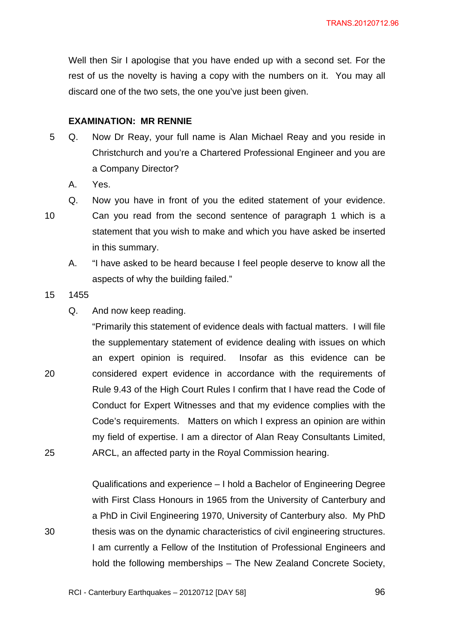Well then Sir I apologise that you have ended up with a second set. For the rest of us the novelty is having a copy with the numbers on it. You may all discard one of the two sets, the one you've just been given.

#### **EXAMINATION: MR RENNIE**

- 5 Q. Now Dr Reay, your full name is Alan Michael Reay and you reside in Christchurch and you're a Chartered Professional Engineer and you are a Company Director?
	- A. Yes.
	- Q. Now you have in front of you the edited statement of your evidence.

10 Can you read from the second sentence of paragraph 1 which is a statement that you wish to make and which you have asked be inserted in this summary.

A. "I have asked to be heard because I feel people deserve to know all the aspects of why the building failed."

- 15 1455
	- Q. And now keep reading.

"Primarily this statement of evidence deals with factual matters. I will file the supplementary statement of evidence dealing with issues on which an expert opinion is required. Insofar as this evidence can be 20 considered expert evidence in accordance with the requirements of Rule 9.43 of the High Court Rules I confirm that I have read the Code of Conduct for Expert Witnesses and that my evidence complies with the Code's requirements. Matters on which I express an opinion are within my field of expertise. I am a director of Alan Reay Consultants Limited, 25 ARCL, an affected party in the Royal Commission hearing.

Qualifications and experience – I hold a Bachelor of Engineering Degree with First Class Honours in 1965 from the University of Canterbury and a PhD in Civil Engineering 1970, University of Canterbury also. My PhD 30 thesis was on the dynamic characteristics of civil engineering structures. I am currently a Fellow of the Institution of Professional Engineers and hold the following memberships – The New Zealand Concrete Society,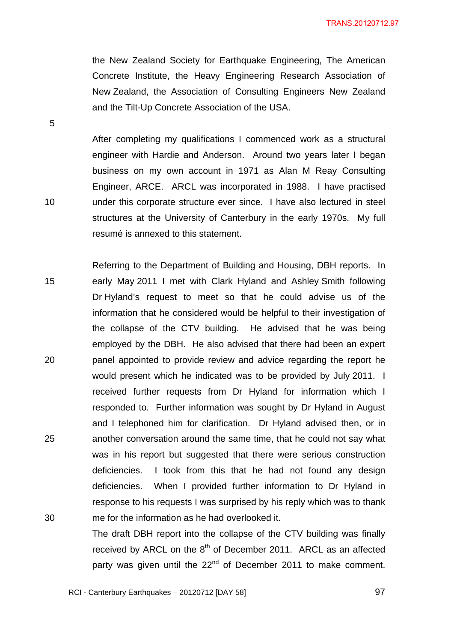the New Zealand Society for Earthquake Engineering, The American Concrete Institute, the Heavy Engineering Research Association of New Zealand, the Association of Consulting Engineers New Zealand and the Tilt-Up Concrete Association of the USA.

After completing my qualifications I commenced work as a structural engineer with Hardie and Anderson. Around two years later I began business on my own account in 1971 as Alan M Reay Consulting Engineer, ARCE. ARCL was incorporated in 1988. I have practised 10 under this corporate structure ever since. I have also lectured in steel structures at the University of Canterbury in the early 1970s. My full resumé is annexed to this statement.

Referring to the Department of Building and Housing, DBH reports. In 15 early May 2011 I met with Clark Hyland and Ashley Smith following Dr Hyland's request to meet so that he could advise us of the information that he considered would be helpful to their investigation of the collapse of the CTV building. He advised that he was being employed by the DBH. He also advised that there had been an expert 20 panel appointed to provide review and advice regarding the report he would present which he indicated was to be provided by July 2011. I received further requests from Dr Hyland for information which I responded to. Further information was sought by Dr Hyland in August and I telephoned him for clarification. Dr Hyland advised then, or in 25 another conversation around the same time, that he could not say what was in his report but suggested that there were serious construction deficiencies. I took from this that he had not found any design deficiencies. When I provided further information to Dr Hyland in response to his requests I was surprised by his reply which was to thank 30 me for the information as he had overlooked it.

The draft DBH report into the collapse of the CTV building was finally received by ARCL on the  $8<sup>th</sup>$  of December 2011. ARCL as an affected party was given until the 22<sup>nd</sup> of December 2011 to make comment.

5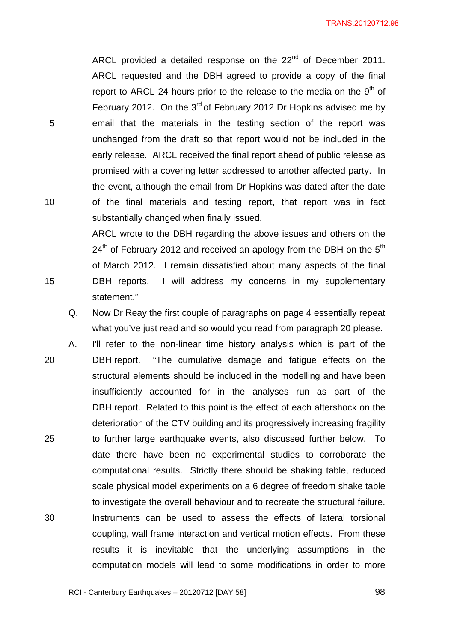ARCL provided a detailed response on the 22<sup>nd</sup> of December 2011. ARCL requested and the DBH agreed to provide a copy of the final report to ARCL 24 hours prior to the release to the media on the  $9<sup>th</sup>$  of February 2012. On the  $3<sup>rd</sup>$  of February 2012 Dr Hopkins advised me by 5 email that the materials in the testing section of the report was unchanged from the draft so that report would not be included in the early release. ARCL received the final report ahead of public release as promised with a covering letter addressed to another affected party. In the event, although the email from Dr Hopkins was dated after the date 10 of the final materials and testing report, that report was in fact substantially changed when finally issued.

ARCL wrote to the DBH regarding the above issues and others on the  $24<sup>th</sup>$  of February 2012 and received an apology from the DBH on the  $5<sup>th</sup>$ of March 2012. I remain dissatisfied about many aspects of the final 15 DBH reports. I will address my concerns in my supplementary statement."

- Q. Now Dr Reay the first couple of paragraphs on page 4 essentially repeat what you've just read and so would you read from paragraph 20 please.
- A. I'll refer to the non-linear time history analysis which is part of the 20 DBH report. "The cumulative damage and fatigue effects on the structural elements should be included in the modelling and have been insufficiently accounted for in the analyses run as part of the DBH report. Related to this point is the effect of each aftershock on the deterioration of the CTV building and its progressively increasing fragility 25 to further large earthquake events, also discussed further below. To date there have been no experimental studies to corroborate the computational results. Strictly there should be shaking table, reduced scale physical model experiments on a 6 degree of freedom shake table to investigate the overall behaviour and to recreate the structural failure. 30 Instruments can be used to assess the effects of lateral torsional coupling, wall frame interaction and vertical motion effects. From these results it is inevitable that the underlying assumptions in the computation models will lead to some modifications in order to more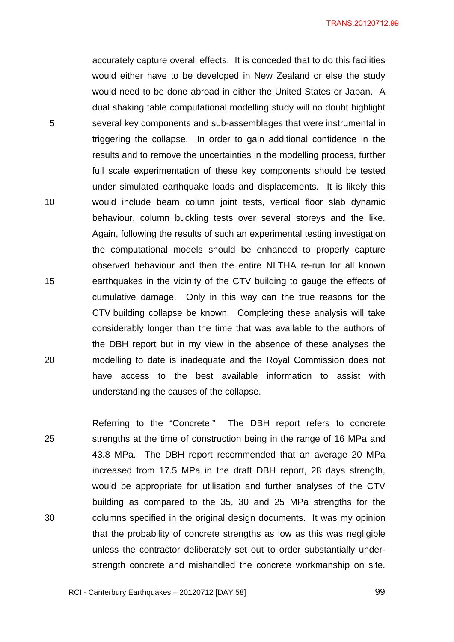accurately capture overall effects. It is conceded that to do this facilities would either have to be developed in New Zealand or else the study would need to be done abroad in either the United States or Japan. A dual shaking table computational modelling study will no doubt highlight 5 several key components and sub-assemblages that were instrumental in triggering the collapse. In order to gain additional confidence in the results and to remove the uncertainties in the modelling process, further full scale experimentation of these key components should be tested under simulated earthquake loads and displacements. It is likely this 10 would include beam column joint tests, vertical floor slab dynamic behaviour, column buckling tests over several storeys and the like. Again, following the results of such an experimental testing investigation the computational models should be enhanced to properly capture observed behaviour and then the entire NLTHA re-run for all known 15 earthquakes in the vicinity of the CTV building to gauge the effects of cumulative damage. Only in this way can the true reasons for the CTV building collapse be known. Completing these analysis will take considerably longer than the time that was available to the authors of the DBH report but in my view in the absence of these analyses the 20 modelling to date is inadequate and the Royal Commission does not have access to the best available information to assist with understanding the causes of the collapse.

Referring to the "Concrete." The DBH report refers to concrete 25 strengths at the time of construction being in the range of 16 MPa and 43.8 MPa. The DBH report recommended that an average 20 MPa increased from 17.5 MPa in the draft DBH report, 28 days strength, would be appropriate for utilisation and further analyses of the CTV building as compared to the 35, 30 and 25 MPa strengths for the 30 columns specified in the original design documents. It was my opinion that the probability of concrete strengths as low as this was negligible unless the contractor deliberately set out to order substantially understrength concrete and mishandled the concrete workmanship on site.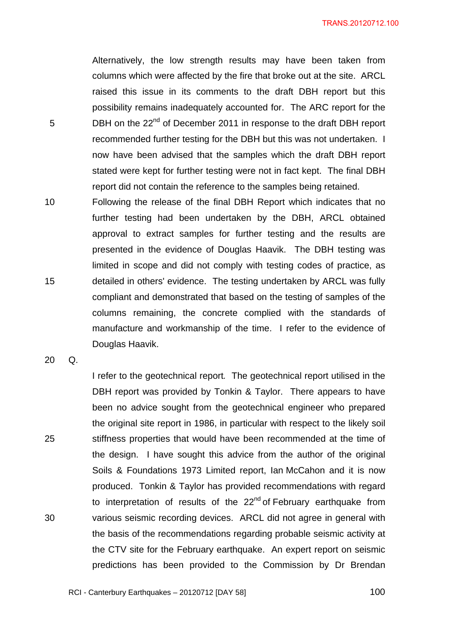Alternatively, the low strength results may have been taken from columns which were affected by the fire that broke out at the site. ARCL raised this issue in its comments to the draft DBH report but this possibility remains inadequately accounted for. The ARC report for the 5 **DBH** on the 22<sup>nd</sup> of December 2011 in response to the draft DBH report recommended further testing for the DBH but this was not undertaken. I now have been advised that the samples which the draft DBH report stated were kept for further testing were not in fact kept. The final DBH report did not contain the reference to the samples being retained.

10 Following the release of the final DBH Report which indicates that no further testing had been undertaken by the DBH, ARCL obtained approval to extract samples for further testing and the results are presented in the evidence of Douglas Haavik. The DBH testing was limited in scope and did not comply with testing codes of practice, as 15 detailed in others' evidence. The testing undertaken by ARCL was fully compliant and demonstrated that based on the testing of samples of the columns remaining, the concrete complied with the standards of manufacture and workmanship of the time. I refer to the evidence of Douglas Haavik.

I refer to the geotechnical report*.* The geotechnical report utilised in the

DBH report was provided by Tonkin & Taylor. There appears to have

been no advice sought from the geotechnical engineer who prepared

20 Q.

the original site report in 1986, in particular with respect to the likely soil 25 stiffness properties that would have been recommended at the time of the design. I have sought this advice from the author of the original Soils & Foundations 1973 Limited report, Ian McCahon and it is now produced. Tonkin & Taylor has provided recommendations with regard to interpretation of results of the  $22<sup>nd</sup>$  of February earthquake from 30 various seismic recording devices. ARCL did not agree in general with the basis of the recommendations regarding probable seismic activity at the CTV site for the February earthquake. An expert report on seismic predictions has been provided to the Commission by Dr Brendan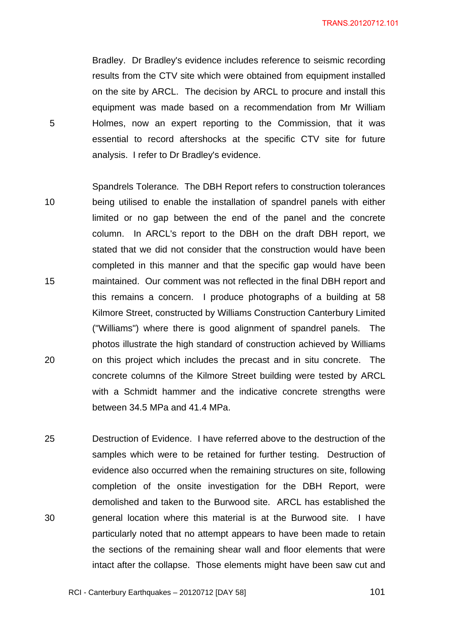Bradley. Dr Bradley's evidence includes reference to seismic recording results from the CTV site which were obtained from equipment installed on the site by ARCL. The decision by ARCL to procure and install this equipment was made based on a recommendation from Mr William 5 Holmes, now an expert reporting to the Commission, that it was essential to record aftershocks at the specific CTV site for future analysis. I refer to Dr Bradley's evidence.

- Spandrels Tolerance*.* The DBH Report refers to construction tolerances 10 being utilised to enable the installation of spandrel panels with either limited or no gap between the end of the panel and the concrete column. In ARCL's report to the DBH on the draft DBH report, we stated that we did not consider that the construction would have been completed in this manner and that the specific gap would have been 15 maintained. Our comment was not reflected in the final DBH report and this remains a concern. I produce photographs of a building at 58 Kilmore Street, constructed by Williams Construction Canterbury Limited ("Williams") where there is good alignment of spandrel panels. The photos illustrate the high standard of construction achieved by Williams 20 on this project which includes the precast and in situ concrete. The concrete columns of the Kilmore Street building were tested by ARCL with a Schmidt hammer and the indicative concrete strengths were between 34.5 MPa and 41.4 MPa.
- 25 Destruction of Evidence. I have referred above to the destruction of the samples which were to be retained for further testing. Destruction of evidence also occurred when the remaining structures on site, following completion of the onsite investigation for the DBH Report, were demolished and taken to the Burwood site. ARCL has established the 30 general location where this material is at the Burwood site. I have particularly noted that no attempt appears to have been made to retain the sections of the remaining shear wall and floor elements that were intact after the collapse. Those elements might have been saw cut and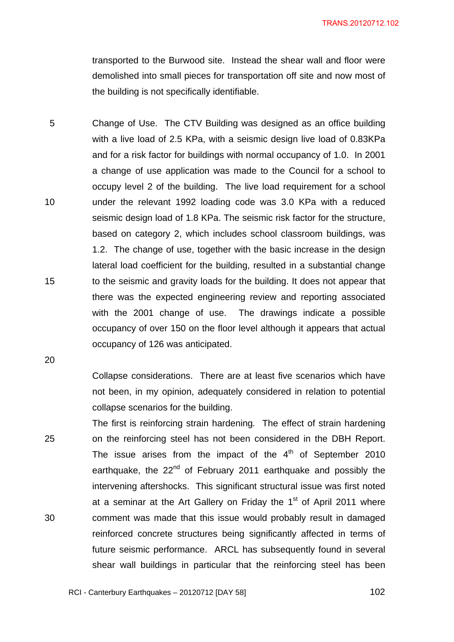transported to the Burwood site. Instead the shear wall and floor were demolished into small pieces for transportation off site and now most of the building is not specifically identifiable.

5 Change of Use. The CTV Building was designed as an office building with a live load of 2.5 KPa, with a seismic design live load of 0.83KPa and for a risk factor for buildings with normal occupancy of 1.0. In 2001 a change of use application was made to the Council for a school to occupy level 2 of the building. The live load requirement for a school 10 under the relevant 1992 loading code was 3.0 KPa with a reduced seismic design load of 1.8 KPa. The seismic risk factor for the structure, based on category 2, which includes school classroom buildings, was 1.2. The change of use, together with the basic increase in the design lateral load coefficient for the building, resulted in a substantial change 15 to the seismic and gravity loads for the building. It does not appear that there was the expected engineering review and reporting associated with the 2001 change of use. The drawings indicate a possible occupancy of over 150 on the floor level although it appears that actual occupancy of 126 was anticipated.

20

Collapse considerations. There are at least five scenarios which have not been, in my opinion, adequately considered in relation to potential collapse scenarios for the building.

The first is reinforcing strain hardening*.* The effect of strain hardening 25 on the reinforcing steel has not been considered in the DBH Report. The issue arises from the impact of the  $4<sup>th</sup>$  of September 2010 earthquake, the  $22<sup>nd</sup>$  of February 2011 earthquake and possibly the intervening aftershocks. This significant structural issue was first noted at a seminar at the Art Gallery on Friday the  $1<sup>st</sup>$  of April 2011 where 30 comment was made that this issue would probably result in damaged reinforced concrete structures being significantly affected in terms of future seismic performance. ARCL has subsequently found in several shear wall buildings in particular that the reinforcing steel has been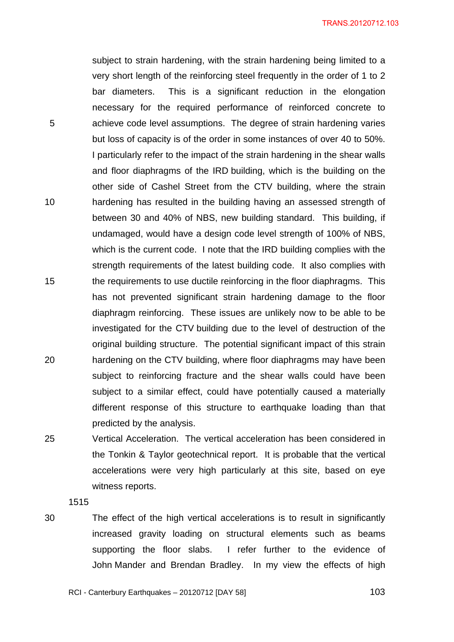subject to strain hardening, with the strain hardening being limited to a very short length of the reinforcing steel frequently in the order of 1 to 2 bar diameters. This is a significant reduction in the elongation necessary for the required performance of reinforced concrete to 5 achieve code level assumptions. The degree of strain hardening varies but loss of capacity is of the order in some instances of over 40 to 50%. I particularly refer to the impact of the strain hardening in the shear walls and floor diaphragms of the IRD building, which is the building on the other side of Cashel Street from the CTV building, where the strain 10 hardening has resulted in the building having an assessed strength of between 30 and 40% of NBS, new building standard. This building, if undamaged, would have a design code level strength of 100% of NBS, which is the current code. I note that the IRD building complies with the strength requirements of the latest building code. It also complies with 15 the requirements to use ductile reinforcing in the floor diaphragms. This has not prevented significant strain hardening damage to the floor diaphragm reinforcing. These issues are unlikely now to be able to be investigated for the CTV building due to the level of destruction of the original building structure. The potential significant impact of this strain 20 hardening on the CTV building, where floor diaphragms may have been subject to reinforcing fracture and the shear walls could have been subject to a similar effect, could have potentially caused a materially different response of this structure to earthquake loading than that predicted by the analysis.

25 Vertical Acceleration. The vertical acceleration has been considered in the Tonkin & Taylor geotechnical report. It is probable that the vertical accelerations were very high particularly at this site, based on eye witness reports.

1515

30 The effect of the high vertical accelerations is to result in significantly increased gravity loading on structural elements such as beams supporting the floor slabs. I refer further to the evidence of John Mander and Brendan Bradley. In my view the effects of high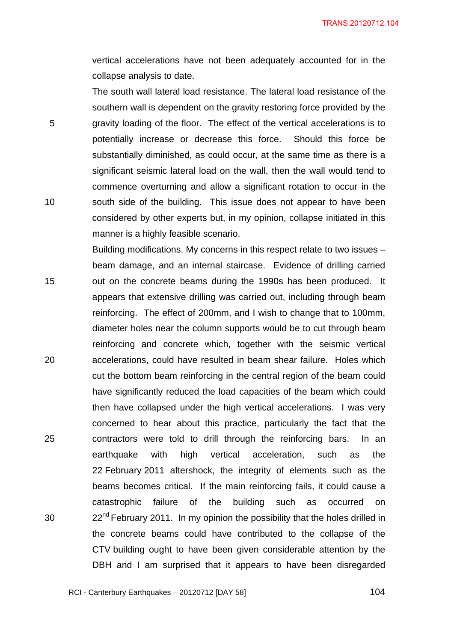vertical accelerations have not been adequately accounted for in the collapse analysis to date.

The south wall lateral load resistance. The lateral load resistance of the southern wall is dependent on the gravity restoring force provided by the 5 gravity loading of the floor. The effect of the vertical accelerations is to potentially increase or decrease this force. Should this force be substantially diminished, as could occur, at the same time as there is a significant seismic lateral load on the wall, then the wall would tend to commence overturning and allow a significant rotation to occur in the 10 south side of the building. This issue does not appear to have been considered by other experts but, in my opinion, collapse initiated in this manner is a highly feasible scenario.

Building modifications. My concerns in this respect relate to two issues – beam damage, and an internal staircase. Evidence of drilling carried 15 out on the concrete beams during the 1990s has been produced. It appears that extensive drilling was carried out, including through beam reinforcing. The effect of 200mm, and I wish to change that to 100mm, diameter holes near the column supports would be to cut through beam reinforcing and concrete which, together with the seismic vertical 20 accelerations, could have resulted in beam shear failure. Holes which cut the bottom beam reinforcing in the central region of the beam could have significantly reduced the load capacities of the beam which could then have collapsed under the high vertical accelerations. I was very concerned to hear about this practice, particularly the fact that the 25 contractors were told to drill through the reinforcing bars. In an earthquake with high vertical acceleration, such as the 22 February 2011 aftershock, the integrity of elements such as the beams becomes critical. If the main reinforcing fails, it could cause a catastrophic failure of the building such as occurred on 30  $22^{nd}$  February 2011. In my opinion the possibility that the holes drilled in the concrete beams could have contributed to the collapse of the CTV building ought to have been given considerable attention by the DBH and I am surprised that it appears to have been disregarded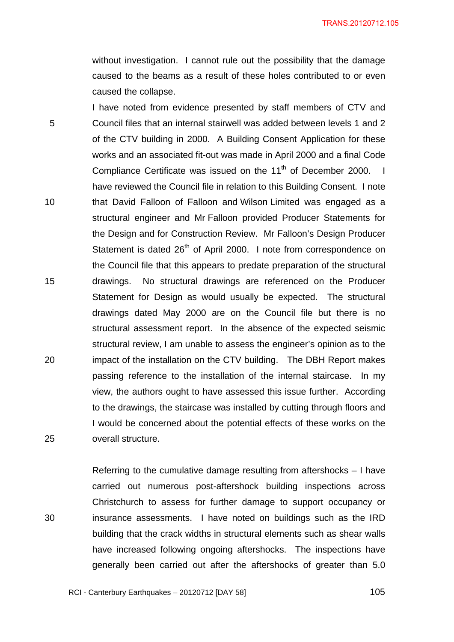without investigation. I cannot rule out the possibility that the damage caused to the beams as a result of these holes contributed to or even caused the collapse.

I have noted from evidence presented by staff members of CTV and 5 Council files that an internal stairwell was added between levels 1 and 2 of the CTV building in 2000. A Building Consent Application for these works and an associated fit-out was made in April 2000 and a final Code Compliance Certificate was issued on the  $11<sup>th</sup>$  of December 2000. I have reviewed the Council file in relation to this Building Consent. I note 10 that David Falloon of Falloon and Wilson Limited was engaged as a structural engineer and Mr Falloon provided Producer Statements for the Design and for Construction Review. Mr Falloon's Design Producer Statement is dated 26<sup>th</sup> of April 2000. I note from correspondence on the Council file that this appears to predate preparation of the structural 15 drawings. No structural drawings are referenced on the Producer Statement for Design as would usually be expected. The structural drawings dated May 2000 are on the Council file but there is no structural assessment report. In the absence of the expected seismic structural review, I am unable to assess the engineer's opinion as to the 20 impact of the installation on the CTV building. The DBH Report makes passing reference to the installation of the internal staircase. In my view, the authors ought to have assessed this issue further. According to the drawings, the staircase was installed by cutting through floors and I would be concerned about the potential effects of these works on the 25 overall structure.

Referring to the cumulative damage resulting from aftershocks – I have carried out numerous post-aftershock building inspections across Christchurch to assess for further damage to support occupancy or 30 insurance assessments. I have noted on buildings such as the IRD building that the crack widths in structural elements such as shear walls have increased following ongoing aftershocks. The inspections have generally been carried out after the aftershocks of greater than 5.0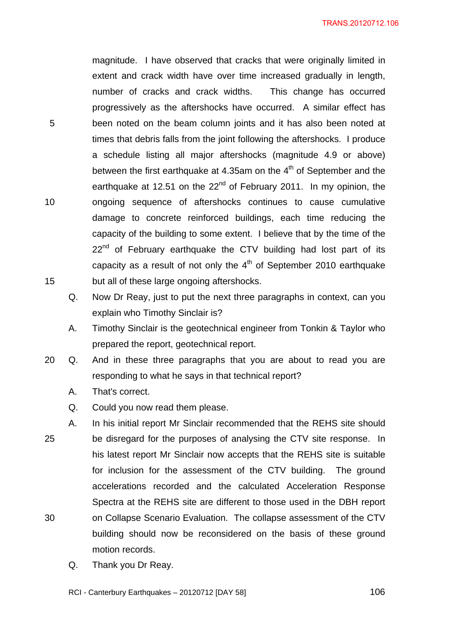magnitude. I have observed that cracks that were originally limited in extent and crack width have over time increased gradually in length, number of cracks and crack widths. This change has occurred progressively as the aftershocks have occurred. A similar effect has 5 been noted on the beam column joints and it has also been noted at times that debris falls from the joint following the aftershocks. I produce a schedule listing all major aftershocks (magnitude 4.9 or above) between the first earthquake at 4.35am on the  $4<sup>th</sup>$  of September and the earthquake at 12.51 on the  $22<sup>nd</sup>$  of February 2011. In my opinion, the 10 ongoing sequence of aftershocks continues to cause cumulative damage to concrete reinforced buildings, each time reducing the capacity of the building to some extent. I believe that by the time of the  $22<sup>nd</sup>$  of February earthquake the CTV building had lost part of its capacity as a result of not only the  $4<sup>th</sup>$  of September 2010 earthquake 15 but all of these large ongoing aftershocks.

- Q. Now Dr Reay, just to put the next three paragraphs in context, can you explain who Timothy Sinclair is?
- A. Timothy Sinclair is the geotechnical engineer from Tonkin & Taylor who prepared the report, geotechnical report.
- 20 Q. And in these three paragraphs that you are about to read you are responding to what he says in that technical report?
	- A. That's correct.
	- Q. Could you now read them please.
- A. In his initial report Mr Sinclair recommended that the REHS site should 25 be disregard for the purposes of analysing the CTV site response. In his latest report Mr Sinclair now accepts that the REHS site is suitable for inclusion for the assessment of the CTV building. The ground accelerations recorded and the calculated Acceleration Response Spectra at the REHS site are different to those used in the DBH report 30 on Collapse Scenario Evaluation. The collapse assessment of the CTV building should now be reconsidered on the basis of these ground motion records.
	- Q. Thank you Dr Reay.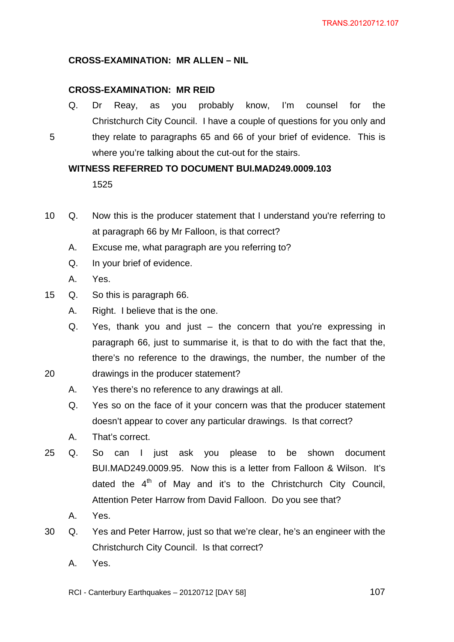# **CROSS-EXAMINATION: MR ALLEN – NIL**

### **CROSS-EXAMINATION: MR REID**

Q. Dr Reay, as you probably know, I'm counsel for the Christchurch City Council. I have a couple of questions for you only and 5 they relate to paragraphs 65 and 66 of your brief of evidence. This is where you're talking about the cut-out for the stairs.

### **WITNESS REFERRED TO DOCUMENT BUI.MAD249.0009.103**

1525

- 10 Q. Now this is the producer statement that I understand you're referring to at paragraph 66 by Mr Falloon, is that correct?
	- A. Excuse me, what paragraph are you referring to?
	- Q. In your brief of evidence.
	- A. Yes.
- 15 Q. So this is paragraph 66.
	- A. Right. I believe that is the one.
- Q. Yes, thank you and just the concern that you're expressing in paragraph 66, just to summarise it, is that to do with the fact that the, there's no reference to the drawings, the number, the number of the 20 drawings in the producer statement?
- - A. Yes there's no reference to any drawings at all.
	- Q. Yes so on the face of it your concern was that the producer statement doesn't appear to cover any particular drawings. Is that correct?
	- A. That's correct.
- 25 Q. So can I just ask you please to be shown document BUI.MAD249.0009.95. Now this is a letter from Falloon & Wilson. It's dated the  $4<sup>th</sup>$  of May and it's to the Christchurch City Council, Attention Peter Harrow from David Falloon. Do you see that?
	- A. Yes.
- 30 Q. Yes and Peter Harrow, just so that we're clear, he's an engineer with the Christchurch City Council. Is that correct?
	- A. Yes.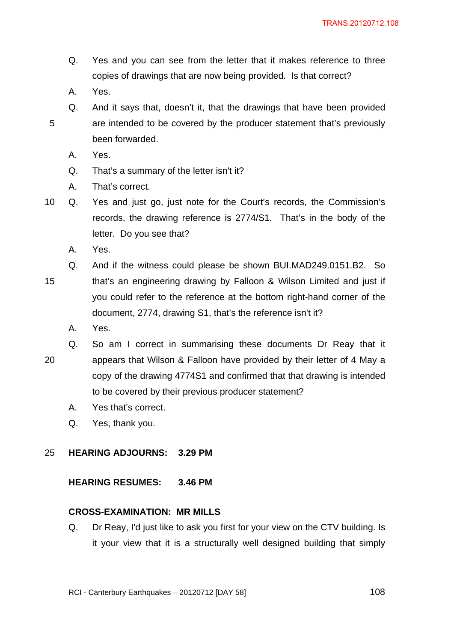- Q. Yes and you can see from the letter that it makes reference to three copies of drawings that are now being provided. Is that correct?
- A. Yes.
- Q. And it says that, doesn't it, that the drawings that have been provided 5 are intended to be covered by the producer statement that's previously been forwarded.
	- A. Yes.
	- Q. That's a summary of the letter isn't it?
	- A. That's correct.
- 10 Q. Yes and just go, just note for the Court's records, the Commission's records, the drawing reference is 2774/S1. That's in the body of the letter. Do you see that?
	- A. Yes.
- Q. And if the witness could please be shown BUI.MAD249.0151.B2. So 15 that's an engineering drawing by Falloon & Wilson Limited and just if you could refer to the reference at the bottom right-hand corner of the document, 2774, drawing S1, that's the reference isn't it?
	- A. Yes.

Q. So am I correct in summarising these documents Dr Reay that it 20 appears that Wilson & Falloon have provided by their letter of 4 May a copy of the drawing 4774S1 and confirmed that that drawing is intended to be covered by their previous producer statement?

- A. Yes that's correct.
- Q. Yes, thank you.

### 25 **HEARING ADJOURNS: 3.29 PM**

## **HEARING RESUMES: 3.46 PM**

### **CROSS-EXAMINATION: MR MILLS**

Q. Dr Reay, I'd just like to ask you first for your view on the CTV building. Is it your view that it is a structurally well designed building that simply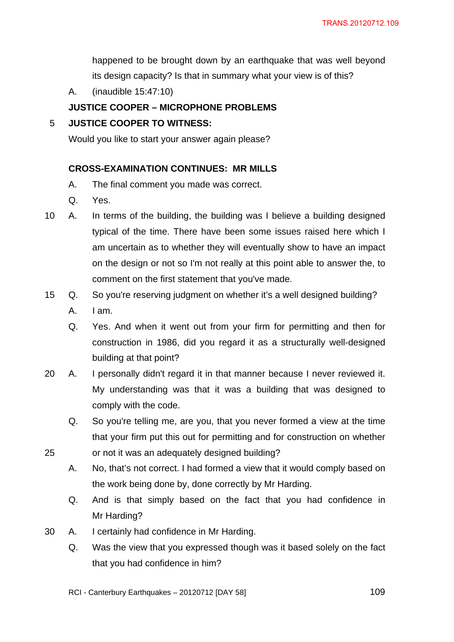happened to be brought down by an earthquake that was well beyond its design capacity? Is that in summary what your view is of this?

A. (inaudible 15:47:10)

### **JUSTICE COOPER – MICROPHONE PROBLEMS**

### 5 **JUSTICE COOPER TO WITNESS:**

Would you like to start your answer again please?

### **CROSS-EXAMINATION CONTINUES: MR MILLS**

- A. The final comment you made was correct.
- Q. Yes.
- 10 A. In terms of the building, the building was I believe a building designed typical of the time. There have been some issues raised here which I am uncertain as to whether they will eventually show to have an impact on the design or not so I'm not really at this point able to answer the, to comment on the first statement that you've made.
- 15 Q. So you're reserving judgment on whether it's a well designed building? A. I am.
	- Q. Yes. And when it went out from your firm for permitting and then for construction in 1986, did you regard it as a structurally well-designed building at that point?
- 20 A. I personally didn't regard it in that manner because I never reviewed it. My understanding was that it was a building that was designed to comply with the code.
- Q. So you're telling me, are you, that you never formed a view at the time that your firm put this out for permitting and for construction on whether 25 or not it was an adequately designed building?
	- A. No, that's not correct. I had formed a view that it would comply based on the work being done by, done correctly by Mr Harding.
	- Q. And is that simply based on the fact that you had confidence in Mr Harding?
- 30 A. I certainly had confidence in Mr Harding.
	- Q. Was the view that you expressed though was it based solely on the fact that you had confidence in him?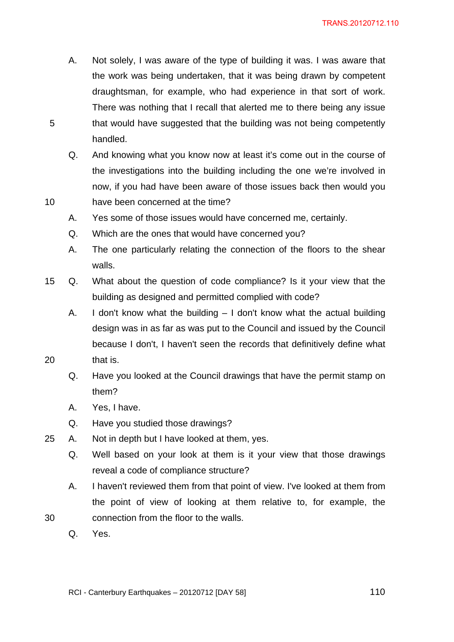- A. Not solely, I was aware of the type of building it was. I was aware that the work was being undertaken, that it was being drawn by competent draughtsman, for example, who had experience in that sort of work. There was nothing that I recall that alerted me to there being any issue 5 that would have suggested that the building was not being competently handled.
- Q. And knowing what you know now at least it's come out in the course of the investigations into the building including the one we're involved in now, if you had have been aware of those issues back then would you 10 have been concerned at the time?
	- A. Yes some of those issues would have concerned me, certainly.
	- Q. Which are the ones that would have concerned you?
	- A. The one particularly relating the connection of the floors to the shear walls.
- 15 Q. What about the question of code compliance? Is it your view that the building as designed and permitted complied with code?
- A. I don't know what the building I don't know what the actual building design was in as far as was put to the Council and issued by the Council because I don't, I haven't seen the records that definitively define what 20 that is.
	- Q. Have you looked at the Council drawings that have the permit stamp on them?
	- A. Yes, I have.
	- Q. Have you studied those drawings?
- 25 A. Not in depth but I have looked at them, yes.
	- Q. Well based on your look at them is it your view that those drawings reveal a code of compliance structure?
- A. I haven't reviewed them from that point of view. I've looked at them from the point of view of looking at them relative to, for example, the 30 connection from the floor to the walls.
	- Q. Yes.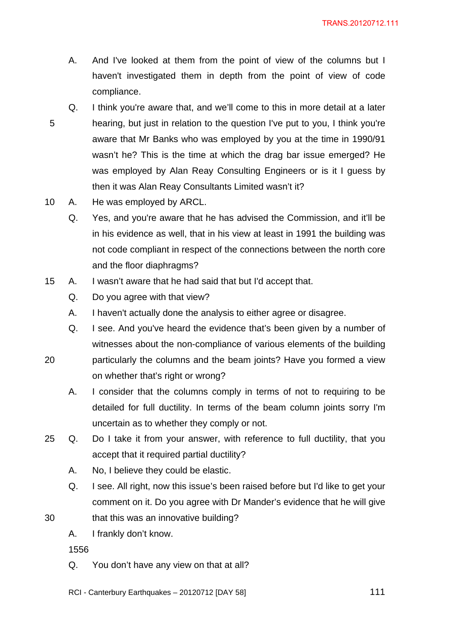- A. And I've looked at them from the point of view of the columns but I haven't investigated them in depth from the point of view of code compliance.
- Q. I think you're aware that, and we'll come to this in more detail at a later 5 hearing, but just in relation to the question I've put to you, I think you're aware that Mr Banks who was employed by you at the time in 1990/91 wasn't he? This is the time at which the drag bar issue emerged? He was employed by Alan Reay Consulting Engineers or is it I guess by then it was Alan Reay Consultants Limited wasn't it?
- 10 A. He was employed by ARCL.
	- Q. Yes, and you're aware that he has advised the Commission, and it'll be in his evidence as well, that in his view at least in 1991 the building was not code compliant in respect of the connections between the north core and the floor diaphragms?
- 15 A. I wasn't aware that he had said that but I'd accept that.
	- Q. Do you agree with that view?
	- A. I haven't actually done the analysis to either agree or disagree.
	- Q. I see. And you've heard the evidence that's been given by a number of witnesses about the non-compliance of various elements of the building
- 20 particularly the columns and the beam joints? Have you formed a view on whether that's right or wrong?
	- A. I consider that the columns comply in terms of not to requiring to be detailed for full ductility. In terms of the beam column joints sorry I'm uncertain as to whether they comply or not.
- 25 Q. Do I take it from your answer, with reference to full ductility, that you accept that it required partial ductility?
	- A. No, I believe they could be elastic.
- Q. I see. All right, now this issue's been raised before but I'd like to get your comment on it. Do you agree with Dr Mander's evidence that he will give 30 that this was an innovative building?
	- A. I frankly don't know.

1556

- Q. You don't have any view on that at all?
- RCI Canterbury Earthquakes  $20120712$  [DAY 58]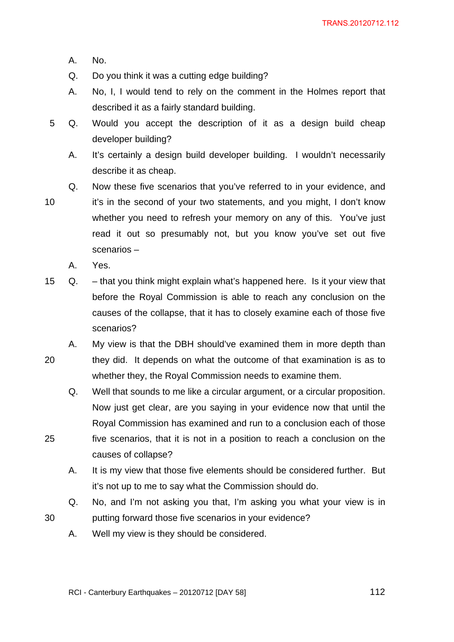- A. No.
- Q. Do you think it was a cutting edge building?
- A. No, I, I would tend to rely on the comment in the Holmes report that described it as a fairly standard building.
- 5 Q. Would you accept the description of it as a design build cheap developer building?
	- A. It's certainly a design build developer building. I wouldn't necessarily describe it as cheap.
	- Q. Now these five scenarios that you've referred to in your evidence, and

- 10 it's in the second of your two statements, and you might, I don't know whether you need to refresh your memory on any of this. You've just read it out so presumably not, but you know you've set out five scenarios –
	- A. Yes.
- 15 Q. that you think might explain what's happened here. Is it your view that before the Royal Commission is able to reach any conclusion on the causes of the collapse, that it has to closely examine each of those five scenarios?
- A. My view is that the DBH should've examined them in more depth than 20 they did. It depends on what the outcome of that examination is as to whether they, the Royal Commission needs to examine them.
- Q. Well that sounds to me like a circular argument, or a circular proposition. Now just get clear, are you saying in your evidence now that until the Royal Commission has examined and run to a conclusion each of those 25 five scenarios, that it is not in a position to reach a conclusion on the causes of collapse?
	- A. It is my view that those five elements should be considered further. But it's not up to me to say what the Commission should do.
- Q. No, and I'm not asking you that, I'm asking you what your view is in 30 putting forward those five scenarios in your evidence?
	- A. Well my view is they should be considered.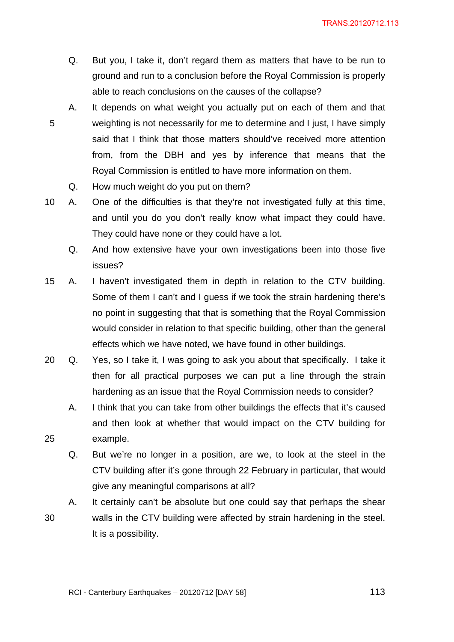- Q. But you, I take it, don't regard them as matters that have to be run to ground and run to a conclusion before the Royal Commission is properly able to reach conclusions on the causes of the collapse?
- A. It depends on what weight you actually put on each of them and that 5 weighting is not necessarily for me to determine and I just, I have simply said that I think that those matters should've received more attention from, from the DBH and yes by inference that means that the Royal Commission is entitled to have more information on them.
	- Q. How much weight do you put on them?

10 A. One of the difficulties is that they're not investigated fully at this time, and until you do you don't really know what impact they could have. They could have none or they could have a lot.

- Q. And how extensive have your own investigations been into those five issues?
- 15 A. I haven't investigated them in depth in relation to the CTV building. Some of them I can't and I guess if we took the strain hardening there's no point in suggesting that that is something that the Royal Commission would consider in relation to that specific building, other than the general effects which we have noted, we have found in other buildings.
- 20 Q. Yes, so I take it, I was going to ask you about that specifically. I take it then for all practical purposes we can put a line through the strain hardening as an issue that the Royal Commission needs to consider?
- A. I think that you can take from other buildings the effects that it's caused and then look at whether that would impact on the CTV building for 25 example.
	- Q. But we're no longer in a position, are we, to look at the steel in the CTV building after it's gone through 22 February in particular, that would give any meaningful comparisons at all?
- A. It certainly can't be absolute but one could say that perhaps the shear 30 walls in the CTV building were affected by strain hardening in the steel. It is a possibility.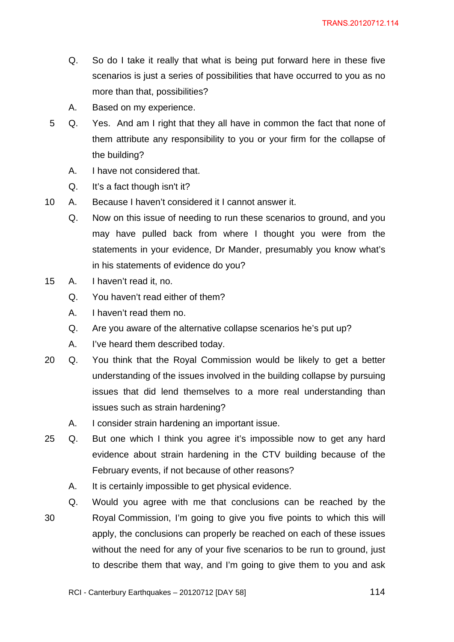- Q. So do I take it really that what is being put forward here in these five scenarios is just a series of possibilities that have occurred to you as no more than that, possibilities?
- A. Based on my experience.
- 5 Q. Yes. And am I right that they all have in common the fact that none of them attribute any responsibility to you or your firm for the collapse of the building?
	- A. I have not considered that.
	- Q. It's a fact though isn't it?
- 10 A. Because I haven't considered it I cannot answer it.
	- Q. Now on this issue of needing to run these scenarios to ground, and you may have pulled back from where I thought you were from the statements in your evidence, Dr Mander, presumably you know what's in his statements of evidence do you?
- 15 A. I haven't read it, no.
	- Q. You haven't read either of them?
	- A. I haven't read them no.
	- Q. Are you aware of the alternative collapse scenarios he's put up?
	- A. I've heard them described today.
- 20 Q. You think that the Royal Commission would be likely to get a better understanding of the issues involved in the building collapse by pursuing issues that did lend themselves to a more real understanding than issues such as strain hardening?
	- A. I consider strain hardening an important issue.
- 25 Q. But one which I think you agree it's impossible now to get any hard evidence about strain hardening in the CTV building because of the February events, if not because of other reasons?
	- A. It is certainly impossible to get physical evidence.
	- Q. Would you agree with me that conclusions can be reached by the
- 30 Royal Commission, I'm going to give you five points to which this will apply, the conclusions can properly be reached on each of these issues without the need for any of your five scenarios to be run to ground, just to describe them that way, and I'm going to give them to you and ask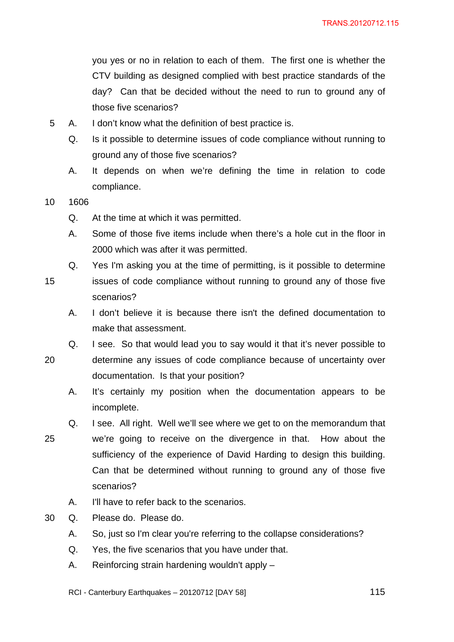you yes or no in relation to each of them. The first one is whether the CTV building as designed complied with best practice standards of the day? Can that be decided without the need to run to ground any of those five scenarios?

- 5 A. I don't know what the definition of best practice is.
	- Q. Is it possible to determine issues of code compliance without running to ground any of those five scenarios?
	- A. It depends on when we're defining the time in relation to code compliance.
- 10 1606
	- Q. At the time at which it was permitted.
	- A. Some of those five items include when there's a hole cut in the floor in 2000 which was after it was permitted.
	- Q. Yes I'm asking you at the time of permitting, is it possible to determine
- 15 issues of code compliance without running to ground any of those five scenarios?
	- A. I don't believe it is because there isn't the defined documentation to make that assessment.
	- Q. I see. So that would lead you to say would it that it's never possible to
	-
- 20 determine any issues of code compliance because of uncertainty over documentation. Is that your position?
	- A. It's certainly my position when the documentation appears to be incomplete.
	- Q. I see. All right. Well we'll see where we get to on the memorandum that
- 25 we're going to receive on the divergence in that. How about the sufficiency of the experience of David Harding to design this building. Can that be determined without running to ground any of those five scenarios?
	- A. I'll have to refer back to the scenarios.
- 30 Q. Please do. Please do.
	- A. So, just so I'm clear you're referring to the collapse considerations?
	- Q. Yes, the five scenarios that you have under that.
	- A. Reinforcing strain hardening wouldn't apply –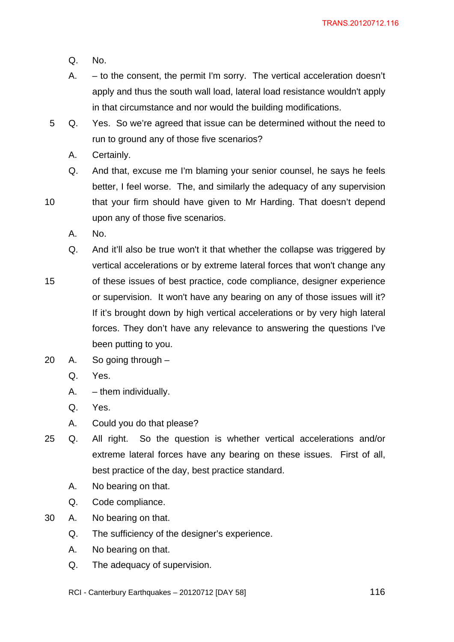- Q. No.
- A. to the consent, the permit I'm sorry. The vertical acceleration doesn't apply and thus the south wall load, lateral load resistance wouldn't apply in that circumstance and nor would the building modifications.
- 5 Q. Yes. So we're agreed that issue can be determined without the need to run to ground any of those five scenarios?
	- A. Certainly.
- Q. And that, excuse me I'm blaming your senior counsel, he says he feels better, I feel worse. The, and similarly the adequacy of any supervision 10 that your firm should have given to Mr Harding. That doesn't depend
	- upon any of those five scenarios.
		- A. No.
		- Q. And it'll also be true won't it that whether the collapse was triggered by vertical accelerations or by extreme lateral forces that won't change any
- 15 of these issues of best practice, code compliance, designer experience or supervision. It won't have any bearing on any of those issues will it? If it's brought down by high vertical accelerations or by very high lateral forces. They don't have any relevance to answering the questions I've been putting to you.
- 20 A. So going through
	- Q. Yes.
	- A. them individually.
	- Q. Yes.
	- A. Could you do that please?
- 25 Q. All right. So the question is whether vertical accelerations and/or extreme lateral forces have any bearing on these issues. First of all, best practice of the day, best practice standard.
	- A. No bearing on that.
	- Q. Code compliance.
- 30 A. No bearing on that.
	- Q. The sufficiency of the designer's experience.
	- A. No bearing on that.
	- Q. The adequacy of supervision.
	- RCI Canterbury Earthquakes  $20120712$  [DAY 58]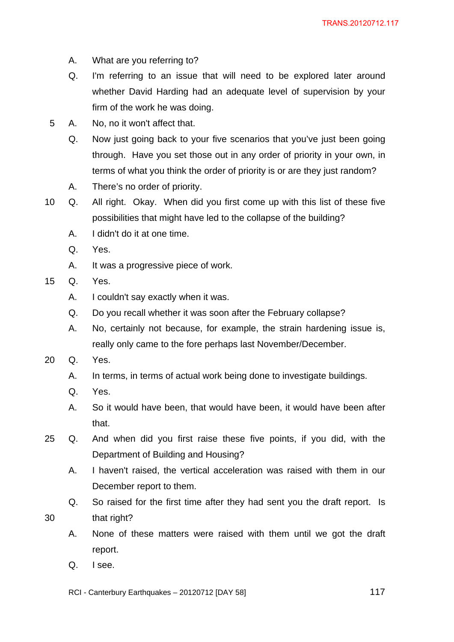- A. What are you referring to?
- Q. I'm referring to an issue that will need to be explored later around whether David Harding had an adequate level of supervision by your firm of the work he was doing.
- 5 A. No, no it won't affect that.
	- Q. Now just going back to your five scenarios that you've just been going through. Have you set those out in any order of priority in your own, in terms of what you think the order of priority is or are they just random?
	- A. There's no order of priority.
- 10 Q. All right. Okay. When did you first come up with this list of these five possibilities that might have led to the collapse of the building?
	- A. I didn't do it at one time.
	- Q. Yes.
	- A. It was a progressive piece of work.
- 15 Q. Yes.
	- A. I couldn't say exactly when it was.
	- Q. Do you recall whether it was soon after the February collapse?
	- A. No, certainly not because, for example, the strain hardening issue is, really only came to the fore perhaps last November/December.
- 20 Q. Yes.
	- A. In terms, in terms of actual work being done to investigate buildings.
	- Q. Yes.
	- A. So it would have been, that would have been, it would have been after that.
- 25 Q. And when did you first raise these five points, if you did, with the Department of Building and Housing?
	- A. I haven't raised, the vertical acceleration was raised with them in our December report to them.
- Q. So raised for the first time after they had sent you the draft report. Is 30 that right?
	- A. None of these matters were raised with them until we got the draft report.
	- Q. I see.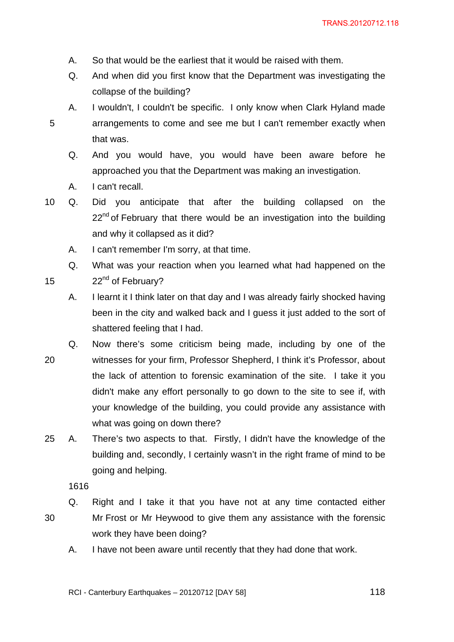- A. So that would be the earliest that it would be raised with them.
- Q. And when did you first know that the Department was investigating the collapse of the building?
- A. I wouldn't, I couldn't be specific. I only know when Clark Hyland made 5 arrangements to come and see me but I can't remember exactly when that was.
	- Q. And you would have, you would have been aware before he approached you that the Department was making an investigation.
	- A. I can't recall.
- 10 Q. Did you anticipate that after the building collapsed on the  $22<sup>nd</sup>$  of February that there would be an investigation into the building and why it collapsed as it did?
	- A. I can't remember I'm sorry, at that time.

Q. What was your reaction when you learned what had happened on the 15  $22<sup>nd</sup>$  of February?

- A. I learnt it I think later on that day and I was already fairly shocked having been in the city and walked back and I guess it just added to the sort of shattered feeling that I had.
- Q. Now there's some criticism being made, including by one of the 20 witnesses for your firm, Professor Shepherd, I think it's Professor, about the lack of attention to forensic examination of the site. I take it you didn't make any effort personally to go down to the site to see if, with your knowledge of the building, you could provide any assistance with what was going on down there?
- 25 A. There's two aspects to that. Firstly, I didn't have the knowledge of the building and, secondly, I certainly wasn't in the right frame of mind to be going and helping.

1616

- Q. Right and I take it that you have not at any time contacted either 30 Mr Frost or Mr Heywood to give them any assistance with the forensic work they have been doing?
	- A. I have not been aware until recently that they had done that work.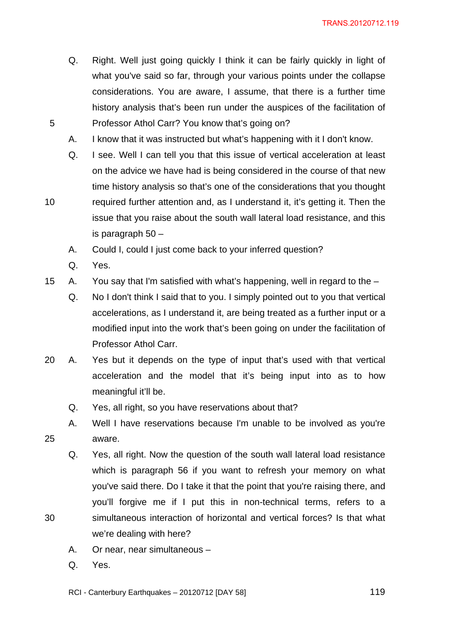- Q. Right. Well just going quickly I think it can be fairly quickly in light of what you've said so far, through your various points under the collapse considerations. You are aware, I assume, that there is a further time history analysis that's been run under the auspices of the facilitation of 5 Professor Athol Carr? You know that's going on?
	- A. I know that it was instructed but what's happening with it I don't know.
	- Q. I see. Well I can tell you that this issue of vertical acceleration at least on the advice we have had is being considered in the course of that new time history analysis so that's one of the considerations that you thought
- 10 required further attention and, as I understand it, it's getting it. Then the issue that you raise about the south wall lateral load resistance, and this is paragraph 50 –
	- A. Could I, could I just come back to your inferred question?
	- Q. Yes.
- 15 A. You say that I'm satisfied with what's happening, well in regard to the
	- Q. No I don't think I said that to you. I simply pointed out to you that vertical accelerations, as I understand it, are being treated as a further input or a modified input into the work that's been going on under the facilitation of Professor Athol Carr.
- 20 A. Yes but it depends on the type of input that's used with that vertical acceleration and the model that it's being input into as to how meaningful it'll be.
	- Q. Yes, all right, so you have reservations about that?
- A. Well I have reservations because I'm unable to be involved as you're 25 aware.
- Q. Yes, all right. Now the question of the south wall lateral load resistance which is paragraph 56 if you want to refresh your memory on what you've said there. Do I take it that the point that you're raising there, and you'll forgive me if I put this in non-technical terms, refers to a 30 simultaneous interaction of horizontal and vertical forces? Is that what we're dealing with here?
	- A. Or near, near simultaneous –
	- Q. Yes.
	- RCI Canterbury Earthquakes  $20120712$  [DAY 58]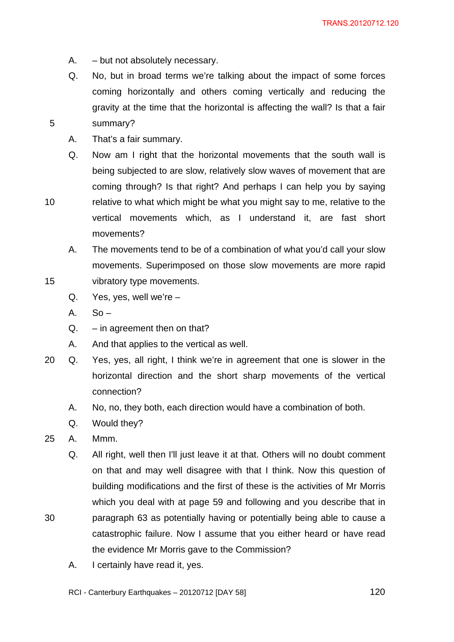- A. but not absolutely necessary.
- Q. No, but in broad terms we're talking about the impact of some forces coming horizontally and others coming vertically and reducing the gravity at the time that the horizontal is affecting the wall? Is that a fair 5 summary?
	- A. That's a fair summary.
- Q. Now am I right that the horizontal movements that the south wall is being subjected to are slow, relatively slow waves of movement that are coming through? Is that right? And perhaps I can help you by saying 10 relative to what which might be what you might say to me, relative to the vertical movements which, as I understand it, are fast short movements?
- A. The movements tend to be of a combination of what you'd call your slow movements. Superimposed on those slow movements are more rapid 15 vibratory type movements.
	- Q. Yes, yes, well we're –
	- $A.$  So –
	- $Q. in agreement then on that?$
	- A. And that applies to the vertical as well.
- 20 Q. Yes, yes, all right, I think we're in agreement that one is slower in the horizontal direction and the short sharp movements of the vertical connection?
	- A. No, no, they both, each direction would have a combination of both.
	- Q. Would they?
- 25 A. Mmm.
- Q. All right, well then I'll just leave it at that. Others will no doubt comment on that and may well disagree with that I think. Now this question of building modifications and the first of these is the activities of Mr Morris which you deal with at page 59 and following and you describe that in 30 paragraph 63 as potentially having or potentially being able to cause a catastrophic failure. Now I assume that you either heard or have read the evidence Mr Morris gave to the Commission?
	- A. I certainly have read it, yes.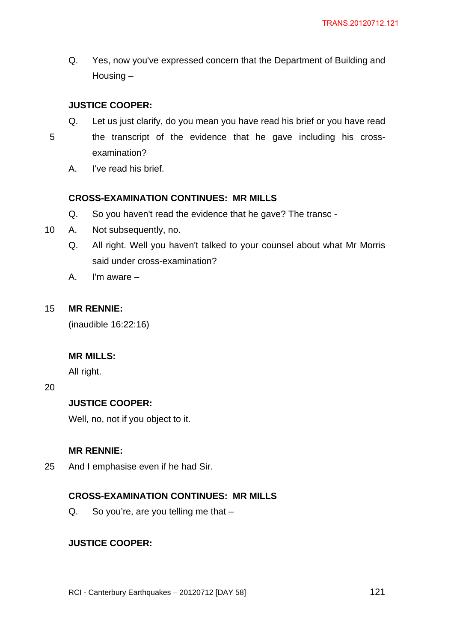Q. Yes, now you've expressed concern that the Department of Building and Housing –

# **JUSTICE COOPER:**

- Q. Let us just clarify, do you mean you have read his brief or you have read
- 5 the transcript of the evidence that he gave including his crossexamination?
	- A. I've read his brief.

### **CROSS-EXAMINATION CONTINUES: MR MILLS**

- Q. So you haven't read the evidence that he gave? The transc -
- 10 A. Not subsequently, no.
	- Q. All right. Well you haven't talked to your counsel about what Mr Morris said under cross-examination?
	- A. I'm aware –

### 15 **MR RENNIE:**

(inaudible 16:22:16)

### **MR MILLS:**

All right.

20

### **JUSTICE COOPER:**

Well, no, not if you object to it.

### **MR RENNIE:**

25 And I emphasise even if he had Sir.

### **CROSS-EXAMINATION CONTINUES: MR MILLS**

Q. So you're, are you telling me that –

### **JUSTICE COOPER:**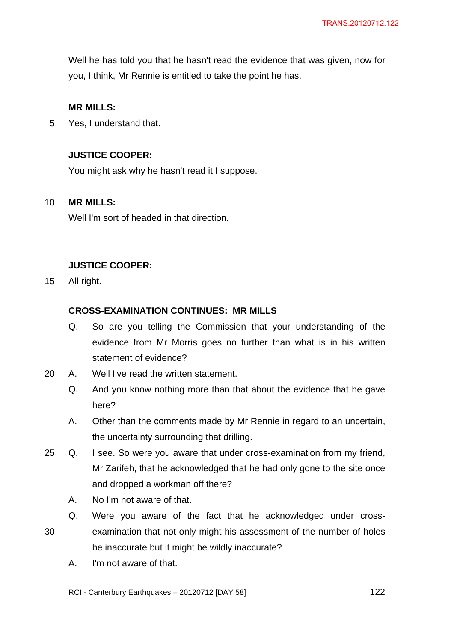Well he has told you that he hasn't read the evidence that was given, now for you, I think, Mr Rennie is entitled to take the point he has.

### **MR MILLS:**

5 Yes, I understand that.

### **JUSTICE COOPER:**

You might ask why he hasn't read it I suppose.

#### 10 **MR MILLS:**

Well I'm sort of headed in that direction.

#### **JUSTICE COOPER:**

15 All right.

#### **CROSS-EXAMINATION CONTINUES: MR MILLS**

- Q. So are you telling the Commission that your understanding of the evidence from Mr Morris goes no further than what is in his written statement of evidence?
- 20 A. Well I've read the written statement.
	- Q. And you know nothing more than that about the evidence that he gave here?
	- A. Other than the comments made by Mr Rennie in regard to an uncertain, the uncertainty surrounding that drilling.
- 25 Q. I see. So were you aware that under cross-examination from my friend, Mr Zarifeh, that he acknowledged that he had only gone to the site once and dropped a workman off there?
	- A. No I'm not aware of that.
- Q. Were you aware of the fact that he acknowledged under cross-30 examination that not only might his assessment of the number of holes be inaccurate but it might be wildly inaccurate?
	- A. I'm not aware of that.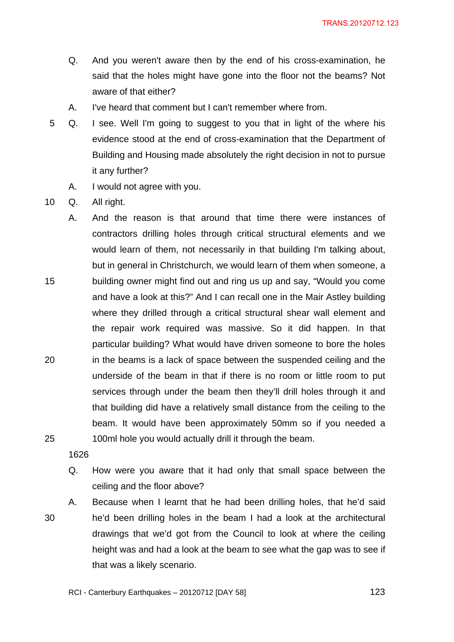- Q. And you weren't aware then by the end of his cross-examination, he said that the holes might have gone into the floor not the beams? Not aware of that either?
- A. I've heard that comment but I can't remember where from.
- 5 Q. I see. Well I'm going to suggest to you that in light of the where his evidence stood at the end of cross-examination that the Department of Building and Housing made absolutely the right decision in not to pursue it any further?
	- A. I would not agree with you.
- 10 Q. All right.

A. And the reason is that around that time there were instances of contractors drilling holes through critical structural elements and we would learn of them, not necessarily in that building I'm talking about, but in general in Christchurch, we would learn of them when someone, a 15 building owner might find out and ring us up and say, "Would you come and have a look at this?" And I can recall one in the Mair Astley building where they drilled through a critical structural shear wall element and the repair work required was massive. So it did happen. In that particular building? What would have driven someone to bore the holes 20 in the beams is a lack of space between the suspended ceiling and the underside of the beam in that if there is no room or little room to put services through under the beam then they'll drill holes through it and that building did have a relatively small distance from the ceiling to the beam. It would have been approximately 50mm so if you needed a 25 100ml hole you would actually drill it through the beam.

1626

Q. How were you aware that it had only that small space between the ceiling and the floor above?

A. Because when I learnt that he had been drilling holes, that he'd said 30 he'd been drilling holes in the beam I had a look at the architectural drawings that we'd got from the Council to look at where the ceiling height was and had a look at the beam to see what the gap was to see if that was a likely scenario.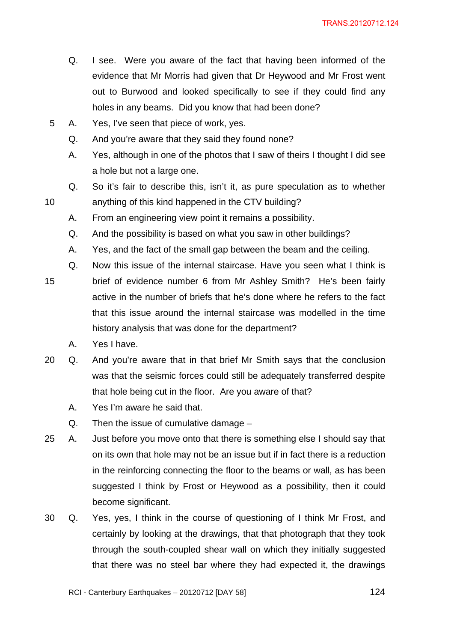- Q. I see. Were you aware of the fact that having been informed of the evidence that Mr Morris had given that Dr Heywood and Mr Frost went out to Burwood and looked specifically to see if they could find any holes in any beams. Did you know that had been done?
- 5 A. Yes, I've seen that piece of work, yes.
	- Q. And you're aware that they said they found none?
	- A. Yes, although in one of the photos that I saw of theirs I thought I did see a hole but not a large one.
- Q. So it's fair to describe this, isn't it, as pure speculation as to whether 10 anything of this kind happened in the CTV building?
	- A. From an engineering view point it remains a possibility.
	- Q. And the possibility is based on what you saw in other buildings?
	- A. Yes, and the fact of the small gap between the beam and the ceiling.
	- Q. Now this issue of the internal staircase. Have you seen what I think is
- 15 brief of evidence number 6 from Mr Ashley Smith? He's been fairly active in the number of briefs that he's done where he refers to the fact that this issue around the internal staircase was modelled in the time history analysis that was done for the department?
	- A. Yes I have.
- 20 Q. And you're aware that in that brief Mr Smith says that the conclusion was that the seismic forces could still be adequately transferred despite that hole being cut in the floor. Are you aware of that?
	- A. Yes I'm aware he said that.
	- Q. Then the issue of cumulative damage –
- 25 A. Just before you move onto that there is something else I should say that on its own that hole may not be an issue but if in fact there is a reduction in the reinforcing connecting the floor to the beams or wall, as has been suggested I think by Frost or Heywood as a possibility, then it could become significant.
- 30 Q. Yes, yes, I think in the course of questioning of I think Mr Frost, and certainly by looking at the drawings, that that photograph that they took through the south-coupled shear wall on which they initially suggested that there was no steel bar where they had expected it, the drawings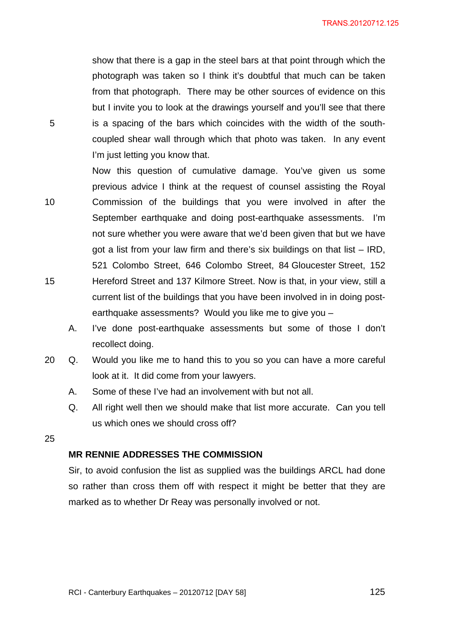show that there is a gap in the steel bars at that point through which the photograph was taken so I think it's doubtful that much can be taken from that photograph. There may be other sources of evidence on this but I invite you to look at the drawings yourself and you'll see that there 5 is a spacing of the bars which coincides with the width of the southcoupled shear wall through which that photo was taken. In any event I'm just letting you know that.

- Now this question of cumulative damage. You've given us some previous advice I think at the request of counsel assisting the Royal 10 Commission of the buildings that you were involved in after the September earthquake and doing post-earthquake assessments. I'm not sure whether you were aware that we'd been given that but we have got a list from your law firm and there's six buildings on that list – IRD, 521 Colombo Street, 646 Colombo Street, 84 Gloucester Street, 152 15 Hereford Street and 137 Kilmore Street. Now is that, in your view, still a current list of the buildings that you have been involved in in doing postearthquake assessments? Would you like me to give you –
	- A. I've done post-earthquake assessments but some of those I don't recollect doing.
- 20 Q. Would you like me to hand this to you so you can have a more careful look at it. It did come from your lawyers.
	- A. Some of these I've had an involvement with but not all.
	- Q. All right well then we should make that list more accurate. Can you tell us which ones we should cross off?

25

### **MR RENNIE ADDRESSES THE COMMISSION**

Sir, to avoid confusion the list as supplied was the buildings ARCL had done so rather than cross them off with respect it might be better that they are marked as to whether Dr Reay was personally involved or not.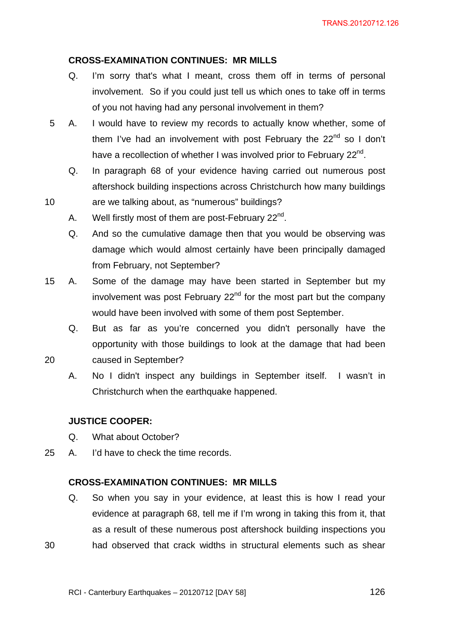### **CROSS-EXAMINATION CONTINUES: MR MILLS**

- Q. I'm sorry that's what I meant, cross them off in terms of personal involvement. So if you could just tell us which ones to take off in terms of you not having had any personal involvement in them?
- 5 A. I would have to review my records to actually know whether, some of them I've had an involvement with post February the  $22<sup>nd</sup>$  so I don't have a recollection of whether I was involved prior to February 22<sup>nd</sup>.
	- Q. In paragraph 68 of your evidence having carried out numerous post aftershock building inspections across Christchurch how many buildings
- 10 are we talking about, as "numerous" buildings?
	- A. Well firstly most of them are post-February  $22^{nd}$ .
	- Q. And so the cumulative damage then that you would be observing was damage which would almost certainly have been principally damaged from February, not September?
- 15 A. Some of the damage may have been started in September but my involvement was post February  $22<sup>nd</sup>$  for the most part but the company would have been involved with some of them post September.
- Q. But as far as you're concerned you didn't personally have the opportunity with those buildings to look at the damage that had been 20 caused in September?
	- A. No I didn't inspect any buildings in September itself. I wasn't in Christchurch when the earthquake happened.

#### **JUSTICE COOPER:**

- Q. What about October?
- 25 A. I'd have to check the time records.

# **CROSS-EXAMINATION CONTINUES: MR MILLS**

Q. So when you say in your evidence, at least this is how I read your evidence at paragraph 68, tell me if I'm wrong in taking this from it, that as a result of these numerous post aftershock building inspections you 30 had observed that crack widths in structural elements such as shear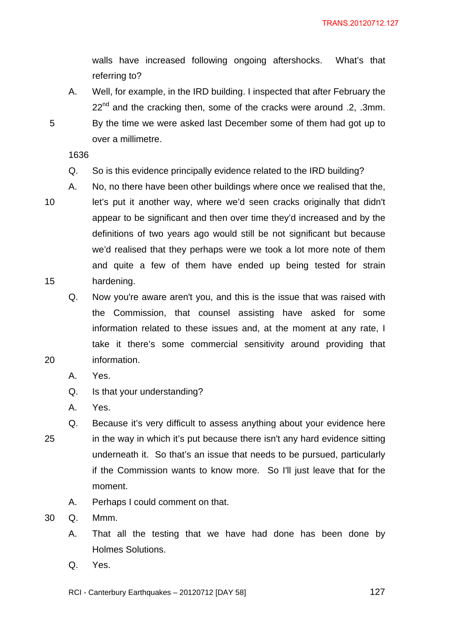walls have increased following ongoing aftershocks. What's that referring to?

A. Well, for example, in the IRD building. I inspected that after February the  $22^{nd}$  and the cracking then, some of the cracks were around .2, .3mm. 5 By the time we were asked last December some of them had got up to over a millimetre.

1636

Q. So is this evidence principally evidence related to the IRD building?

A. No, no there have been other buildings where once we realised that the,

10 let's put it another way, where we'd seen cracks originally that didn't

- 
- appear to be significant and then over time they'd increased and by the definitions of two years ago would still be not significant but because we'd realised that they perhaps were we took a lot more note of them and quite a few of them have ended up being tested for strain 15 hardening.
- Q. Now you're aware aren't you, and this is the issue that was raised with the Commission, that counsel assisting have asked for some information related to these issues and, at the moment at any rate, I take it there's some commercial sensitivity around providing that 20 information.
	- A. Yes.
	- Q. Is that your understanding?
	- A. Yes.
- Q. Because it's very difficult to assess anything about your evidence here 25 in the way in which it's put because there isn't any hard evidence sitting underneath it. So that's an issue that needs to be pursued, particularly if the Commission wants to know more. So I'll just leave that for the moment.
	- A. Perhaps I could comment on that.
- 30 Q. Mmm.
	- A. That all the testing that we have had done has been done by Holmes Solutions.
	- Q. Yes.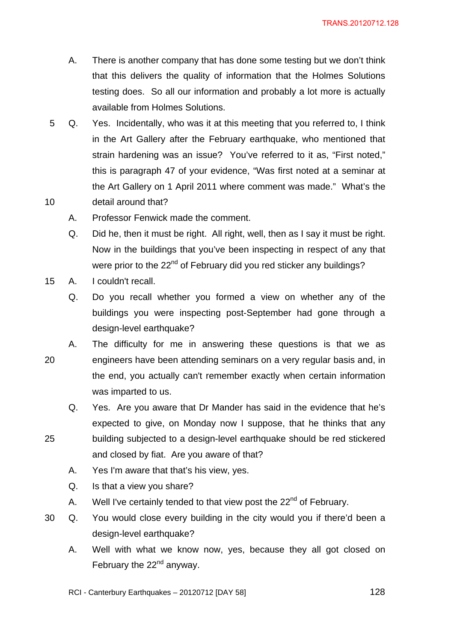- A. There is another company that has done some testing but we don't think that this delivers the quality of information that the Holmes Solutions testing does. So all our information and probably a lot more is actually available from Holmes Solutions.
- 5 Q. Yes. Incidentally, who was it at this meeting that you referred to, I think in the Art Gallery after the February earthquake, who mentioned that strain hardening was an issue? You've referred to it as, "First noted," this is paragraph 47 of your evidence, "Was first noted at a seminar at the Art Gallery on 1 April 2011 where comment was made." What's the 10 detail around that?
	- A. Professor Fenwick made the comment.
		- Q. Did he, then it must be right. All right, well, then as I say it must be right. Now in the buildings that you've been inspecting in respect of any that were prior to the 22<sup>nd</sup> of February did you red sticker any buildings?
- 15 A. I couldn't recall.
	- Q. Do you recall whether you formed a view on whether any of the buildings you were inspecting post-September had gone through a design-level earthquake?
- A. The difficulty for me in answering these questions is that we as 20 engineers have been attending seminars on a very regular basis and, in the end, you actually can't remember exactly when certain information was imparted to us.
- Q. Yes. Are you aware that Dr Mander has said in the evidence that he's expected to give, on Monday now I suppose, that he thinks that any 25 building subjected to a design-level earthquake should be red stickered
	- and closed by fiat. Are you aware of that?
	- A. Yes I'm aware that that's his view, yes.
	- Q. Is that a view you share?
	- A. Well I've certainly tended to that view post the  $22<sup>nd</sup>$  of February.
- 30 Q. You would close every building in the city would you if there'd been a design-level earthquake?
	- A. Well with what we know now, yes, because they all got closed on February the  $22<sup>nd</sup>$  anyway.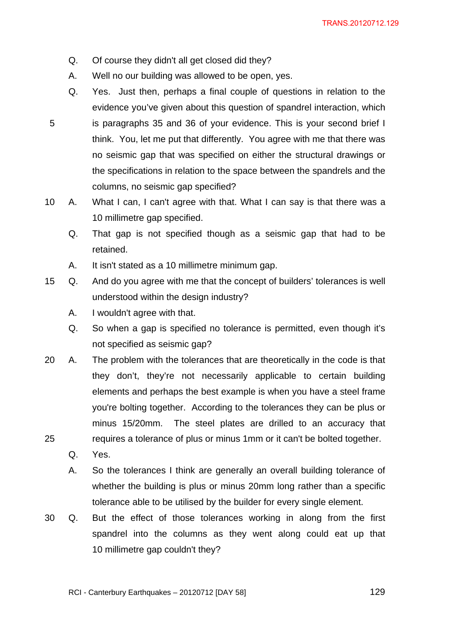- Q. Of course they didn't all get closed did they?
- A. Well no our building was allowed to be open, yes.
- Q. Yes. Just then, perhaps a final couple of questions in relation to the evidence you've given about this question of spandrel interaction, which 5 is paragraphs 35 and 36 of your evidence. This is your second brief I think. You, let me put that differently. You agree with me that there was no seismic gap that was specified on either the structural drawings or the specifications in relation to the space between the spandrels and the columns, no seismic gap specified?
- 10 A. What I can, I can't agree with that. What I can say is that there was a 10 millimetre gap specified.
	- Q. That gap is not specified though as a seismic gap that had to be retained.
	- A. It isn't stated as a 10 millimetre minimum gap.
- 15 Q. And do you agree with me that the concept of builders' tolerances is well understood within the design industry?
	- A. I wouldn't agree with that.
	- Q. So when a gap is specified no tolerance is permitted, even though it's not specified as seismic gap?
- 20 A. The problem with the tolerances that are theoretically in the code is that they don't, they're not necessarily applicable to certain building elements and perhaps the best example is when you have a steel frame you're bolting together. According to the tolerances they can be plus or minus 15/20mm. The steel plates are drilled to an accuracy that 25 requires a tolerance of plus or minus 1mm or it can't be bolted together.
	- Q. Yes.
	- A. So the tolerances I think are generally an overall building tolerance of whether the building is plus or minus 20mm long rather than a specific tolerance able to be utilised by the builder for every single element.
- 30 Q. But the effect of those tolerances working in along from the first spandrel into the columns as they went along could eat up that 10 millimetre gap couldn't they?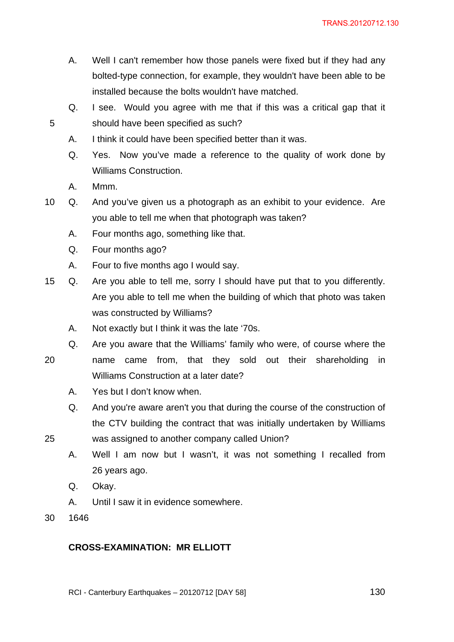- A. Well I can't remember how those panels were fixed but if they had any bolted-type connection, for example, they wouldn't have been able to be installed because the bolts wouldn't have matched.
- Q. I see. Would you agree with me that if this was a critical gap that it 5 should have been specified as such?
	- A. I think it could have been specified better than it was.
	- Q. Yes. Now you've made a reference to the quality of work done by Williams Construction.
	- A. Mmm.
- 10 Q. And you've given us a photograph as an exhibit to your evidence. Are you able to tell me when that photograph was taken?
	- A. Four months ago, something like that.
	- Q. Four months ago?
	- A. Four to five months ago I would say.
- 15 Q. Are you able to tell me, sorry I should have put that to you differently. Are you able to tell me when the building of which that photo was taken was constructed by Williams?
	- A. Not exactly but I think it was the late '70s.

Williams Construction at a later date?

- Q. Are you aware that the Williams' family who were, of course where the 20 name came from, that they sold out their shareholding in
	- A. Yes but I don't know when.
	- Q. And you're aware aren't you that during the course of the construction of the CTV building the contract that was initially undertaken by Williams

- 25 was assigned to another company called Union?
	- A. Well I am now but I wasn't, it was not something I recalled from 26 years ago.
	- Q. Okay.
	- A. Until I saw it in evidence somewhere.
- 30 1646

# **CROSS-EXAMINATION: MR ELLIOTT**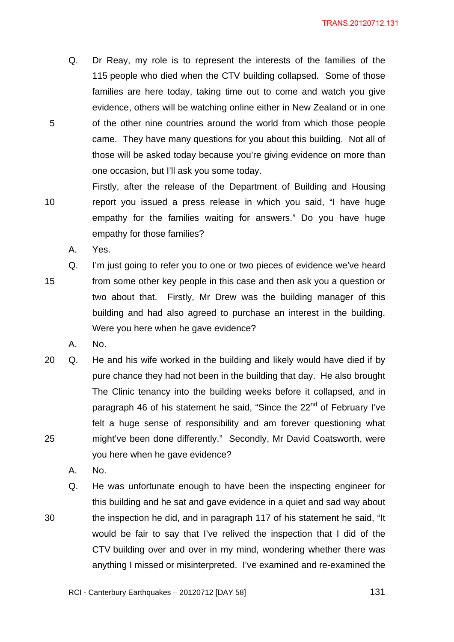- Q. Dr Reay, my role is to represent the interests of the families of the 115 people who died when the CTV building collapsed. Some of those families are here today, taking time out to come and watch you give evidence, others will be watching online either in New Zealand or in one 5 of the other nine countries around the world from which those people came. They have many questions for you about this building. Not all of those will be asked today because you're giving evidence on more than one occasion, but I'll ask you some today.
- Firstly, after the release of the Department of Building and Housing 10 report you issued a press release in which you said, "I have huge empathy for the families waiting for answers." Do you have huge empathy for those families?
	- A. Yes.
- Q. I'm just going to refer you to one or two pieces of evidence we've heard 15 from some other key people in this case and then ask you a question or two about that. Firstly, Mr Drew was the building manager of this building and had also agreed to purchase an interest in the building. Were you here when he gave evidence?
	- A. No.
- 20 Q. He and his wife worked in the building and likely would have died if by pure chance they had not been in the building that day. He also brought The Clinic tenancy into the building weeks before it collapsed, and in paragraph 46 of his statement he said, "Since the 22<sup>nd</sup> of February I've felt a huge sense of responsibility and am forever questioning what 25 might've been done differently." Secondly, Mr David Coatsworth, were you here when he gave evidence?
	- A. No.
- Q. He was unfortunate enough to have been the inspecting engineer for this building and he sat and gave evidence in a quiet and sad way about 30 the inspection he did, and in paragraph 117 of his statement he said, "It would be fair to say that I've relived the inspection that I did of the CTV building over and over in my mind, wondering whether there was anything I missed or misinterpreted. I've examined and re-examined the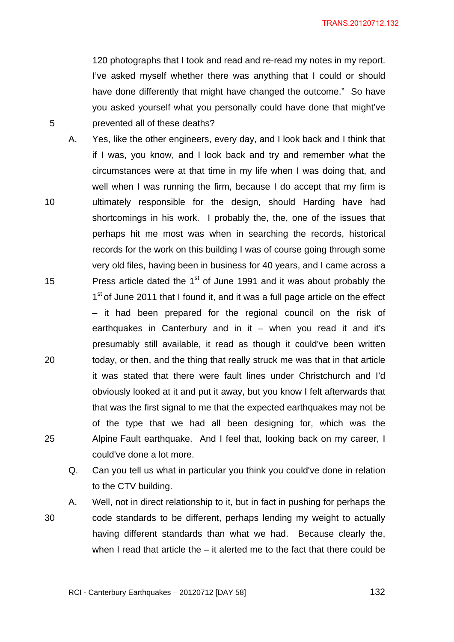120 photographs that I took and read and re-read my notes in my report. I've asked myself whether there was anything that I could or should have done differently that might have changed the outcome." So have you asked yourself what you personally could have done that might've 5 prevented all of these deaths?

- A. Yes, like the other engineers, every day, and I look back and I think that if I was, you know, and I look back and try and remember what the circumstances were at that time in my life when I was doing that, and well when I was running the firm, because I do accept that my firm is 10 ultimately responsible for the design, should Harding have had shortcomings in his work. I probably the, the, one of the issues that perhaps hit me most was when in searching the records, historical records for the work on this building I was of course going through some very old files, having been in business for 40 years, and I came across a 15 Press article dated the  $1<sup>st</sup>$  of June 1991 and it was about probably the 1<sup>st</sup> of June 2011 that I found it, and it was a full page article on the effect – it had been prepared for the regional council on the risk of earthquakes in Canterbury and in it  $-$  when you read it and it's presumably still available, it read as though it could've been written 20 today, or then, and the thing that really struck me was that in that article it was stated that there were fault lines under Christchurch and I'd obviously looked at it and put it away, but you know I felt afterwards that that was the first signal to me that the expected earthquakes may not be of the type that we had all been designing for, which was the 25 Alpine Fault earthquake. And I feel that, looking back on my career, I could've done a lot more.
	- Q. Can you tell us what in particular you think you could've done in relation to the CTV building.
- A. Well, not in direct relationship to it, but in fact in pushing for perhaps the 30 code standards to be different, perhaps lending my weight to actually having different standards than what we had. Because clearly the, when I read that article the  $-$  it alerted me to the fact that there could be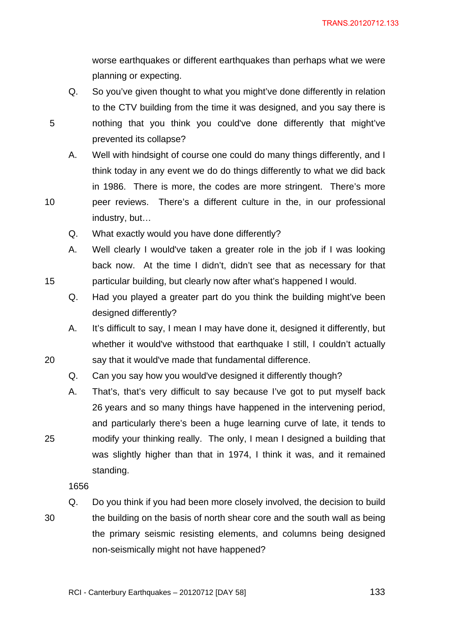worse earthquakes or different earthquakes than perhaps what we were planning or expecting.

- Q. So you've given thought to what you might've done differently in relation to the CTV building from the time it was designed, and you say there is 5 nothing that you think you could've done differently that might've prevented its collapse?
- A. Well with hindsight of course one could do many things differently, and I think today in any event we do do things differently to what we did back in 1986. There is more, the codes are more stringent. There's more 10 peer reviews. There's a different culture in the, in our professional

industry, but…

- Q. What exactly would you have done differently?
- A. Well clearly I would've taken a greater role in the job if I was looking back now. At the time I didn't, didn't see that as necessary for that 15 particular building, but clearly now after what's happened I would.
	- Q. Had you played a greater part do you think the building might've been designed differently?
- A. It's difficult to say, I mean I may have done it, designed it differently, but whether it would've withstood that earthquake I still, I couldn't actually 20 say that it would've made that fundamental difference.
	- Q. Can you say how you would've designed it differently though?
- A. That's, that's very difficult to say because I've got to put myself back 26 years and so many things have happened in the intervening period, and particularly there's been a huge learning curve of late, it tends to 25 modify your thinking really. The only, I mean I designed a building that was slightly higher than that in 1974, I think it was, and it remained standing.

1656

Q. Do you think if you had been more closely involved, the decision to build 30 the building on the basis of north shear core and the south wall as being the primary seismic resisting elements, and columns being designed non-seismically might not have happened?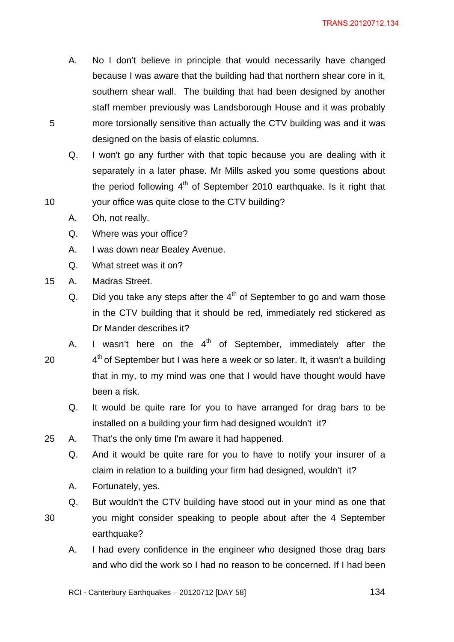- A. No I don't believe in principle that would necessarily have changed because I was aware that the building had that northern shear core in it, southern shear wall. The building that had been designed by another staff member previously was Landsborough House and it was probably 5 more torsionally sensitive than actually the CTV building was and it was designed on the basis of elastic columns.
- Q. I won't go any further with that topic because you are dealing with it separately in a later phase. Mr Mills asked you some questions about the period following  $4<sup>th</sup>$  of September 2010 earthquake. Is it right that 10 your office was quite close to the CTV building?
	- A. Oh, not really.
	- Q. Where was your office?
	- A. I was down near Bealey Avenue.
	- Q. What street was it on?
- 15 A. Madras Street.
	- Q. Did you take any steps after the  $4<sup>th</sup>$  of September to go and warn those in the CTV building that it should be red, immediately red stickered as Dr Mander describes it?
- A. I wasn't here on the  $4<sup>th</sup>$  of September, immediately after the 20  $4<sup>th</sup>$  of September but I was here a week or so later. It, it wasn't a building that in my, to my mind was one that I would have thought would have been a risk.
	- Q. It would be quite rare for you to have arranged for drag bars to be installed on a building your firm had designed wouldn't it?
- 25 A. That's the only time I'm aware it had happened.
	- Q. And it would be quite rare for you to have to notify your insurer of a claim in relation to a building your firm had designed, wouldn't it?
	- A. Fortunately, yes.
	- Q. But wouldn't the CTV building have stood out in your mind as one that
- 
- 30 you might consider speaking to people about after the 4 September earthquake?
	- A. I had every confidence in the engineer who designed those drag bars and who did the work so I had no reason to be concerned. If I had been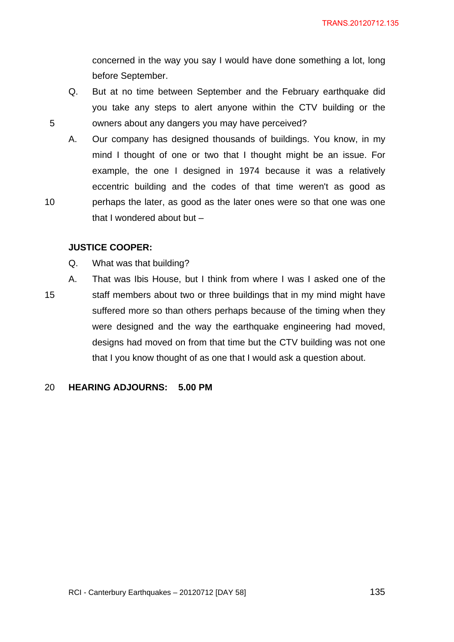concerned in the way you say I would have done something a lot, long before September.

Q. But at no time between September and the February earthquake did you take any steps to alert anyone within the CTV building or the 5 owners about any dangers you may have perceived?

A. Our company has designed thousands of buildings. You know, in my mind I thought of one or two that I thought might be an issue. For example, the one I designed in 1974 because it was a relatively eccentric building and the codes of that time weren't as good as 10 perhaps the later, as good as the later ones were so that one was one that I wondered about but –

### **JUSTICE COOPER:**

- Q. What was that building?
- A. That was Ibis House, but I think from where I was I asked one of the 15 staff members about two or three buildings that in my mind might have suffered more so than others perhaps because of the timing when they were designed and the way the earthquake engineering had moved, designs had moved on from that time but the CTV building was not one that I you know thought of as one that I would ask a question about.

#### 20 **HEARING ADJOURNS: 5.00 PM**